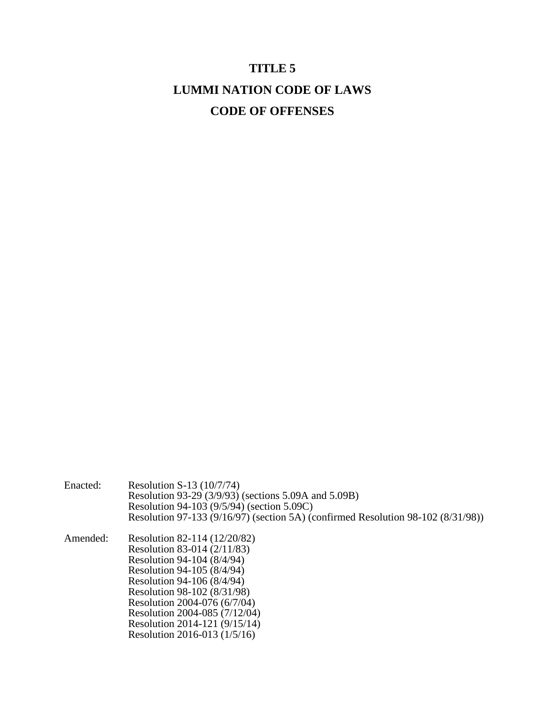# **TITLE 5 LUMMI NATION CODE OF LAWS CODE OF OFFENSES**

Enacted: Resolution S-13 (10/7/74) Resolution 93-29 (3/9/93) (sections 5.09A and 5.09B) Resolution 94-103 (9/5/94) (section 5.09C) Resolution 97-133 (9/16/97) (section 5A) (confirmed Resolution 98-102 (8/31/98))

Amended: Resolution 82-114 (12/20/82) Resolution 83-014 (2/11/83) Resolution 94-104 (8/4/94) Resolution 94-105 (8/4/94) Resolution 94-106 (8/4/94) Resolution 98-102 (8/31/98) Resolution 2004-076 (6/7/04) Resolution 2004-085 (7/12/04) Resolution 2014-121 (9/15/14) Resolution 2016-013 (1/5/16)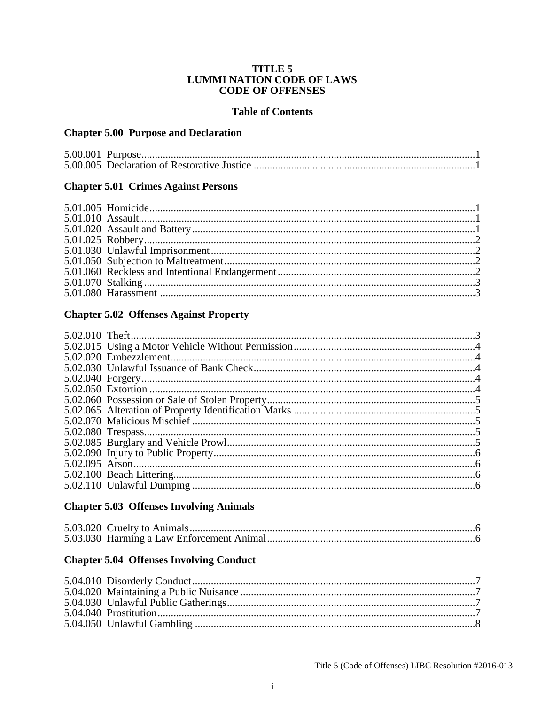# **TITLE 5 LUMMI NATION CODE OF LAWS<br>CODE OF OFFENSES**

#### **Table of Contents**

# **Chapter 5.00 Purpose and Declaration**

# **Chapter 5.01 Crimes Against Persons**

# **Chapter 5.02 Offenses Against Property**

# **Chapter 5.03 Offenses Involving Animals**

# **Chapter 5.04 Offenses Involving Conduct**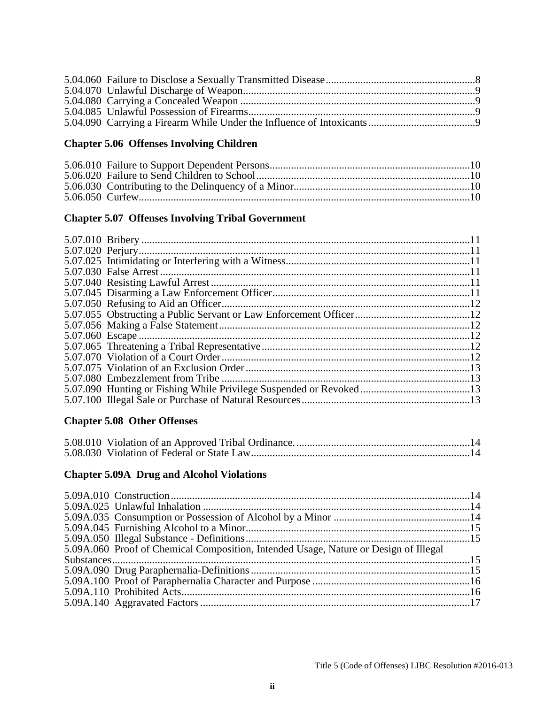# **Chapter 5.06 Offenses Involving Children**

# **Chapter 5.07 Offenses Involving Tribal Government**

# **Chapter 5.08 Other Offenses**

# **Chapter 5.09A Drug and Alcohol Violations**

| 5.09A.060 Proof of Chemical Composition, Intended Usage, Nature or Design of Illegal |  |
|--------------------------------------------------------------------------------------|--|
|                                                                                      |  |
|                                                                                      |  |
|                                                                                      |  |
|                                                                                      |  |
|                                                                                      |  |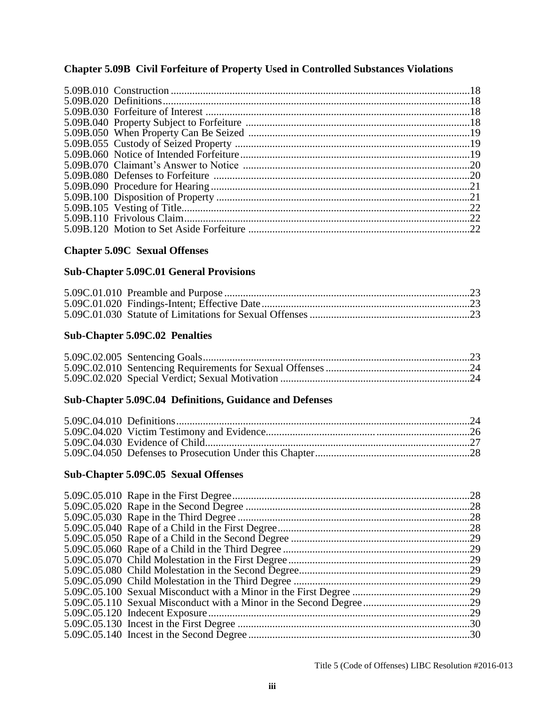# **Chapter 5.09B Civil Forfeiture of Property Used in Controlled Substances Violations**

# **Chapter 5.09C Sexual Offenses**

# **Sub-Chapter 5.09C.01 General Provisions**

#### **Sub-Chapter 5.09C.02 Penalties**

# **Sub-Chapter 5.09C.04 Definitions, Guidance and Defenses**

# **Sub-Chapter 5.09C.05 Sexual Offenses**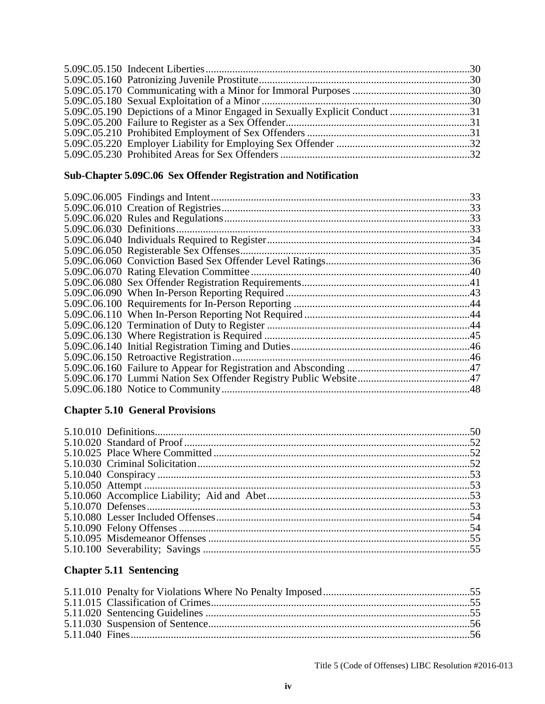| 5.09C.05.190 Depictions of a Minor Engaged in Sexually Explicit Conduct31 |  |
|---------------------------------------------------------------------------|--|
|                                                                           |  |
|                                                                           |  |
|                                                                           |  |
|                                                                           |  |

# **Sub-Chapter 5.09C.06 Sex Offender Registration and Notification**

|  | .33 |
|--|-----|
|  |     |
|  | .33 |
|  |     |
|  |     |
|  |     |
|  |     |
|  |     |
|  |     |
|  |     |
|  |     |
|  |     |
|  |     |
|  |     |
|  |     |
|  |     |
|  |     |
|  |     |
|  |     |
|  |     |

# **Chapter 5.10 General Provisions**

# **Chapter 5.11 Sentencing**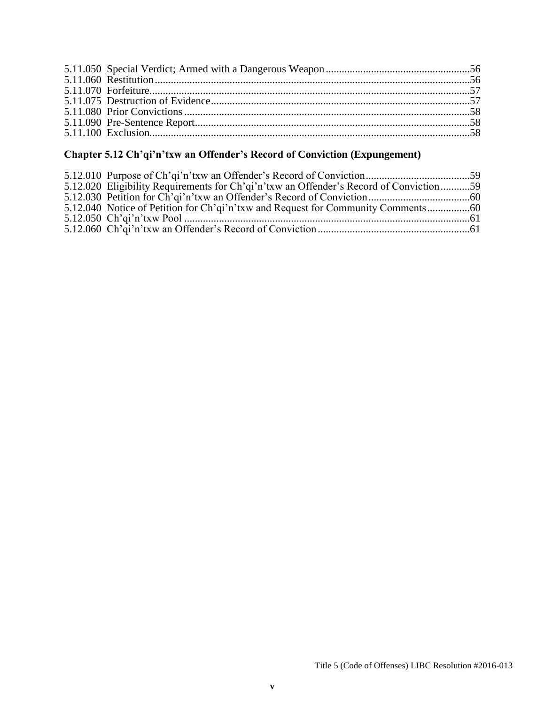# **Chapter 5.12 Ch'qi'n'txw an Offender's Record of Conviction (Expungement)**

| 5.12.020 Eligibility Requirements for Ch'qi'n'txw an Offender's Record of Conviction59 |  |
|----------------------------------------------------------------------------------------|--|
|                                                                                        |  |
| 5.12.040 Notice of Petition for Ch'qi'n'txw and Request for Community Comments         |  |
|                                                                                        |  |
|                                                                                        |  |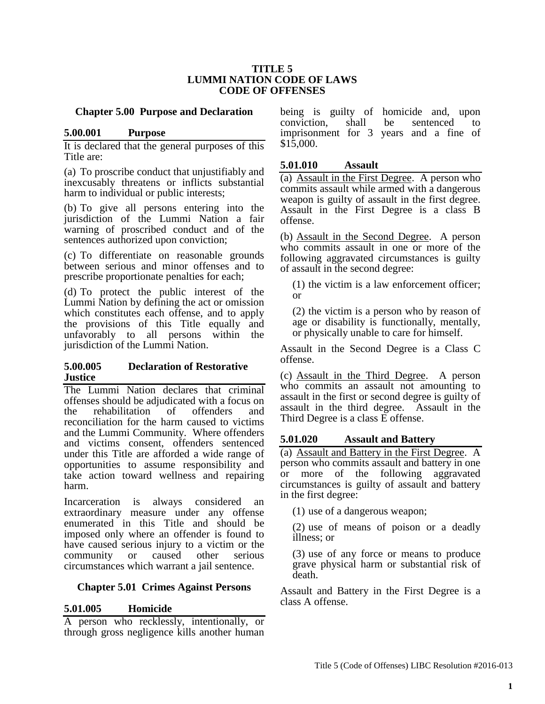#### **TITLE 5 LUMMI NATION CODE OF LAWS CODE OF OFFENSES**

#### **Chapter 5.00 Purpose and Declaration**

### **5.00.001 Purpose**

It is declared that the general purposes of this Title are:

(a) To proscribe conduct that unjustifiably and inexcusably threatens or inflicts substantial harm to individual or public interests;

(b) To give all persons entering into the jurisdiction of the Lummi Nation a fair warning of proscribed conduct and of the sentences authorized upon conviction;

(c) To differentiate on reasonable grounds between serious and minor offenses and to prescribe proportionate penalties for each;

(d) To protect the public interest of the Lummi Nation by defining the act or omission which constitutes each offense, and to apply the provisions of this Title equally and unfavorably to all persons within the jurisdiction of the Lummi Nation.

#### **5.00.005 Declaration of Restorative Justice**

The Lummi Nation declares that criminal offenses should be adjudicated with a focus on the rehabilitation of offenders and reconciliation for the harm caused to victims and the Lummi Community. Where offenders and victims consent, offenders sentenced under this Title are afforded a wide range of opportunities to assume responsibility and take action toward wellness and repairing harm.

Incarceration is always considered an extraordinary measure under any offense enumerated in this Title and should be imposed only where an offender is found to have caused serious injury to a victim or the community or caused other serious circumstances which warrant a jail sentence.

# **Chapter 5.01 Crimes Against Persons**

# **5.01.005 Homicide**

A person who recklessly, intentionally, or through gross negligence kills another human being is guilty of homicide and, upon conviction, shall be sentenced to imprisonment for 3 years and a fine of \$15,000.

#### **5.01.010 Assault**

(a) Assault in the First Degree. A person who commits assault while armed with a dangerous weapon is guilty of assault in the first degree. Assault in the First Degree is a class B offense.

(b) Assault in the Second Degree. A person who commits assault in one or more of the following aggravated circumstances is guilty of assault in the second degree:

(1) the victim is a law enforcement officer; or

(2) the victim is a person who by reason of age or disability is functionally, mentally, or physically unable to care for himself.

Assault in the Second Degree is a Class C offense.

(c) Assault in the Third Degree. A person who commits an assault not amounting to assault in the first or second degree is guilty of assault in the third degree. Assault in the Third Degree is a class E offense.

#### **5.01.020 Assault and Battery**

(a) Assault and Battery in the First Degree. A person who commits assault and battery in one or more of the following aggravated circumstances is guilty of assault and battery in the first degree:

(1) use of a dangerous weapon;

(2) use of means of poison or a deadly illness; or

(3) use of any force or means to produce grave physical harm or substantial risk of death.

Assault and Battery in the First Degree is a class A offense.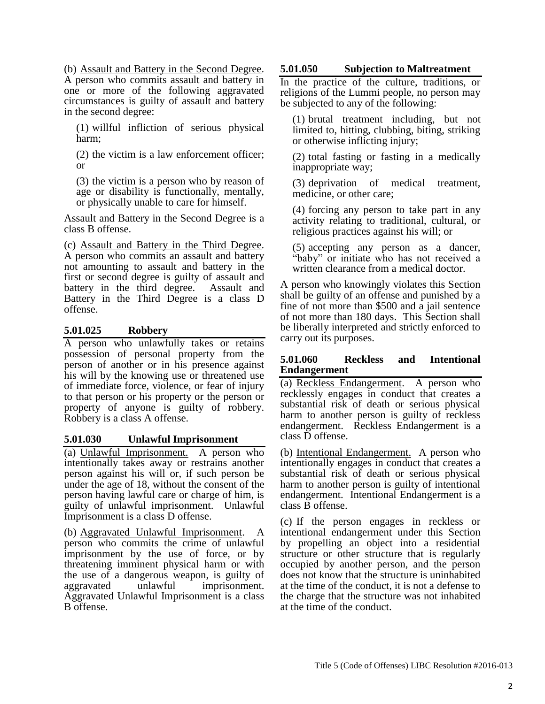(b) Assault and Battery in the Second Degree. A person who commits assault and battery in one or more of the following aggravated circumstances is guilty of assault and battery in the second degree:

(1) willful infliction of serious physical harm;

(2) the victim is a law enforcement officer; or

(3) the victim is a person who by reason of age or disability is functionally, mentally, or physically unable to care for himself.

Assault and Battery in the Second Degree is a class B offense.

(c) Assault and Battery in the Third Degree. A person who commits an assault and battery not amounting to assault and battery in the first or second degree is guilty of assault and battery in the third degree. Assault and Battery in the Third Degree is a class D offense.

# **5.01.025 Robbery**

A person who unlawfully takes or retains possession of personal property from the person of another or in his presence against his will by the knowing use or threatened use of immediate force, violence, or fear of injury to that person or his property or the person or property of anyone is guilty of robbery. Robbery is a class A offense.

# **5.01.030 Unlawful Imprisonment**

(a) Unlawful Imprisonment. A person who intentionally takes away or restrains another person against his will or, if such person be under the age of 18, without the consent of the person having lawful care or charge of him, is guilty of unlawful imprisonment. Unlawful Imprisonment is a class D offense.

(b) Aggravated Unlawful Imprisonment. A person who commits the crime of unlawful imprisonment by the use of force, or by threatening imminent physical harm or with the use of a dangerous weapon, is guilty of aggravated unlawful imprisonment. Aggravated Unlawful Imprisonment is a class B offense.

# **5.01.050 Subjection to Maltreatment**

In the practice of the culture, traditions, or religions of the Lummi people, no person may be subjected to any of the following:

(1) brutal treatment including, but not limited to, hitting, clubbing, biting, striking or otherwise inflicting injury;

(2) total fasting or fasting in a medically inappropriate way;

(3) deprivation of medical treatment, medicine, or other care;

(4) forcing any person to take part in any activity relating to traditional, cultural, or religious practices against his will; or

(5) accepting any person as a dancer, "baby" or initiate who has not received a written clearance from a medical doctor.

A person who knowingly violates this Section shall be guilty of an offense and punished by a fine of not more than \$500 and a jail sentence of not more than 180 days. This Section shall be liberally interpreted and strictly enforced to carry out its purposes.

### **5.01.060 Reckless and Intentional Endangerment**

(a) Reckless Endangerment. A person who recklessly engages in conduct that creates a substantial risk of death or serious physical harm to another person is guilty of reckless endangerment. Reckless Endangerment is a class D offense.

(b) Intentional Endangerment. A person who intentionally engages in conduct that creates a substantial risk of death or serious physical harm to another person is guilty of intentional endangerment. Intentional Endangerment is a class B offense.

(c) If the person engages in reckless or intentional endangerment under this Section by propelling an object into a residential structure or other structure that is regularly occupied by another person, and the person does not know that the structure is uninhabited at the time of the conduct, it is not a defense to the charge that the structure was not inhabited at the time of the conduct.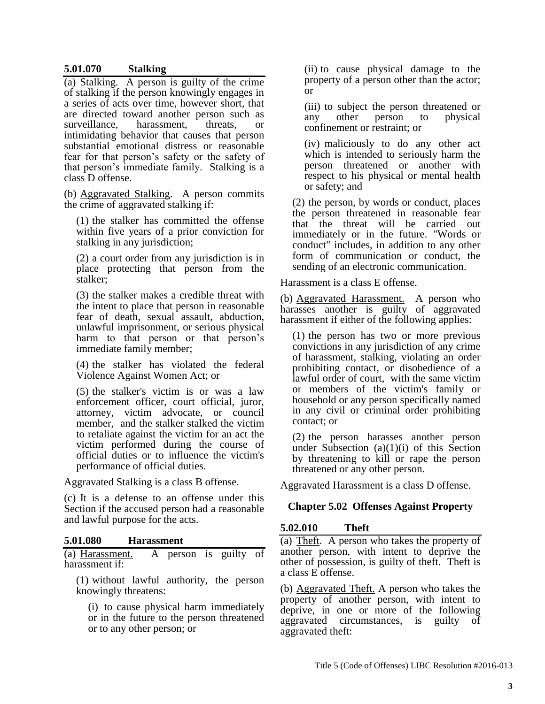### **5.01.070 Stalking**

(a) Stalking. A person is guilty of the crime of stalking if the person knowingly engages in a series of acts over time, however short, that are directed toward another person such as surveillance, harassment, threats, or intimidating behavior that causes that person substantial emotional distress or reasonable fear for that person's safety or the safety of that person's immediate family. Stalking is a class D offense.

(b) Aggravated Stalking. A person commits the crime of aggravated stalking if:

(1) the stalker has committed the offense within five years of a prior conviction for stalking in any jurisdiction;

(2) a court order from any jurisdiction is in place protecting that person from the stalker;

(3) the stalker makes a credible threat with the intent to place that person in reasonable fear of death, sexual assault, abduction, unlawful imprisonment, or serious physical harm to that person or that person's immediate family member;

(4) the stalker has violated the federal Violence Against Women Act; or

(5) the stalker's victim is or was a law enforcement officer, court official, juror, attorney, victim advocate, or council member, and the stalker stalked the victim to retaliate against the victim for an act the victim performed during the course of official duties or to influence the victim's performance of official duties.

Aggravated Stalking is a class B offense.

(c) It is a defense to an offense under this Section if the accused person had a reasonable and lawful purpose for the acts.

#### **5.01.080 Harassment**

(a) Harassment. A person is guilty of harassment if:

(1) without lawful authority, the person knowingly threatens:

(i) to cause physical harm immediately or in the future to the person threatened or to any other person; or

(ii) to cause physical damage to the property of a person other than the actor; or

(iii) to subject the person threatened or any other person to physical confinement or restraint; or

(iv) maliciously to do any other act which is intended to seriously harm the person threatened or another with respect to his physical or mental health or safety; and

(2) the person, by words or conduct, places the person threatened in reasonable fear that the threat will be carried out immediately or in the future. "Words or conduct" includes, in addition to any other form of communication or conduct, the sending of an electronic communication.

Harassment is a class E offense.

(b) Aggravated Harassment. A person who harasses another is guilty of aggravated harassment if either of the following applies:

(1) the person has two or more previous convictions in any jurisdiction of any crime of harassment, stalking, violating an order prohibiting contact, or disobedience of a lawful order of court, with the same victim or members of the victim's family or household or any person specifically named in any civil or criminal order prohibiting contact; or

(2) the person harasses another person under Subsection  $(a)(1)(i)$  of this Section by threatening to kill or rape the person threatened or any other person.

Aggravated Harassment is a class D offense.

# **Chapter 5.02 Offenses Against Property**

#### **5.02.010 Theft**

(a) Theft. A person who takes the property of another person, with intent to deprive the other of possession, is guilty of theft. Theft is a class E offense.

(b) Aggravated Theft. A person who takes the property of another person, with intent to deprive, in one or more of the following aggravated circumstances, is guilty of aggravated theft: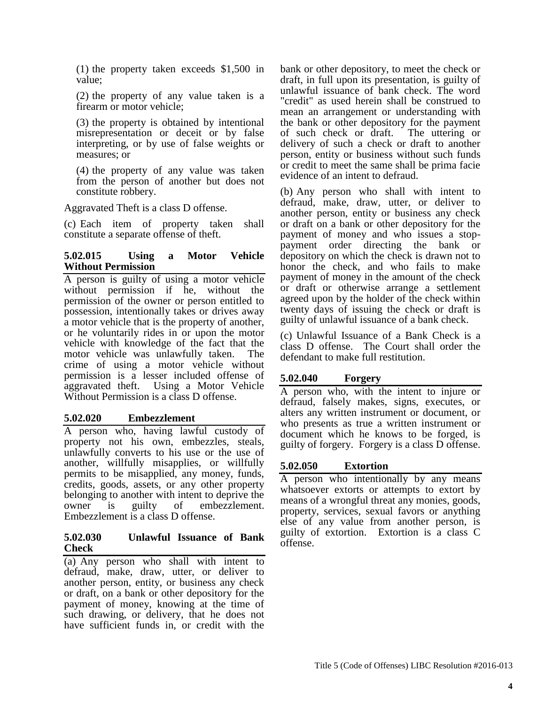(1) the property taken exceeds \$1,500 in value;

(2) the property of any value taken is a firearm or motor vehicle;

(3) the property is obtained by intentional misrepresentation or deceit or by false interpreting, or by use of false weights or measures; or

(4) the property of any value was taken from the person of another but does not constitute robbery.

Aggravated Theft is a class D offense.

(c) Each item of property taken shall constitute a separate offense of theft.

### **5.02.015 Using a Motor Vehicle Without Permission**

A person is guilty of using a motor vehicle without permission if he, without the permission of the owner or person entitled to possession, intentionally takes or drives away a motor vehicle that is the property of another, or he voluntarily rides in or upon the motor vehicle with knowledge of the fact that the motor vehicle was unlawfully taken. The crime of using a motor vehicle without permission is a lesser included offense of aggravated theft. Using a Motor Vehicle Without Permission is a class D offense.

# **5.02.020 Embezzlement**

A person who, having lawful custody of property not his own, embezzles, steals, unlawfully converts to his use or the use of another, willfully misapplies, or willfully permits to be misapplied, any money, funds, credits, goods, assets, or any other property belonging to another with intent to deprive the owner is guilty of embezzlement. Embezzlement is a class D offense.

#### **5.02.030 Unlawful Issuance of Bank Check**

(a) Any person who shall with intent to defraud, make, draw, utter, or deliver to another person, entity, or business any check or draft, on a bank or other depository for the payment of money, knowing at the time of such drawing, or delivery, that he does not have sufficient funds in, or credit with the

bank or other depository, to meet the check or draft, in full upon its presentation, is guilty of unlawful issuance of bank check. The word "credit" as used herein shall be construed to mean an arrangement or understanding with the bank or other depository for the payment of such check or draft. The uttering or delivery of such a check or draft to another person, entity or business without such funds or credit to meet the same shall be prima facie evidence of an intent to defraud.

(b) Any person who shall with intent to defraud, make, draw, utter, or deliver to another person, entity or business any check or draft on a bank or other depository for the payment of money and who issues a stoppayment order directing the bank or depository on which the check is drawn not to honor the check, and who fails to make payment of money in the amount of the check or draft or otherwise arrange a settlement agreed upon by the holder of the check within twenty days of issuing the check or draft is guilty of unlawful issuance of a bank check.

(c) Unlawful Issuance of a Bank Check is a class D offense. The Court shall order the defendant to make full restitution.

# **5.02.040 Forgery**

A person who, with the intent to injure or defraud, falsely makes, signs, executes, or alters any written instrument or document, or who presents as true a written instrument or document which he knows to be forged, is guilty of forgery. Forgery is a class D offense.

# **5.02.050 Extortion**

A person who intentionally by any means whatsoever extorts or attempts to extort by means of a wrongful threat any monies, goods, property, services, sexual favors or anything else of any value from another person, is guilty of extortion. Extortion is a class C offense.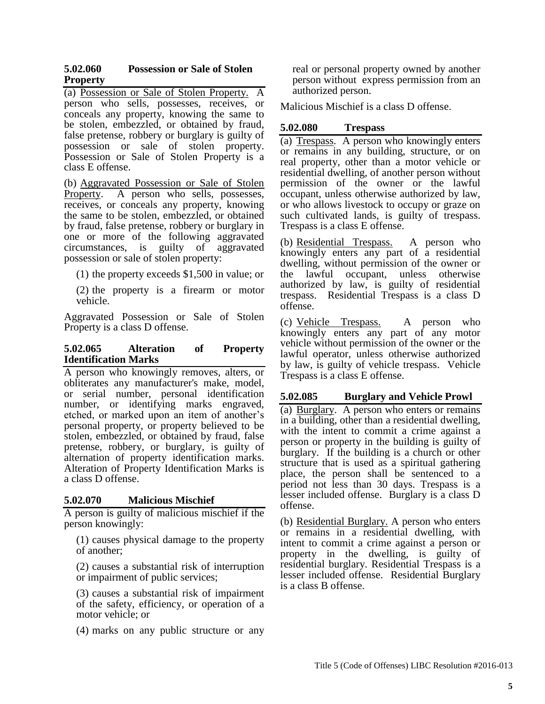# **5.02.060 Possession or Sale of Stolen Property**

(a) Possession or Sale of Stolen Property. A person who sells, possesses, receives, or conceals any property, knowing the same to be stolen, embezzled, or obtained by fraud, false pretense, robbery or burglary is guilty of possession or sale of stolen property. Possession or Sale of Stolen Property is a class E offense.

(b) Aggravated Possession or Sale of Stolen Property. A person who sells, possesses, receives, or conceals any property, knowing the same to be stolen, embezzled, or obtained by fraud, false pretense, robbery or burglary in one or more of the following aggravated circumstances, is guilty of aggravated possession or sale of stolen property:

- (1) the property exceeds \$1,500 in value; or
- (2) the property is a firearm or motor vehicle.

Aggravated Possession or Sale of Stolen Property is a class D offense.

# **5.02.065 Alteration of Property Identification Marks**

A person who knowingly removes, alters, or obliterates any manufacturer's make, model, or serial number, personal identification number, or identifying marks engraved, etched, or marked upon an item of another's personal property, or property believed to be stolen, embezzled, or obtained by fraud, false pretense, robbery, or burglary, is guilty of alternation of property identification marks. Alteration of Property Identification Marks is a class D offense.

# **5.02.070 Malicious Mischief**

A person is guilty of malicious mischief if the person knowingly:

(1) causes physical damage to the property of another;

(2) causes a substantial risk of interruption or impairment of public services;

(3) causes a substantial risk of impairment of the safety, efficiency, or operation of a motor vehicle; or

(4) marks on any public structure or any

real or personal property owned by another person without express permission from an authorized person.

Malicious Mischief is a class D offense.

# **5.02.080 Trespass**

(a) Trespass. A person who knowingly enters or remains in any building, structure, or on real property, other than a motor vehicle or residential dwelling, of another person without permission of the owner or the lawful occupant, unless otherwise authorized by law, or who allows livestock to occupy or graze on such cultivated lands, is guilty of trespass. Trespass is a class E offense.

(b) Residential Trespass. A person who knowingly enters any part of a residential dwelling, without permission of the owner or the lawful occupant, unless otherwise authorized by law, is guilty of residential trespass. Residential Trespass is a class D offense.

(c) Vehicle Trespass. A person who knowingly enters any part of any motor vehicle without permission of the owner or the lawful operator, unless otherwise authorized by law, is guilty of vehicle trespass. Vehicle Trespass is a class E offense.

# **5.02.085 Burglary and Vehicle Prowl**

(a) Burglary. A person who enters or remains in a building, other than a residential dwelling, with the intent to commit a crime against a person or property in the building is guilty of burglary. If the building is a church or other structure that is used as a spiritual gathering place, the person shall be sentenced to a period not less than 30 days. Trespass is a lesser included offense. Burglary is a class D offense.

(b) Residential Burglary. A person who enters or remains in a residential dwelling, with intent to commit a crime against a person or property in the dwelling, is guilty of residential burglary. Residential Trespass is a lesser included offense. Residential Burglary is a class B offense.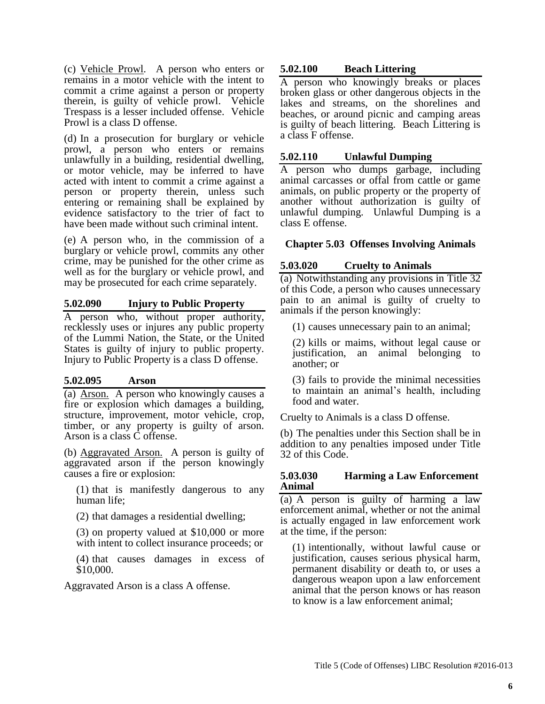(c) Vehicle Prowl. A person who enters or remains in a motor vehicle with the intent to commit a crime against a person or property therein, is guilty of vehicle prowl. Vehicle Trespass is a lesser included offense. Vehicle Prowl is a class D offense.

(d) In a prosecution for burglary or vehicle prowl, a person who enters or remains unlawfully in a building, residential dwelling, or motor vehicle, may be inferred to have acted with intent to commit a crime against a person or property therein, unless such entering or remaining shall be explained by evidence satisfactory to the trier of fact to have been made without such criminal intent.

(e) A person who, in the commission of a burglary or vehicle prowl, commits any other crime, may be punished for the other crime as well as for the burglary or vehicle prowl, and may be prosecuted for each crime separately.

### **5.02.090 Injury to Public Property**

A person who, without proper authority, recklessly uses or injures any public property of the Lummi Nation, the State, or the United States is guilty of injury to public property. Injury to Public Property is a class D offense.

#### **5.02.095 Arson**

(a) Arson. A person who knowingly causes a fire or explosion which damages a building, structure, improvement, motor vehicle, crop, timber, or any property is guilty of arson. Arson is a class C offense.

(b) Aggravated Arson. A person is guilty of aggravated arson if the person knowingly causes a fire or explosion:

(1) that is manifestly dangerous to any human life;

(2) that damages a residential dwelling;

(3) on property valued at \$10,000 or more with intent to collect insurance proceeds; or

(4) that causes damages in excess of \$10,000.

Aggravated Arson is a class A offense.

### **5.02.100 Beach Littering**

A person who knowingly breaks or places broken glass or other dangerous objects in the lakes and streams, on the shorelines and beaches, or around picnic and camping areas is guilty of beach littering. Beach Littering is a class F offense.

### **5.02.110 Unlawful Dumping**

A person who dumps garbage, including animal carcasses or offal from cattle or game animals, on public property or the property of another without authorization is guilty of unlawful dumping. Unlawful Dumping is a class E offense.

# **Chapter 5.03 Offenses Involving Animals**

### **5.03.020 Cruelty to Animals**

(a) Notwithstanding any provisions in Title 32 of this Code, a person who causes unnecessary pain to an animal is guilty of cruelty to animals if the person knowingly:

(1) causes unnecessary pain to an animal;

(2) kills or maims, without legal cause or justification, an animal belonging to another; or

(3) fails to provide the minimal necessities to maintain an animal's health, including food and water.

Cruelty to Animals is a class D offense.

(b) The penalties under this Section shall be in addition to any penalties imposed under Title 32 of this Code.

# **5.03.030 Harming a Law Enforcement Animal**

(a) A person is guilty of harming a law enforcement animal, whether or not the animal is actually engaged in law enforcement work at the time, if the person:

(1) intentionally, without lawful cause or justification, causes serious physical harm, permanent disability or death to, or uses a dangerous weapon upon a law enforcement animal that the person knows or has reason to know is a law enforcement animal;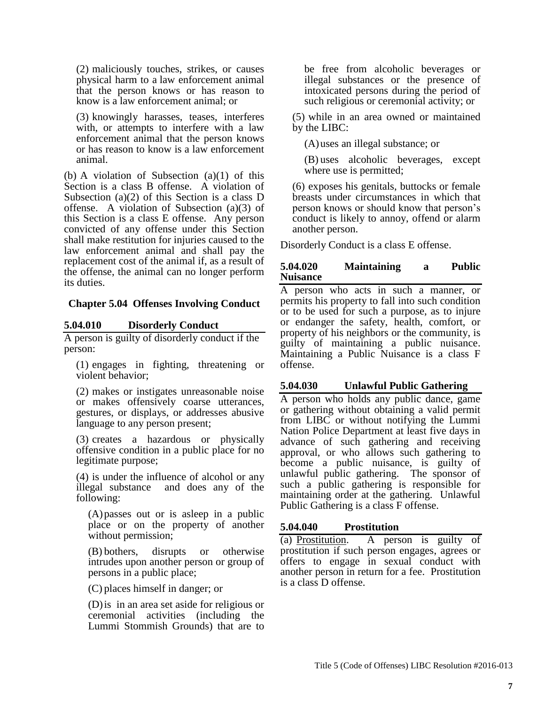(2) maliciously touches, strikes, or causes physical harm to a law enforcement animal that the person knows or has reason to know is a law enforcement animal; or

(3) knowingly harasses, teases, interferes with, or attempts to interfere with a law enforcement animal that the person knows or has reason to know is a law enforcement animal.

(b) A violation of Subsection  $(a)(1)$  of this Section is a class B offense. A violation of Subsection (a)(2) of this Section is a class D offense. A violation of Subsection (a)(3) of this Section is a class E offense. Any person convicted of any offense under this Section shall make restitution for injuries caused to the law enforcement animal and shall pay the replacement cost of the animal if, as a result of the offense, the animal can no longer perform its duties.

# **Chapter 5.04 Offenses Involving Conduct**

### **5.04.010 Disorderly Conduct**

A person is guilty of disorderly conduct if the person:

(1) engages in fighting, threatening or violent behavior;

(2) makes or instigates unreasonable noise or makes offensively coarse utterances, gestures, or displays, or addresses abusive language to any person present;

(3) creates a hazardous or physically offensive condition in a public place for no legitimate purpose;

(4) is under the influence of alcohol or any illegal substance and does any of the following:

(A)passes out or is asleep in a public place or on the property of another without permission;

(B) bothers, disrupts or otherwise intrudes upon another person or group of persons in a public place;

(C) places himself in danger; or

(D)is in an area set aside for religious or ceremonial activities (including the Lummi Stommish Grounds) that are to

be free from alcoholic beverages or illegal substances or the presence of intoxicated persons during the period of such religious or ceremonial activity; or

(5) while in an area owned or maintained by the LIBC:

(A)uses an illegal substance; or

(B) uses alcoholic beverages, except where use is permitted;

(6) exposes his genitals, buttocks or female breasts under circumstances in which that person knows or should know that person's conduct is likely to annoy, offend or alarm another person.

Disorderly Conduct is a class E offense.

### **5.04.020 Maintaining a Public Nuisance**

A person who acts in such a manner, or permits his property to fall into such condition or to be used for such a purpose, as to injure or endanger the safety, health, comfort, or property of his neighbors or the community, is guilty of maintaining a public nuisance. Maintaining a Public Nuisance is a class F offense.

#### **5.04.030 Unlawful Public Gathering**

A person who holds any public dance, game or gathering without obtaining a valid permit from LIBC or without notifying the Lummi Nation Police Department at least five days in advance of such gathering and receiving approval, or who allows such gathering to become a public nuisance, is guilty of unlawful public gathering. The sponsor of such a public gathering is responsible for maintaining order at the gathering. Unlawful Public Gathering is a class F offense.

# **5.04.040 Prostitution**

(a) Prostitution. A person is guilty of prostitution if such person engages, agrees or offers to engage in sexual conduct with another person in return for a fee. Prostitution is a class D offense.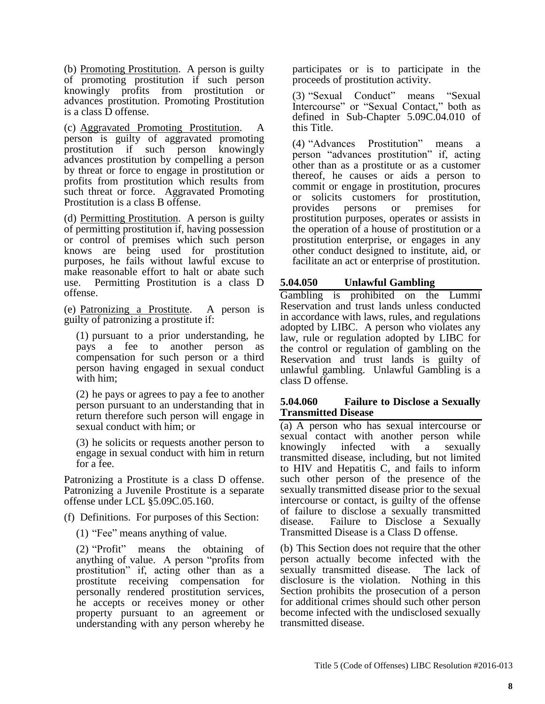(b) Promoting Prostitution. A person is guilty of promoting prostitution if such person knowingly profits from prostitution or advances prostitution. Promoting Prostitution is a class D offense.

(c) Aggravated Promoting Prostitution. A person is guilty of aggravated promoting prostitution if such person knowingly advances prostitution by compelling a person by threat or force to engage in prostitution or profits from prostitution which results from such threat or force. Aggravated Promoting Prostitution is a class B offense.

(d) Permitting Prostitution. A person is guilty of permitting prostitution if, having possession or control of premises which such person knows are being used for prostitution purposes, he fails without lawful excuse to make reasonable effort to halt or abate such use. Permitting Prostitution is a class D offense.

(e) Patronizing a Prostitute. A person is guilty of patronizing a prostitute if:

(1) pursuant to a prior understanding, he pays a fee to another person as compensation for such person or a third person having engaged in sexual conduct with him;

(2) he pays or agrees to pay a fee to another person pursuant to an understanding that in return therefore such person will engage in sexual conduct with him; or

(3) he solicits or requests another person to engage in sexual conduct with him in return for a fee.

Patronizing a Prostitute is a class D offense. Patronizing a Juvenile Prostitute is a separate offense under LCL §5.09C.05.160.

# (f) Definitions. For purposes of this Section:

(1) "Fee" means anything of value.

(2) "Profit" means the obtaining of anything of value. A person "profits from prostitution" if, acting other than as a prostitute receiving compensation for personally rendered prostitution services, he accepts or receives money or other property pursuant to an agreement or understanding with any person whereby he

participates or is to participate in the proceeds of prostitution activity.

(3) "Sexual Conduct" means "Sexual Intercourse" or "Sexual Contact," both as defined in Sub-Chapter 5.09C.04.010 of this Title.

(4) "Advances Prostitution" means a person "advances prostitution" if, acting other than as a prostitute or as a customer thereof, he causes or aids a person to commit or engage in prostitution, procures or solicits customers for prostitution, provides persons or premises for prostitution purposes, operates or assists in the operation of a house of prostitution or a prostitution enterprise, or engages in any other conduct designed to institute, aid, or facilitate an act or enterprise of prostitution.

### **5.04.050 Unlawful Gambling**

Gambling is prohibited on the Lummi Reservation and trust lands unless conducted in accordance with laws, rules, and regulations adopted by LIBC. A person who violates any law, rule or regulation adopted by LIBC for the control or regulation of gambling on the Reservation and trust lands is guilty of unlawful gambling. Unlawful Gambling is a class D offense.

#### **5.04.060 Failure to Disclose a Sexually Transmitted Disease**

(a) A person who has sexual intercourse or sexual contact with another person while knowingly infected with a sexually transmitted disease, including, but not limited to HIV and Hepatitis C, and fails to inform such other person of the presence of the sexually transmitted disease prior to the sexual intercourse or contact, is guilty of the offense of failure to disclose a sexually transmitted disease. Failure to Disclose a Sexually Transmitted Disease is a Class D offense.

(b) This Section does not require that the other person actually become infected with the sexually transmitted disease. The lack of disclosure is the violation. Nothing in this Section prohibits the prosecution of a person for additional crimes should such other person become infected with the undisclosed sexually transmitted disease.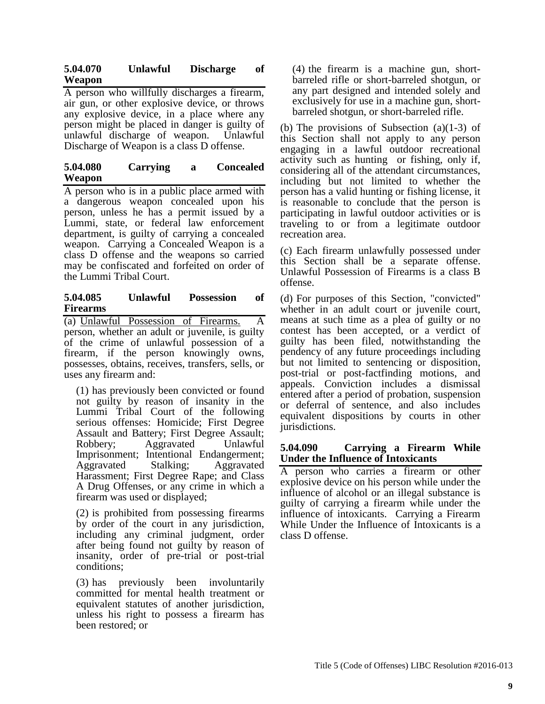# **5.04.070 Unlawful Discharge of Weapon**

A person who willfully discharges a firearm, air gun, or other explosive device, or throws any explosive device, in a place where any person might be placed in danger is guilty of unlawful discharge of weapon. Unlawful Discharge of Weapon is a class D offense.

### **5.04.080 Carrying a Concealed Weapon**

A person who is in a public place armed with a dangerous weapon concealed upon his person, unless he has a permit issued by a Lummi, state, or federal law enforcement department, is guilty of carrying a concealed weapon. Carrying a Concealed Weapon is a class D offense and the weapons so carried may be confiscated and forfeited on order of the Lummi Tribal Court.

#### **5.04.085 Unlawful Possession of Firearms**

(a) Unlawful Possession of Firearms. A person, whether an adult or juvenile, is guilty of the crime of unlawful possession of a firearm, if the person knowingly owns, possesses, obtains, receives, transfers, sells, or uses any firearm and:

(1) has previously been convicted or found not guilty by reason of insanity in the Lummi Tribal Court of the following serious offenses: Homicide; First Degree Assault and Battery; First Degree Assault; Robbery; Aggravated Unlawful Imprisonment; Intentional Endangerment; Aggravated Stalking; Aggravated Harassment; First Degree Rape; and Class A Drug Offenses, or any crime in which a firearm was used or displayed;

(2) is prohibited from possessing firearms by order of the court in any jurisdiction, including any criminal judgment, order after being found not guilty by reason of insanity, order of pre-trial or post-trial conditions;

(3) has previously been involuntarily committed for mental health treatment or equivalent statutes of another jurisdiction, unless his right to possess a firearm has been restored; or

(4) the firearm is a machine gun, shortbarreled rifle or short-barreled shotgun, or any part designed and intended solely and exclusively for use in a machine gun, shortbarreled shotgun, or short-barreled rifle.

(b) The provisions of Subsection (a)(1-3) of this Section shall not apply to any person engaging in a lawful outdoor recreational activity such as hunting or fishing, only if, considering all of the attendant circumstances, including but not limited to whether the person has a valid hunting or fishing license, it is reasonable to conclude that the person is participating in lawful outdoor activities or is traveling to or from a legitimate outdoor recreation area.

(c) Each firearm unlawfully possessed under this Section shall be a separate offense. Unlawful Possession of Firearms is a class B offense.

(d) For purposes of this Section, "convicted" whether in an adult court or juvenile court, means at such time as a plea of guilty or no contest has been accepted, or a verdict of guilty has been filed, notwithstanding the pendency of any future proceedings including but not limited to sentencing or disposition, post-trial or post-factfinding motions, and appeals. Conviction includes a dismissal entered after a period of probation, suspension or deferral of sentence, and also includes equivalent dispositions by courts in other jurisdictions.

### **5.04.090 Carrying a Firearm While Under the Influence of Intoxicants**

A person who carries a firearm or other explosive device on his person while under the influence of alcohol or an illegal substance is guilty of carrying a firearm while under the influence of intoxicants. Carrying a Firearm While Under the Influence of Intoxicants is a class D offense.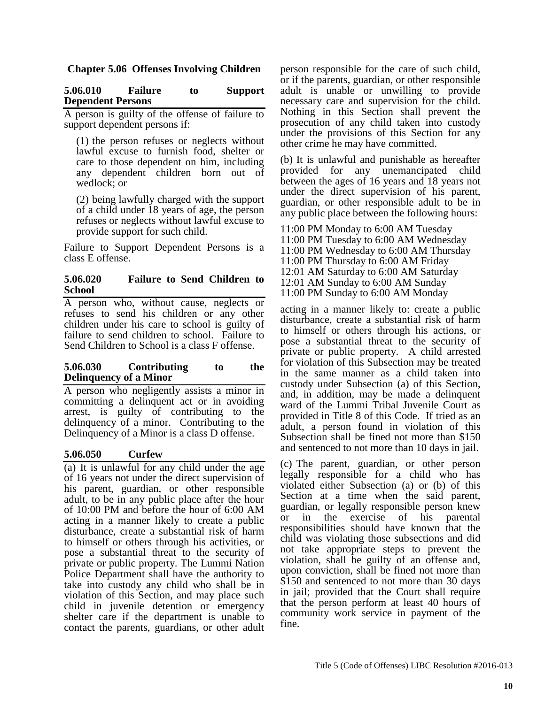### **Chapter 5.06 Offenses Involving Children**

#### **5.06.010 Failure to Support Dependent Persons**

A person is guilty of the offense of failure to support dependent persons if:

(1) the person refuses or neglects without lawful excuse to furnish food, shelter or care to those dependent on him, including any dependent children born out of wedlock; or

(2) being lawfully charged with the support of a child under 18 years of age, the person refuses or neglects without lawful excuse to provide support for such child.

Failure to Support Dependent Persons is a class E offense.

#### **5.06.020 Failure to Send Children to School**

A person who, without cause, neglects or refuses to send his children or any other children under his care to school is guilty of failure to send children to school. Failure to Send Children to School is a class F offense.

#### **5.06.030 Contributing to the Delinquency of a Minor**

A person who negligently assists a minor in committing a delinquent act or in avoiding arrest, is guilty of contributing to the delinquency of a minor. Contributing to the Delinquency of a Minor is a class D offense.

# **5.06.050 Curfew**

(a) It is unlawful for any child under the age of 16 years not under the direct supervision of his parent, guardian, or other responsible adult, to be in any public place after the hour of 10:00 PM and before the hour of 6:00 AM acting in a manner likely to create a public disturbance, create a substantial risk of harm to himself or others through his activities, or pose a substantial threat to the security of private or public property. The Lummi Nation Police Department shall have the authority to take into custody any child who shall be in violation of this Section, and may place such child in juvenile detention or emergency shelter care if the department is unable to contact the parents, guardians, or other adult person responsible for the care of such child, or if the parents, guardian, or other responsible adult is unable or unwilling to provide necessary care and supervision for the child. Nothing in this Section shall prevent the prosecution of any child taken into custody under the provisions of this Section for any other crime he may have committed.

(b) It is unlawful and punishable as hereafter provided for any unemancipated child between the ages of 16 years and 18 years not under the direct supervision of his parent, guardian, or other responsible adult to be in any public place between the following hours:

11:00 PM Monday to 6:00 AM Tuesday 11:00 PM Tuesday to 6:00 AM Wednesday 11:00 PM Wednesday to 6:00 AM Thursday 11:00 PM Thursday to 6:00 AM Friday 12:01 AM Saturday to 6:00 AM Saturday 12:01 AM Sunday to 6:00 AM Sunday 11:00 PM Sunday to 6:00 AM Monday

acting in a manner likely to: create a public disturbance, create a substantial risk of harm to himself or others through his actions, or pose a substantial threat to the security of private or public property. A child arrested for violation of this Subsection may be treated in the same manner as a child taken into custody under Subsection (a) of this Section, and, in addition, may be made a delinquent ward of the Lummi Tribal Juvenile Court as provided in Title 8 of this Code. If tried as an adult, a person found in violation of this Subsection shall be fined not more than \$150 and sentenced to not more than 10 days in jail.

(c) The parent, guardian, or other person legally responsible for a child who has violated either Subsection (a) or (b) of this Section at a time when the said parent, guardian, or legally responsible person knew or in the exercise of his parental responsibilities should have known that the child was violating those subsections and did not take appropriate steps to prevent the violation, shall be guilty of an offense and, upon conviction, shall be fined not more than \$150 and sentenced to not more than 30 days in jail; provided that the Court shall require that the person perform at least 40 hours of community work service in payment of the fine.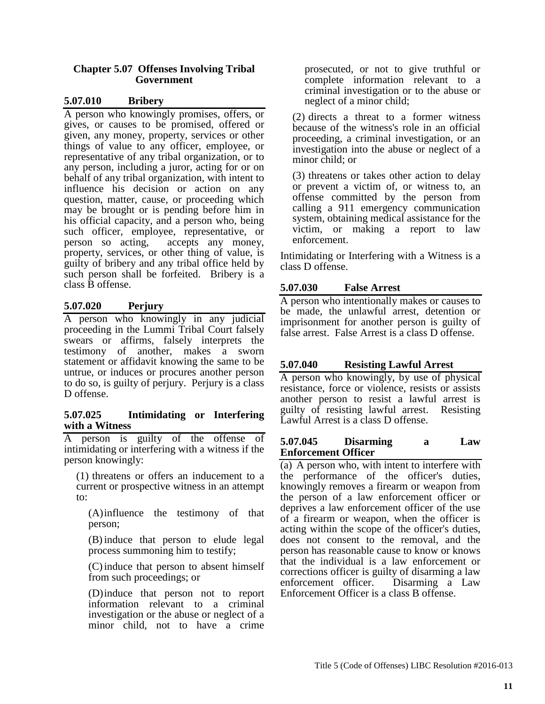### **Chapter 5.07 Offenses Involving Tribal Government**

# **5.07.010 Bribery**

A person who knowingly promises, offers, or gives, or causes to be promised, offered or given, any money, property, services or other things of value to any officer, employee, or representative of any tribal organization, or to any person, including a juror, acting for or on behalf of any tribal organization, with intent to influence his decision or action on any question, matter, cause, or proceeding which may be brought or is pending before him in his official capacity, and a person who, being such officer, employee, representative, or person so acting, accepts any money, property, services, or other thing of value, is guilty of bribery and any tribal office held by such person shall be forfeited. Bribery is a class B offense.

# **5.07.020 Perjury**

A person who knowingly in any judicial proceeding in the Lummi Tribal Court falsely swears or affirms, falsely interprets the testimony of another, makes a sworn statement or affidavit knowing the same to be untrue, or induces or procures another person to do so, is guilty of perjury. Perjury is a class D offense.

### **5.07.025 Intimidating or Interfering with a Witness**

A person is guilty of the offense of intimidating or interfering with a witness if the person knowingly:

(1) threatens or offers an inducement to a current or prospective witness in an attempt to:

(A)influence the testimony of that person;

(B)induce that person to elude legal process summoning him to testify;

(C)induce that person to absent himself from such proceedings; or

(D)induce that person not to report information relevant to a criminal investigation or the abuse or neglect of a minor child, not to have a crime

prosecuted, or not to give truthful or complete information relevant to a criminal investigation or to the abuse or neglect of a minor child;

(2) directs a threat to a former witness because of the witness's role in an official proceeding, a criminal investigation, or an investigation into the abuse or neglect of a minor child; or

(3) threatens or takes other action to delay or prevent a victim of, or witness to, an offense committed by the person from calling a 911 emergency communication system, obtaining medical assistance for the victim, or making a report to law enforcement.

Intimidating or Interfering with a Witness is a class D offense.

# **5.07.030 False Arrest**

A person who intentionally makes or causes to be made, the unlawful arrest, detention or imprisonment for another person is guilty of false arrest. False Arrest is a class D offense.

# **5.07.040 Resisting Lawful Arrest**

A person who knowingly, by use of physical resistance, force or violence, resists or assists another person to resist a lawful arrest is guilty of resisting lawful arrest. Resisting Lawful Arrest is a class D offense.

#### **5.07.045 Disarming a Law Enforcement Officer**

(a) A person who, with intent to interfere with the performance of the officer's duties, knowingly removes a firearm or weapon from the person of a law enforcement officer or deprives a law enforcement officer of the use of a firearm or weapon, when the officer is acting within the scope of the officer's duties, does not consent to the removal, and the person has reasonable cause to know or knows that the individual is a law enforcement or corrections officer is guilty of disarming a law enforcement officer. Disarming a Law Enforcement Officer is a class B offense.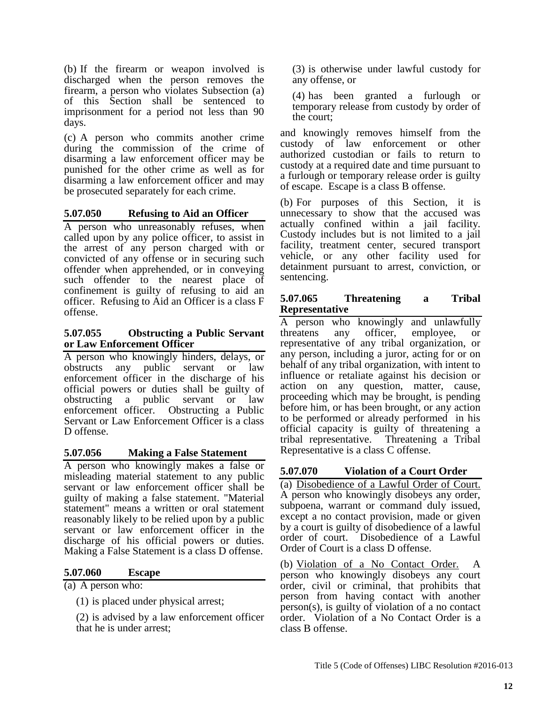(b) If the firearm or weapon involved is discharged when the person removes the firearm, a person who violates Subsection (a) of this Section shall be sentenced to imprisonment for a period not less than 90 days.

(c) A person who commits another crime during the commission of the crime of disarming a law enforcement officer may be punished for the other crime as well as for disarming a law enforcement officer and may be prosecuted separately for each crime.

# **5.07.050 Refusing to Aid an Officer**

A person who unreasonably refuses, when called upon by any police officer, to assist in the arrest of any person charged with or convicted of any offense or in securing such offender when apprehended, or in conveying such offender to the nearest place of confinement is guilty of refusing to aid an officer. Refusing to Aid an Officer is a class F offense.

#### **5.07.055 Obstructing a Public Servant or Law Enforcement Officer**

A person who knowingly hinders, delays, or obstructs any public servant or law enforcement officer in the discharge of his official powers or duties shall be guilty of obstructing a public servant or law enforcement officer. Obstructing a Public Servant or Law Enforcement Officer is a class D offense.

# **5.07.056 Making a False Statement**

A person who knowingly makes a false or misleading material statement to any public servant or law enforcement officer shall be guilty of making a false statement. "Material statement" means a written or oral statement reasonably likely to be relied upon by a public servant or law enforcement officer in the discharge of his official powers or duties. Making a False Statement is a class D offense.

# **5.07.060 Escape**

(a) A person who:

(1) is placed under physical arrest;

(2) is advised by a law enforcement officer that he is under arrest;

(3) is otherwise under lawful custody for any offense, or

(4) has been granted a furlough or temporary release from custody by order of the court;

and knowingly removes himself from the custody of law enforcement or other authorized custodian or fails to return to custody at a required date and time pursuant to a furlough or temporary release order is guilty of escape. Escape is a class B offense.

(b) For purposes of this Section, it is unnecessary to show that the accused was actually confined within a jail facility. Custody includes but is not limited to a jail facility, treatment center, secured transport vehicle, or any other facility used for detainment pursuant to arrest, conviction, or sentencing.

# **5.07.065 Threatening a Tribal Representative**

A person who knowingly and unlawfully threatens any officer, employee, or representative of any tribal organization, or any person, including a juror, acting for or on behalf of any tribal organization, with intent to influence or retaliate against his decision or action on any question, matter, cause, proceeding which may be brought, is pending before him, or has been brought, or any action to be performed or already performed in his official capacity is guilty of threatening a tribal representative. Threatening a Tribal Representative is a class C offense.

# **5.07.070 Violation of a Court Order**

(a) Disobedience of a Lawful Order of Court. A person who knowingly disobeys any order, subpoena, warrant or command duly issued, except a no contact provision, made or given by a court is guilty of disobedience of a lawful order of court. Disobedience of a Lawful Order of Court is a class D offense.

(b) Violation of a No Contact Order. A person who knowingly disobeys any court order, civil or criminal, that prohibits that person from having contact with another person(s), is guilty of violation of a no contact order. Violation of a No Contact Order is a class B offense.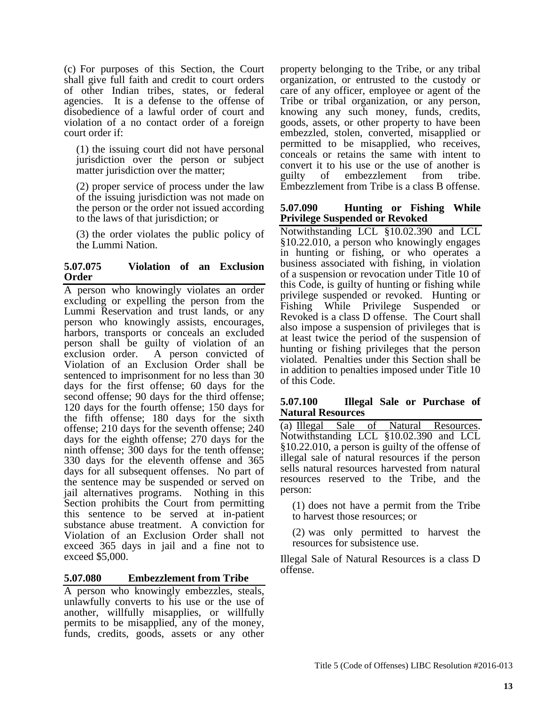(c) For purposes of this Section, the Court shall give full faith and credit to court orders of other Indian tribes, states, or federal agencies. It is a defense to the offense of disobedience of a lawful order of court and violation of a no contact order of a foreign court order if:

(1) the issuing court did not have personal jurisdiction over the person or subject matter jurisdiction over the matter;

(2) proper service of process under the law of the issuing jurisdiction was not made on the person or the order not issued according to the laws of that jurisdiction; or

(3) the order violates the public policy of the Lummi Nation.

#### **5.07.075 Violation of an Exclusion Order**

A person who knowingly violates an order excluding or expelling the person from the Lummi Reservation and trust lands, or any person who knowingly assists, encourages, harbors, transports or conceals an excluded person shall be guilty of violation of an exclusion order. A person convicted of Violation of an Exclusion Order shall be sentenced to imprisonment for no less than 30 days for the first offense; 60 days for the second offense; 90 days for the third offense; 120 days for the fourth offense; 150 days for the fifth offense; 180 days for the sixth offense; 210 days for the seventh offense; 240 days for the eighth offense; 270 days for the ninth offense; 300 days for the tenth offense; 330 days for the eleventh offense and 365 days for all subsequent offenses. No part of the sentence may be suspended or served on jail alternatives programs. Nothing in this Section prohibits the Court from permitting this sentence to be served at in-patient substance abuse treatment. A conviction for Violation of an Exclusion Order shall not exceed 365 days in jail and a fine not to exceed \$5,000.

# **5.07.080 Embezzlement from Tribe**

A person who knowingly embezzles, steals, unlawfully converts to his use or the use of another, willfully misapplies, or willfully permits to be misapplied, any of the money, funds, credits, goods, assets or any other

property belonging to the Tribe, or any tribal organization, or entrusted to the custody or care of any officer, employee or agent of the Tribe or tribal organization, or any person, knowing any such money, funds, credits, goods, assets, or other property to have been embezzled, stolen, converted, misapplied or permitted to be misapplied, who receives, conceals or retains the same with intent to convert it to his use or the use of another is guilty of embezzlement from tribe. Embezzlement from Tribe is a class B offense.

#### **5.07.090 Hunting or Fishing While Privilege Suspended or Revoked**

Notwithstanding LCL §10.02.390 and LCL §10.22.010, a person who knowingly engages in hunting or fishing, or who operates a business associated with fishing, in violation of a suspension or revocation under Title 10 of this Code, is guilty of hunting or fishing while privilege suspended or revoked. Hunting or Fishing While Privilege Suspended or Revoked is a class D offense. The Court shall also impose a suspension of privileges that is at least twice the period of the suspension of hunting or fishing privileges that the person violated. Penalties under this Section shall be in addition to penalties imposed under Title 10 of this Code.

### **5.07.100 Illegal Sale or Purchase of Natural Resources**

(a) Illegal Sale of Natural Resources. Notwithstanding LCL §10.02.390 and LCL §10.22.010, a person is guilty of the offense of illegal sale of natural resources if the person sells natural resources harvested from natural resources reserved to the Tribe, and the person:

(1) does not have a permit from the Tribe to harvest those resources; or

(2) was only permitted to harvest the resources for subsistence use.

Illegal Sale of Natural Resources is a class D offense.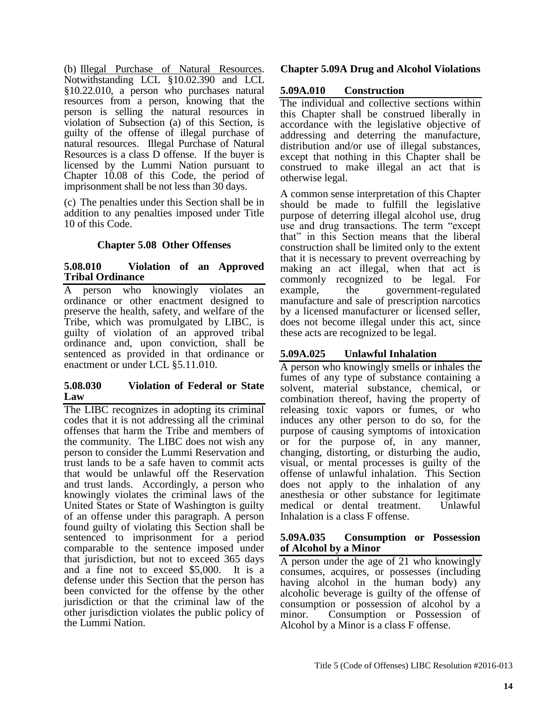(b) Illegal Purchase of Natural Resources. Notwithstanding LCL §10.02.390 and LCL §10.22.010, a person who purchases natural resources from a person, knowing that the person is selling the natural resources in violation of Subsection (a) of this Section, is guilty of the offense of illegal purchase of natural resources. Illegal Purchase of Natural Resources is a class D offense. If the buyer is licensed by the Lummi Nation pursuant to Chapter 10.08 of this Code, the period of imprisonment shall be not less than 30 days.

(c) The penalties under this Section shall be in addition to any penalties imposed under Title 10 of this Code.

# **Chapter 5.08 Other Offenses**

#### **5.08.010 Violation of an Approved Tribal Ordinance**

A person who knowingly violates an ordinance or other enactment designed to preserve the health, safety, and welfare of the Tribe, which was promulgated by LIBC, is guilty of violation of an approved tribal ordinance and, upon conviction, shall be sentenced as provided in that ordinance or enactment or under LCL §5.11.010.

### **5.08.030 Violation of Federal or State Law**

The LIBC recognizes in adopting its criminal codes that it is not addressing all the criminal offenses that harm the Tribe and members of the community. The LIBC does not wish any person to consider the Lummi Reservation and trust lands to be a safe haven to commit acts that would be unlawful off the Reservation and trust lands. Accordingly, a person who knowingly violates the criminal laws of the United States or State of Washington is guilty of an offense under this paragraph. A person found guilty of violating this Section shall be sentenced to imprisonment for a period comparable to the sentence imposed under that jurisdiction, but not to exceed 365 days and a fine not to exceed \$5,000. It is a defense under this Section that the person has been convicted for the offense by the other jurisdiction or that the criminal law of the other jurisdiction violates the public policy of the Lummi Nation.

# **Chapter 5.09A Drug and Alcohol Violations**

# **5.09A.010 Construction**

The individual and collective sections within this Chapter shall be construed liberally in accordance with the legislative objective of addressing and deterring the manufacture, distribution and/or use of illegal substances, except that nothing in this Chapter shall be construed to make illegal an act that is otherwise legal.

A common sense interpretation of this Chapter should be made to fulfill the legislative purpose of deterring illegal alcohol use, drug use and drug transactions. The term "except that" in this Section means that the liberal construction shall be limited only to the extent that it is necessary to prevent overreaching by making an act illegal, when that act is commonly recognized to be legal. For example, the government-regulated manufacture and sale of prescription narcotics by a licensed manufacturer or licensed seller, does not become illegal under this act, since these acts are recognized to be legal.

# **5.09A.025 Unlawful Inhalation**

A person who knowingly smells or inhales the fumes of any type of substance containing a solvent, material substance, chemical, or combination thereof, having the property of releasing toxic vapors or fumes, or who induces any other person to do so, for the purpose of causing symptoms of intoxication or for the purpose of, in any manner, changing, distorting, or disturbing the audio, visual, or mental processes is guilty of the offense of unlawful inhalation. This Section does not apply to the inhalation of any anesthesia or other substance for legitimate medical or dental treatment. Unlawful Inhalation is a class F offense.

#### **5.09A.035 Consumption or Possession of Alcohol by a Minor**

A person under the age of 21 who knowingly consumes, acquires, or possesses (including having alcohol in the human body) any alcoholic beverage is guilty of the offense of consumption or possession of alcohol by a minor. Consumption or Possession of Alcohol by a Minor is a class F offense.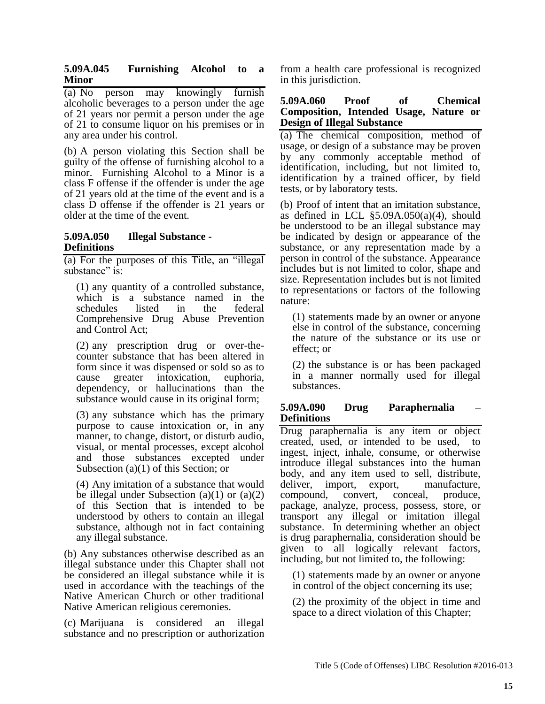### **5.09A.045 Furnishing Alcohol to a Minor**

(a) No person may knowingly furnish alcoholic beverages to a person under the age of 21 years nor permit a person under the age of 21 to consume liquor on his premises or in any area under his control.

(b) A person violating this Section shall be guilty of the offense of furnishing alcohol to a minor. Furnishing Alcohol to a Minor is a class F offense if the offender is under the age of 21 years old at the time of the event and is a class D offense if the offender is 21 years or older at the time of the event.

# **5.09A.050 Illegal Substance - Definitions**

(a) For the purposes of this Title, an "illegal substance" is:

(1) any quantity of a controlled substance, which is a substance named in the schedules listed in the federal Comprehensive Drug Abuse Prevention and Control Act;

(2) any prescription drug or over-thecounter substance that has been altered in form since it was dispensed or sold so as to cause greater intoxication, euphoria, dependency, or hallucinations than the substance would cause in its original form;

(3) any substance which has the primary purpose to cause intoxication or, in any manner, to change, distort, or disturb audio, visual, or mental processes, except alcohol and those substances excepted under Subsection (a)(1) of this Section; or

(4) Any imitation of a substance that would be illegal under Subsection (a)(1) or (a)(2) of this Section that is intended to be understood by others to contain an illegal substance, although not in fact containing any illegal substance.

(b) Any substances otherwise described as an illegal substance under this Chapter shall not be considered an illegal substance while it is used in accordance with the teachings of the Native American Church or other traditional Native American religious ceremonies.

(c) Marijuana is considered an illegal substance and no prescription or authorization from a health care professional is recognized in this jurisdiction.

#### **5.09A.060 Proof of Chemical Composition, Intended Usage, Nature or Design of Illegal Substance**

(a) The chemical composition, method of usage, or design of a substance may be proven by any commonly acceptable method of identification, including, but not limited to, identification by a trained officer, by field tests, or by laboratory tests.

(b) Proof of intent that an imitation substance, as defined in LCL  $\S5.09A.050(a)(4)$ , should be understood to be an illegal substance may be indicated by design or appearance of the substance, or any representation made by a person in control of the substance. Appearance includes but is not limited to color, shape and size. Representation includes but is not limited to representations or factors of the following nature:

(1) statements made by an owner or anyone else in control of the substance, concerning the nature of the substance or its use or effect; or

(2) the substance is or has been packaged in a manner normally used for illegal substances.

# **5.09A.090 Drug Paraphernalia – Definitions**

Drug paraphernalia is any item or object created, used, or intended to be used, to ingest, inject, inhale, consume, or otherwise introduce illegal substances into the human body, and any item used to sell, distribute, deliver, import, export, manufacture, compound, convert, conceal, produce, package, analyze, process, possess, store, or transport any illegal or imitation illegal substance. In determining whether an object is drug paraphernalia, consideration should be given to all logically relevant factors, including, but not limited to, the following:

(1) statements made by an owner or anyone in control of the object concerning its use;

(2) the proximity of the object in time and space to a direct violation of this Chapter;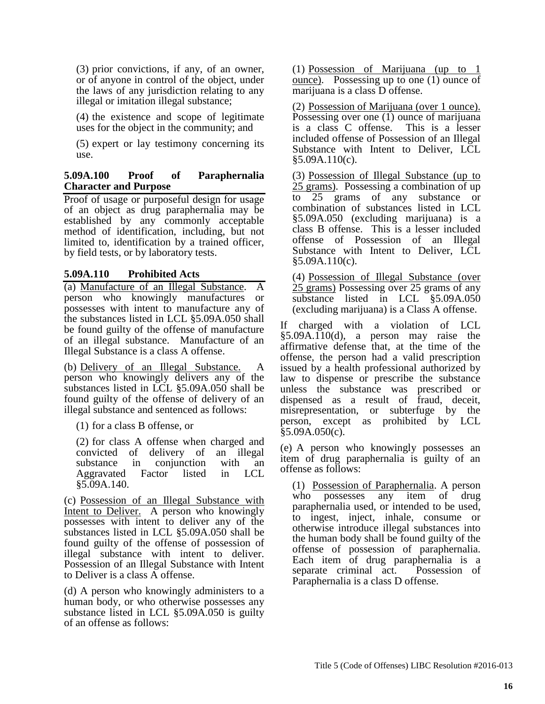(3) prior convictions, if any, of an owner, or of anyone in control of the object, under the laws of any jurisdiction relating to any illegal or imitation illegal substance;

(4) the existence and scope of legitimate uses for the object in the community; and

(5) expert or lay testimony concerning its use.

### **5.09A.100 Proof of Paraphernalia Character and Purpose**

Proof of usage or purposeful design for usage of an object as drug paraphernalia may be established by any commonly acceptable method of identification, including, but not limited to, identification by a trained officer, by field tests, or by laboratory tests.

# **5.09A.110 Prohibited Acts**

(a) Manufacture of an Illegal Substance. A person who knowingly manufactures or possesses with intent to manufacture any of the substances listed in LCL §5.09A.050 shall be found guilty of the offense of manufacture of an illegal substance. Manufacture of an Illegal Substance is a class A offense.

(b) Delivery of an Illegal Substance. A person who knowingly delivers any of the substances listed in LCL §5.09A.050 shall be found guilty of the offense of delivery of an illegal substance and sentenced as follows:

(1) for a class B offense, or

(2) for class A offense when charged and convicted of delivery of an illegal substance in conjunction with an Aggravated Factor listed in LCL §5.09A.140.

(c) Possession of an Illegal Substance with Intent to Deliver. A person who knowingly possesses with intent to deliver any of the substances listed in LCL §5.09A.050 shall be found guilty of the offense of possession of illegal substance with intent to deliver. Possession of an Illegal Substance with Intent to Deliver is a class A offense.

(d) A person who knowingly administers to a human body, or who otherwise possesses any substance listed in LCL §5.09A.050 is guilty of an offense as follows:

(1) Possession of Marijuana (up to 1 ounce). Possessing up to one (1) ounce of marijuana is a class D offense.

(2) Possession of Marijuana (over 1 ounce). Possessing over one (1) ounce of marijuana is a class C offense. This is a lesser included offense of Possession of an Illegal Substance with Intent to Deliver, LCL §5.09A.110(c).

(3) Possession of Illegal Substance (up to 25 grams). Possessing a combination of up to 25 grams of any substance or combination of substances listed in LCL §5.09A.050 (excluding marijuana) is a class B offense. This is a lesser included offense of Possession of an Illegal Substance with Intent to Deliver, LCL  $§5.09A.110(c).$ 

(4) Possession of Illegal Substance (over 25 grams) Possessing over 25 grams of any substance listed in LCL §5.09A.050 (excluding marijuana) is a Class A offense.

If charged with a violation of LCL §5.09A.110(d), a person may raise the affirmative defense that, at the time of the offense, the person had a valid prescription issued by a health professional authorized by law to dispense or prescribe the substance unless the substance was prescribed or dispensed as a result of fraud, deceit, misrepresentation, or subterfuge by the person, except as prohibited by LCL §5.09A.050(c).

(e) A person who knowingly possesses an item of drug paraphernalia is guilty of an offense as follows:

(1) Possession of Paraphernalia. A person who possesses any item of drug paraphernalia used, or intended to be used, to ingest, inject, inhale, consume or otherwise introduce illegal substances into the human body shall be found guilty of the offense of possession of paraphernalia. Each item of drug paraphernalia is a separate criminal act. Possession of Paraphernalia is a class D offense.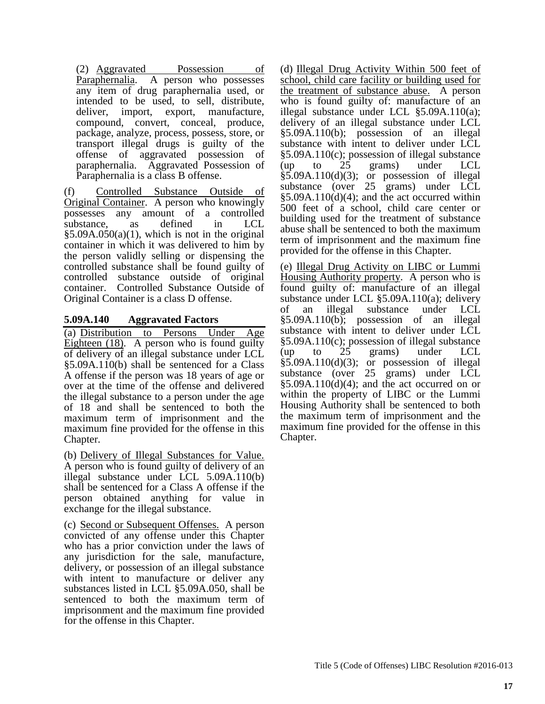(2) Aggravated Possession of Paraphernalia. A person who possesses any item of drug paraphernalia used, or intended to be used, to sell, distribute, deliver, import, export, manufacture, compound, convert, conceal, produce, package, analyze, process, possess, store, or transport illegal drugs is guilty of the offense of aggravated possession of paraphernalia. Aggravated Possession of Paraphernalia is a class B offense.

(f) Controlled Substance Outside of Original Container. A person who knowingly possesses any amount of a controlled substance, as defined in LCL  $§5.09A.050(a)(1)$ , which is not in the original container in which it was delivered to him by the person validly selling or dispensing the controlled substance shall be found guilty of controlled substance outside of original container. Controlled Substance Outside of Original Container is a class D offense.

# **5.09A.140 Aggravated Factors**

(a) Distribution to Persons Under Age Eighteen  $(18)$ . A person who is found guilty of delivery of an illegal substance under LCL §5.09A.110(b) shall be sentenced for a Class A offense if the person was 18 years of age or over at the time of the offense and delivered the illegal substance to a person under the age of 18 and shall be sentenced to both the maximum term of imprisonment and the maximum fine provided for the offense in this Chapter.

(b) Delivery of Illegal Substances for Value. A person who is found guilty of delivery of an illegal substance under LCL 5.09A.110(b) shall be sentenced for a Class A offense if the person obtained anything for value in exchange for the illegal substance.

(c) Second or Subsequent Offenses. A person convicted of any offense under this Chapter who has a prior conviction under the laws of any jurisdiction for the sale, manufacture, delivery, or possession of an illegal substance with intent to manufacture or deliver any substances listed in LCL §5.09A.050, shall be sentenced to both the maximum term of imprisonment and the maximum fine provided for the offense in this Chapter.

(d) Illegal Drug Activity Within 500 feet of school, child care facility or building used for the treatment of substance abuse. A person who is found guilty of: manufacture of an illegal substance under LCL §5.09A.110(a); delivery of an illegal substance under LCL §5.09A.110(b); possession of an illegal substance with intent to deliver under LCL §5.09A.110(c); possession of illegal substance (up to 25 grams) under LCL  $§5.09A.110(d)(3);$  or possession of illegal substance (over 25 grams) under LCL  $§5.09A.110(d)(4);$  and the act occurred within 500 feet of a school, child care center or building used for the treatment of substance abuse shall be sentenced to both the maximum term of imprisonment and the maximum fine provided for the offense in this Chapter.

(e) Illegal Drug Activity on LIBC or Lummi Housing Authority property. A person who is found guilty of: manufacture of an illegal substance under LCL §5.09A.110(a); delivery of an illegal substance under LCL §5.09A.110(b); possession of an illegal substance with intent to deliver under LCL §5.09A.110(c); possession of illegal substance (up to 25 grams) under LCL  $§5.09A.110(d)(3);$  or possession of illegal substance (over 25 grams) under LCL  $\S 5.09A.110(d)(4)$ ; and the act occurred on or within the property of LIBC or the Lummi Housing Authority shall be sentenced to both the maximum term of imprisonment and the maximum fine provided for the offense in this Chapter.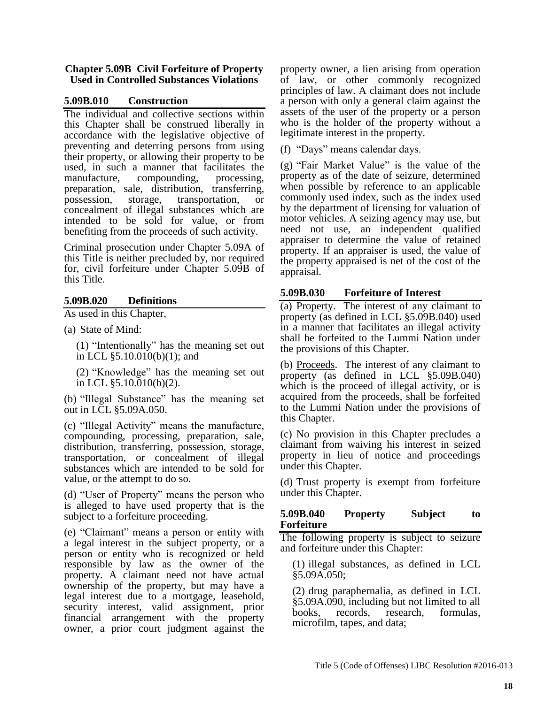# **Chapter 5.09B Civil Forfeiture of Property Used in Controlled Substances Violations**

# **5.09B.010 Construction**

The individual and collective sections within this Chapter shall be construed liberally in accordance with the legislative objective of preventing and deterring persons from using their property, or allowing their property to be used, in such a manner that facilitates the manufacture, compounding, processing, preparation, sale, distribution, transferring, possession, storage, transportation, or concealment of illegal substances which are intended to be sold for value, or from benefiting from the proceeds of such activity.

Criminal prosecution under Chapter 5.09A of this Title is neither precluded by, nor required for, civil forfeiture under Chapter 5.09B of this Title.

# **5.09B.020 Definitions**

As used in this Chapter,

(a) State of Mind:

(1) "Intentionally" has the meaning set out in LCL §5.10.010(b)(1); and

(2) "Knowledge" has the meaning set out in LCL §5.10.010(b)(2).

(b) "Illegal Substance" has the meaning set out in LCL §5.09A.050.

(c) "Illegal Activity" means the manufacture, compounding, processing, preparation, sale, distribution, transferring, possession, storage, transportation, or concealment of illegal substances which are intended to be sold for value, or the attempt to do so.

(d) "User of Property" means the person who is alleged to have used property that is the subject to a forfeiture proceeding.

(e) "Claimant" means a person or entity with a legal interest in the subject property, or a person or entity who is recognized or held responsible by law as the owner of the property. A claimant need not have actual ownership of the property, but may have a legal interest due to a mortgage, leasehold, security interest, valid assignment, prior financial arrangement with the property owner, a prior court judgment against the property owner, a lien arising from operation of law, or other commonly recognized principles of law. A claimant does not include a person with only a general claim against the assets of the user of the property or a person who is the holder of the property without a legitimate interest in the property.

(f) "Days" means calendar days.

(g) "Fair Market Value" is the value of the property as of the date of seizure, determined when possible by reference to an applicable commonly used index, such as the index used by the department of licensing for valuation of motor vehicles. A seizing agency may use, but need not use, an independent qualified appraiser to determine the value of retained property. If an appraiser is used, the value of the property appraised is net of the cost of the appraisal.

# **5.09B.030 Forfeiture of Interest**

(a) Property. The interest of any claimant to property (as defined in LCL §5.09B.040) used in a manner that facilitates an illegal activity shall be forfeited to the Lummi Nation under the provisions of this Chapter.

(b) Proceeds. The interest of any claimant to property (as defined in LCL §5.09B.040) which is the proceed of illegal activity, or is acquired from the proceeds, shall be forfeited to the Lummi Nation under the provisions of this Chapter.

(c) No provision in this Chapter precludes a claimant from waiving his interest in seized property in lieu of notice and proceedings under this Chapter.

(d) Trust property is exempt from forfeiture under this Chapter.

#### **5.09B.040 Property Subject to Forfeiture**

The following property is subject to seizure and forfeiture under this Chapter:

(1) illegal substances, as defined in LCL §5.09A.050;

(2) drug paraphernalia, as defined in LCL §5.09A.090, including but not limited to all books, records, research, formulas, microfilm, tapes, and data;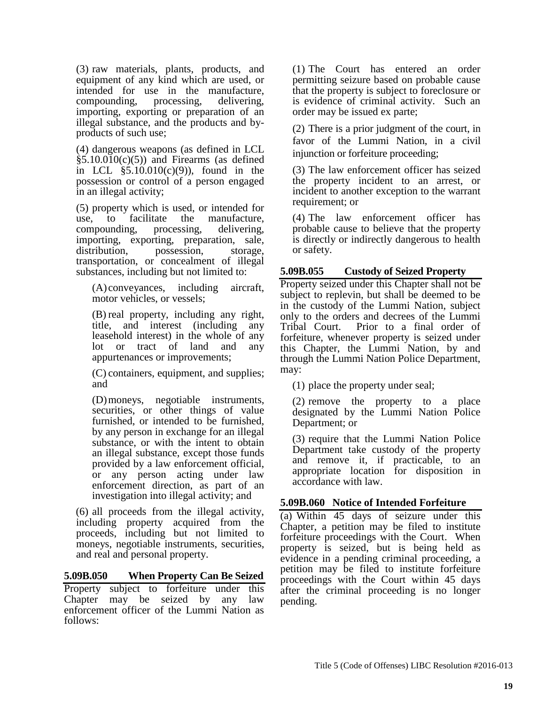(3) raw materials, plants, products, and equipment of any kind which are used, or intended for use in the manufacture, compounding, processing, delivering, importing, exporting or preparation of an illegal substance, and the products and byproducts of such use;

(4) dangerous weapons (as defined in LCL  $\S5.10.010(c)(5)$  and Firearms (as defined in LCL  $$5.10.010(c)(9)$ , found in the possession or control of a person engaged in an illegal activity;

(5) property which is used, or intended for use, to facilitate the manufacture, compounding, processing, delivering, importing, exporting, preparation, sale, distribution, possession, storage, transportation, or concealment of illegal substances, including but not limited to:

(A) conveyances, including aircraft, motor vehicles, or vessels;

(B) real property, including any right, title, and interest (including any leasehold interest) in the whole of any lot or tract of land and any appurtenances or improvements;

(C) containers, equipment, and supplies; and

(D)moneys, negotiable instruments, securities, or other things of value furnished, or intended to be furnished, by any person in exchange for an illegal substance, or with the intent to obtain an illegal substance, except those funds provided by a law enforcement official, or any person acting under law enforcement direction, as part of an investigation into illegal activity; and

(6) all proceeds from the illegal activity, including property acquired from the proceeds, including but not limited to moneys, negotiable instruments, securities, and real and personal property.

# **5.09B.050 When Property Can Be Seized**

Property subject to forfeiture under this Chapter may be seized by any law enforcement officer of the Lummi Nation as follows:

(1) The Court has entered an order permitting seizure based on probable cause that the property is subject to foreclosure or is evidence of criminal activity. Such an order may be issued ex parte;

(2) There is a prior judgment of the court, in favor of the Lummi Nation, in a civil injunction or forfeiture proceeding;

(3) The law enforcement officer has seized the property incident to an arrest, or incident to another exception to the warrant requirement; or

(4) The law enforcement officer has probable cause to believe that the property is directly or indirectly dangerous to health or safety.

# **5.09B.055 Custody of Seized Property**

Property seized under this Chapter shall not be subject to replevin, but shall be deemed to be in the custody of the Lummi Nation, subject only to the orders and decrees of the Lummi Tribal Court. Prior to a final order of forfeiture, whenever property is seized under this Chapter, the Lummi Nation, by and through the Lummi Nation Police Department, may:

(1) place the property under seal;

(2) remove the property to a place designated by the Lummi Nation Police Department; or

(3) require that the Lummi Nation Police Department take custody of the property and remove it, if practicable, to an appropriate location for disposition in accordance with law.

# **5.09B.060 Notice of Intended Forfeiture**

(a) Within 45 days of seizure under this Chapter, a petition may be filed to institute forfeiture proceedings with the Court. When property is seized, but is being held as evidence in a pending criminal proceeding, a petition may be filed to institute forfeiture proceedings with the Court within 45 days after the criminal proceeding is no longer pending.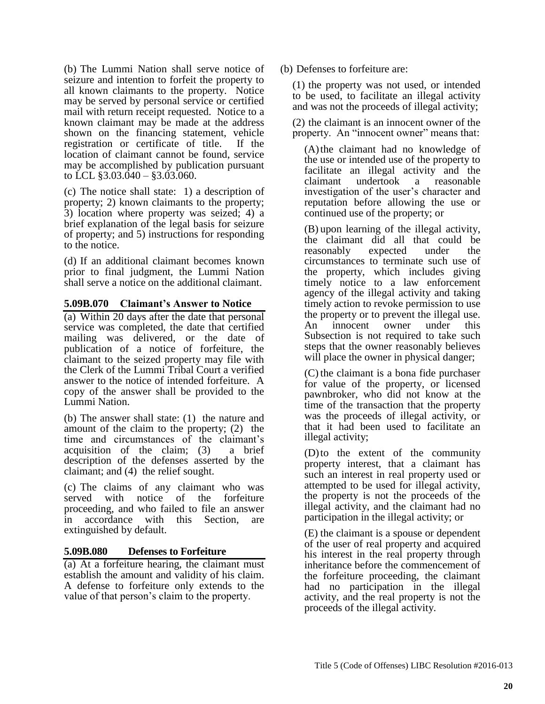(b) The Lummi Nation shall serve notice of seizure and intention to forfeit the property to all known claimants to the property. Notice may be served by personal service or certified mail with return receipt requested. Notice to a known claimant may be made at the address shown on the financing statement, vehicle registration or certificate of title. If the location of claimant cannot be found, service may be accomplished by publication pursuant to LCL §3.03.040 – §3.03.060.

(c) The notice shall state: 1) a description of property; 2) known claimants to the property; 3) location where property was seized; 4) a brief explanation of the legal basis for seizure of property; and 5) instructions for responding to the notice.

(d) If an additional claimant becomes known prior to final judgment, the Lummi Nation shall serve a notice on the additional claimant.

# **5.09B.070 Claimant's Answer to Notice**

(a) Within 20 days after the date that personal service was completed, the date that certified mailing was delivered, or the date of publication of a notice of forfeiture, the claimant to the seized property may file with the Clerk of the Lummi Tribal Court a verified answer to the notice of intended forfeiture. A copy of the answer shall be provided to the Lummi Nation.

(b) The answer shall state: (1) the nature and amount of the claim to the property; (2) the time and circumstances of the claimant's acquisition of the claim; (3) a brief acquisition of the claim;  $(3)$ description of the defenses asserted by the claimant; and (4) the relief sought.

(c) The claims of any claimant who was served with notice of the forfeiture proceeding, and who failed to file an answer in accordance with this Section, are extinguished by default.

# **5.09B.080 Defenses to Forfeiture**

(a) At a forfeiture hearing, the claimant must establish the amount and validity of his claim. A defense to forfeiture only extends to the value of that person's claim to the property.

(b) Defenses to forfeiture are:

(1) the property was not used, or intended to be used, to facilitate an illegal activity and was not the proceeds of illegal activity;

(2) the claimant is an innocent owner of the property. An "innocent owner" means that:

(A)the claimant had no knowledge of the use or intended use of the property to facilitate an illegal activity and the claimant undertook a reasonable investigation of the user's character and reputation before allowing the use or continued use of the property; or

(B) upon learning of the illegal activity, the claimant did all that could be reasonably expected under the circumstances to terminate such use of the property, which includes giving timely notice to a law enforcement agency of the illegal activity and taking timely action to revoke permission to use the property or to prevent the illegal use. An innocent owner under this Subsection is not required to take such steps that the owner reasonably believes will place the owner in physical danger;

(C) the claimant is a bona fide purchaser for value of the property, or licensed pawnbroker, who did not know at the time of the transaction that the property was the proceeds of illegal activity, or that it had been used to facilitate an illegal activity;

(D)to the extent of the community property interest, that a claimant has such an interest in real property used or attempted to be used for illegal activity, the property is not the proceeds of the illegal activity, and the claimant had no participation in the illegal activity; or

(E) the claimant is a spouse or dependent of the user of real property and acquired his interest in the real property through inheritance before the commencement of the forfeiture proceeding, the claimant had no participation in the illegal activity, and the real property is not the proceeds of the illegal activity.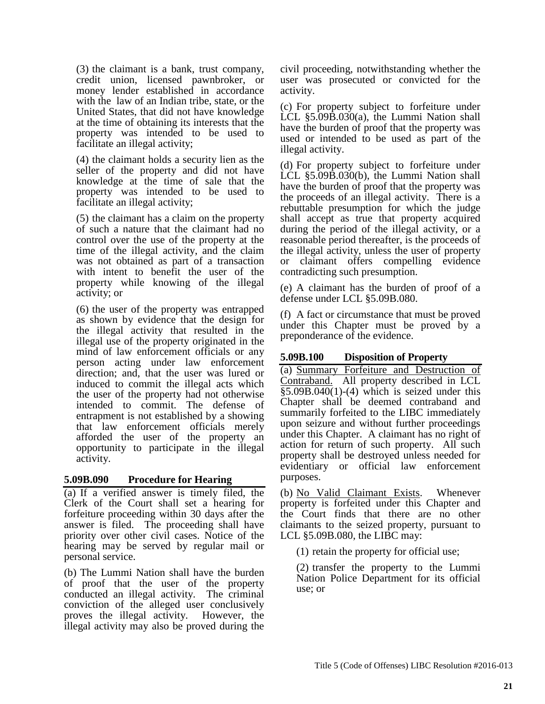(3) the claimant is a bank, trust company, credit union, licensed pawnbroker, or money lender established in accordance with the law of an Indian tribe, state, or the United States, that did not have knowledge at the time of obtaining its interests that the property was intended to be used to facilitate an illegal activity;

(4) the claimant holds a security lien as the seller of the property and did not have knowledge at the time of sale that the property was intended to be used to facilitate an illegal activity;

(5) the claimant has a claim on the property of such a nature that the claimant had no control over the use of the property at the time of the illegal activity, and the claim was not obtained as part of a transaction with intent to benefit the user of the property while knowing of the illegal activity; or

(6) the user of the property was entrapped as shown by evidence that the design for the illegal activity that resulted in the illegal use of the property originated in the mind of law enforcement officials or any person acting under law enforcement direction; and, that the user was lured or induced to commit the illegal acts which the user of the property had not otherwise intended to commit. The defense of entrapment is not established by a showing that law enforcement officials merely afforded the user of the property an opportunity to participate in the illegal activity.

# **5.09B.090 Procedure for Hearing**

(a) If a verified answer is timely filed, the Clerk of the Court shall set a hearing for forfeiture proceeding within 30 days after the answer is filed. The proceeding shall have priority over other civil cases. Notice of the hearing may be served by regular mail or personal service.

(b) The Lummi Nation shall have the burden of proof that the user of the property conducted an illegal activity. The criminal conviction of the alleged user conclusively proves the illegal activity. However, the illegal activity may also be proved during the

civil proceeding, notwithstanding whether the user was prosecuted or convicted for the activity.

(c) For property subject to forfeiture under LCL §5.09B.030(a), the Lummi Nation shall have the burden of proof that the property was used or intended to be used as part of the illegal activity.

(d) For property subject to forfeiture under LCL §5.09B.030(b), the Lummi Nation shall have the burden of proof that the property was the proceeds of an illegal activity. There is a rebuttable presumption for which the judge shall accept as true that property acquired during the period of the illegal activity, or a reasonable period thereafter, is the proceeds of the illegal activity, unless the user of property or claimant offers compelling evidence contradicting such presumption.

(e) A claimant has the burden of proof of a defense under LCL §5.09B.080.

(f) A fact or circumstance that must be proved under this Chapter must be proved by a preponderance of the evidence.

# **5.09B.100 Disposition of Property**

(a) Summary Forfeiture and Destruction of Contraband. All property described in LCL  $§5.09B.040(1)-(4)$  which is seized under this Chapter shall be deemed contraband and summarily forfeited to the LIBC immediately upon seizure and without further proceedings under this Chapter. A claimant has no right of action for return of such property. All such property shall be destroyed unless needed for evidentiary or official law enforcement purposes.

(b) No Valid Claimant Exists. Whenever property is forfeited under this Chapter and the Court finds that there are no other claimants to the seized property, pursuant to LCL §5.09B.080, the LIBC may:

(1) retain the property for official use;

(2) transfer the property to the Lummi Nation Police Department for its official use; or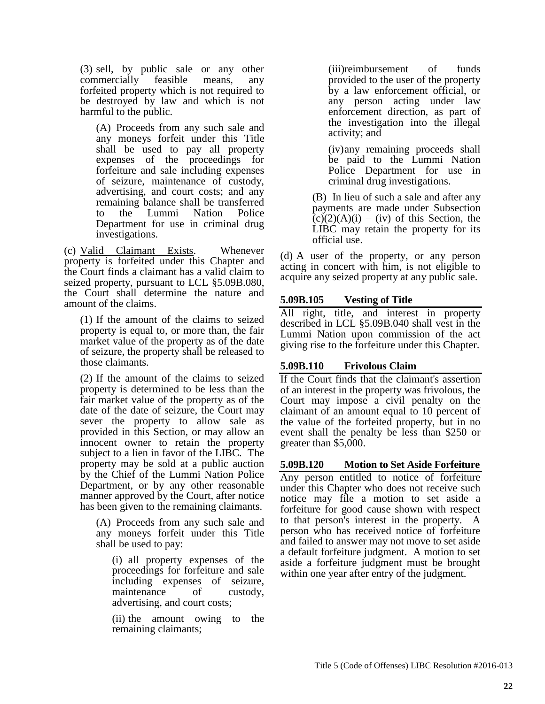(3) sell, by public sale or any other commercially feasible means, any forfeited property which is not required to be destroyed by law and which is not harmful to the public.

(A) Proceeds from any such sale and any moneys forfeit under this Title shall be used to pay all property expenses of the proceedings for forfeiture and sale including expenses of seizure, maintenance of custody, advertising, and court costs; and any remaining balance shall be transferred to the Lummi Nation Police Department for use in criminal drug investigations.

(c) Valid Claimant Exists. Whenever property is forfeited under this Chapter and the Court finds a claimant has a valid claim to seized property, pursuant to LCL §5.09B.080, the Court shall determine the nature and amount of the claims.

(1) If the amount of the claims to seized property is equal to, or more than, the fair market value of the property as of the date of seizure, the property shall be released to those claimants.

(2) If the amount of the claims to seized property is determined to be less than the fair market value of the property as of the date of the date of seizure, the Court may sever the property to allow sale as provided in this Section, or may allow an innocent owner to retain the property subject to a lien in favor of the LIBC. The property may be sold at a public auction by the Chief of the Lummi Nation Police Department, or by any other reasonable manner approved by the Court, after notice has been given to the remaining claimants.

(A) Proceeds from any such sale and any moneys forfeit under this Title shall be used to pay:

(i) all property expenses of the proceedings for forfeiture and sale including expenses of seizure, maintenance of custody, advertising, and court costs;

(ii) the amount owing to the remaining claimants;

(iii)reimbursement of funds provided to the user of the property by a law enforcement official, or any person acting under law enforcement direction, as part of the investigation into the illegal activity; and

(iv)any remaining proceeds shall be paid to the Lummi Nation Police Department for use in criminal drug investigations.

(B) In lieu of such a sale and after any payments are made under Subsection  $(c)(2)(A)(i) - (iv)$  of this Section, the LIBC may retain the property for its official use.

(d) A user of the property, or any person acting in concert with him, is not eligible to acquire any seized property at any public sale.

# **5.09B.105 Vesting of Title**

All right, title, and interest in property described in LCL §5.09B.040 shall vest in the Lummi Nation upon commission of the act giving rise to the forfeiture under this Chapter.

# **5.09B.110 Frivolous Claim**

If the Court finds that the claimant's assertion of an interest in the property was frivolous, the Court may impose a civil penalty on the claimant of an amount equal to 10 percent of the value of the forfeited property, but in no event shall the penalty be less than \$250 or greater than \$5,000.

# **5.09B.120 Motion to Set Aside Forfeiture**

Any person entitled to notice of forfeiture under this Chapter who does not receive such notice may file a motion to set aside a forfeiture for good cause shown with respect to that person's interest in the property. A person who has received notice of forfeiture and failed to answer may not move to set aside a default forfeiture judgment. A motion to set aside a forfeiture judgment must be brought within one year after entry of the judgment.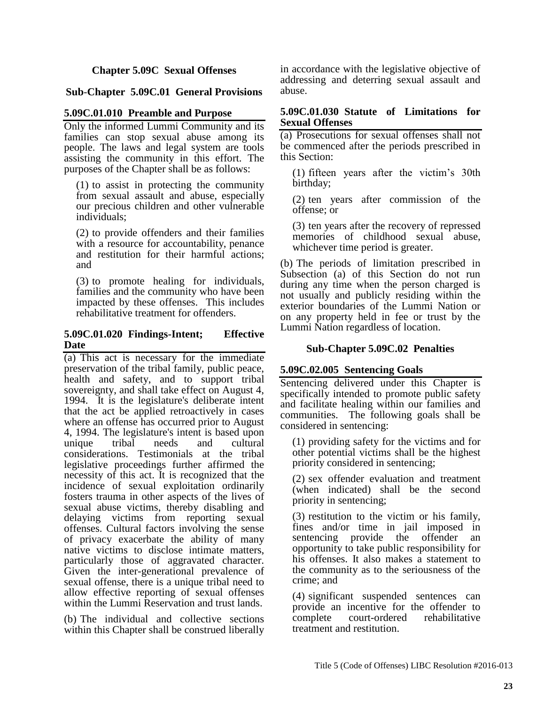# **Chapter 5.09C Sexual Offenses**

# **Sub**-**Chapter 5.09C.01 General Provisions**

# **5.09C.01.010 Preamble and Purpose**

Only the informed Lummi Community and its families can stop sexual abuse among its people. The laws and legal system are tools assisting the community in this effort. The purposes of the Chapter shall be as follows:

(1) to assist in protecting the community from sexual assault and abuse, especially our precious children and other vulnerable individuals;

(2) to provide offenders and their families with a resource for accountability, penance and restitution for their harmful actions; and

(3) to promote healing for individuals, families and the community who have been impacted by these offenses. This includes rehabilitative treatment for offenders.

### **5.09C.01.020 Findings-Intent; Effective Date**

(a) This act is necessary for the immediate preservation of the tribal family, public peace, health and safety, and to support tribal sovereignty, and shall take effect on August 4, 1994. It is the legislature's deliberate intent that the act be applied retroactively in cases where an offense has occurred prior to August 4, 1994. The legislature's intent is based upon unique tribal needs and cultural considerations. Testimonials at the tribal legislative proceedings further affirmed the necessity of this act. It is recognized that the incidence of sexual exploitation ordinarily fosters trauma in other aspects of the lives of sexual abuse victims, thereby disabling and delaying victims from reporting sexual offenses. Cultural factors involving the sense of privacy exacerbate the ability of many native victims to disclose intimate matters, particularly those of aggravated character. Given the inter-generational prevalence of sexual offense, there is a unique tribal need to allow effective reporting of sexual offenses within the Lummi Reservation and trust lands.

(b) The individual and collective sections within this Chapter shall be construed liberally in accordance with the legislative objective of addressing and deterring sexual assault and abuse.

### **5.09C.01.030 Statute of Limitations for Sexual Offenses**

(a) Prosecutions for sexual offenses shall not be commenced after the periods prescribed in this Section:

(1) fifteen years after the victim's 30th birthday;

(2) ten years after commission of the offense; or

(3) ten years after the recovery of repressed memories of childhood sexual abuse, whichever time period is greater.

(b) The periods of limitation prescribed in Subsection (a) of this Section do not run during any time when the person charged is not usually and publicly residing within the exterior boundaries of the Lummi Nation or on any property held in fee or trust by the Lummi Nation regardless of location.

### **Sub-Chapter 5.09C.02 Penalties**

# **5.09C.02.005 Sentencing Goals**

Sentencing delivered under this Chapter is specifically intended to promote public safety and facilitate healing within our families and communities. The following goals shall be considered in sentencing:

(1) providing safety for the victims and for other potential victims shall be the highest priority considered in sentencing;

(2) sex offender evaluation and treatment (when indicated) shall be the second priority in sentencing;

(3) restitution to the victim or his family, fines and/or time in jail imposed in sentencing provide the offender an opportunity to take public responsibility for his offenses. It also makes a statement to the community as to the seriousness of the crime; and

(4) significant suspended sentences can provide an incentive for the offender to complete court-ordered rehabilitative treatment and restitution.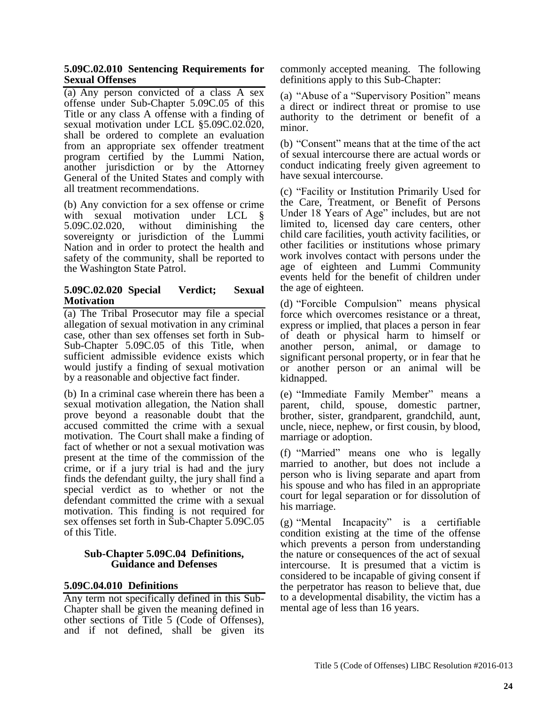#### **5.09C.02.010 Sentencing Requirements for Sexual Offenses**

(a) Any person convicted of a class A sex offense under Sub-Chapter 5.09C.05 of this Title or any class A offense with a finding of sexual motivation under LCL §5.09C.02.020, shall be ordered to complete an evaluation from an appropriate sex offender treatment program certified by the Lummi Nation, another jurisdiction or by the Attorney General of the United States and comply with all treatment recommendations.

(b) Any conviction for a sex offense or crime with sexual motivation under LCL §<br>5.09C.02.020, without diminishing the  $5.09C.02.020$ , without diminishing sovereignty or jurisdiction of the Lummi Nation and in order to protect the health and safety of the community, shall be reported to the Washington State Patrol.

# **5.09C.02.020 Special Verdict; Sexual Motivation**

(a) The Tribal Prosecutor may file a special allegation of sexual motivation in any criminal case, other than sex offenses set forth in Sub-Sub-Chapter 5.09C.05 of this Title, when sufficient admissible evidence exists which would justify a finding of sexual motivation by a reasonable and objective fact finder.

(b) In a criminal case wherein there has been a sexual motivation allegation, the Nation shall prove beyond a reasonable doubt that the accused committed the crime with a sexual motivation. The Court shall make a finding of fact of whether or not a sexual motivation was present at the time of the commission of the crime, or if a jury trial is had and the jury finds the defendant guilty, the jury shall find a special verdict as to whether or not the defendant committed the crime with a sexual motivation. This finding is not required for sex offenses set forth in Sub-Chapter 5.09C.05 of this Title.

# **Sub-Chapter 5.09C.04 Definitions, Guidance and Defenses**

# **5.09C.04.010 Definitions**

Any term not specifically defined in this Sub-Chapter shall be given the meaning defined in other sections of Title 5 (Code of Offenses), and if not defined, shall be given its

commonly accepted meaning. The following definitions apply to this Sub-Chapter:

(a) "Abuse of a "Supervisory Position" means a direct or indirect threat or promise to use authority to the detriment or benefit of a minor.

(b) "Consent" means that at the time of the act of sexual intercourse there are actual words or conduct indicating freely given agreement to have sexual intercourse.

(c) "Facility or Institution Primarily Used for the Care, Treatment, or Benefit of Persons Under 18 Years of Age" includes, but are not limited to, licensed day care centers, other child care facilities, youth activity facilities, or other facilities or institutions whose primary work involves contact with persons under the age of eighteen and Lummi Community events held for the benefit of children under the age of eighteen.

(d) "Forcible Compulsion" means physical force which overcomes resistance or a threat, express or implied, that places a person in fear of death or physical harm to himself or another person, animal, or damage to significant personal property, or in fear that he or another person or an animal will be kidnapped.

(e) "Immediate Family Member" means a parent, child, spouse, domestic partner, brother, sister, grandparent, grandchild, aunt, uncle, niece, nephew, or first cousin, by blood, marriage or adoption.

(f) "Married" means one who is legally married to another, but does not include a person who is living separate and apart from his spouse and who has filed in an appropriate court for legal separation or for dissolution of his marriage.

(g) "Mental Incapacity" is a certifiable condition existing at the time of the offense which prevents a person from understanding the nature or consequences of the act of sexual intercourse. It is presumed that a victim is considered to be incapable of giving consent if the perpetrator has reason to believe that, due to a developmental disability, the victim has a mental age of less than 16 years.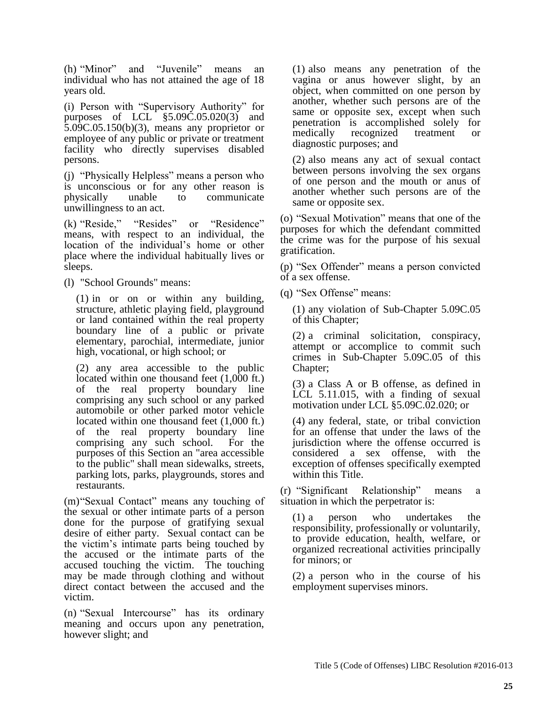(h) "Minor" and "Juvenile" means an individual who has not attained the age of 18 years old.

(i) Person with "Supervisory Authority" for purposes of LCL §5.09C.05.020(3) and 5.09C.05.150(b)(3), means any proprietor or employee of any public or private or treatment facility who directly supervises disabled persons.

(j) "Physically Helpless" means a person who is unconscious or for any other reason is physically unable to communicate unwillingness to an act.

(k) "Reside," "Resides" or "Residence" means, with respect to an individual, the location of the individual's home or other place where the individual habitually lives or sleeps.

(l) "School Grounds" means:

(1) in or on or within any building, structure, athletic playing field, playground or land contained within the real property boundary line of a public or private elementary, parochial, intermediate, junior high, vocational, or high school; or

(2) any area accessible to the public located within one thousand feet (1,000 ft.) of the real property boundary line comprising any such school or any parked automobile or other parked motor vehicle located within one thousand feet (1,000 ft.) of the real property boundary line comprising any such school. For the purposes of this Section an "area accessible to the public" shall mean sidewalks, streets, parking lots, parks, playgrounds, stores and restaurants.

(m)"Sexual Contact" means any touching of the sexual or other intimate parts of a person done for the purpose of gratifying sexual desire of either party. Sexual contact can be the victim's intimate parts being touched by the accused or the intimate parts of the accused touching the victim. The touching may be made through clothing and without direct contact between the accused and the victim.

(n) "Sexual Intercourse" has its ordinary meaning and occurs upon any penetration, however slight; and

(1) also means any penetration of the vagina or anus however slight, by an object, when committed on one person by another, whether such persons are of the same or opposite sex, except when such penetration is accomplished solely for medically recognized treatment or diagnostic purposes; and

(2) also means any act of sexual contact between persons involving the sex organs of one person and the mouth or anus of another whether such persons are of the same or opposite sex.

(o) "Sexual Motivation" means that one of the purposes for which the defendant committed the crime was for the purpose of his sexual gratification.

(p) "Sex Offender" means a person convicted of a sex offense.

(q) "Sex Offense" means:

(1) any violation of Sub-Chapter 5.09C.05 of this Chapter;

(2) a criminal solicitation, conspiracy, attempt or accomplice to commit such crimes in Sub-Chapter 5.09C.05 of this Chapter;

(3) a Class A or B offense, as defined in LCL 5.11.015, with a finding of sexual motivation under LCL §5.09C.02.020; or

(4) any federal, state, or tribal conviction for an offense that under the laws of the jurisdiction where the offense occurred is considered a sex offense, with the exception of offenses specifically exempted within this Title.

(r) "Significant Relationship" means a situation in which the perpetrator is:

(1) a person who undertakes the responsibility, professionally or voluntarily, to provide education, health, welfare, or organized recreational activities principally for minors; or

(2) a person who in the course of his employment supervises minors.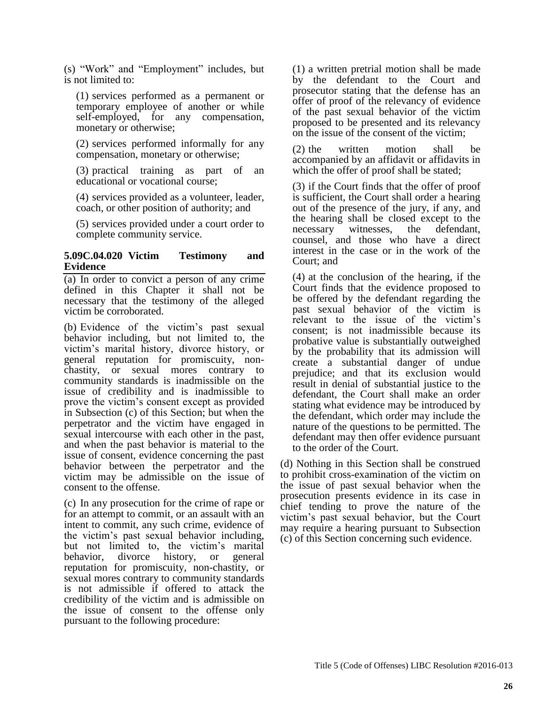(s) "Work" and "Employment" includes, but is not limited to:

(1) services performed as a permanent or temporary employee of another or while self-employed, for any compensation, monetary or otherwise;

(2) services performed informally for any compensation, monetary or otherwise;

(3) practical training as part of an educational or vocational course;

(4) services provided as a volunteer, leader, coach, or other position of authority; and

(5) services provided under a court order to complete community service.

### **5.09C.04.020 Victim Testimony and Evidence**

(a) In order to convict a person of any crime defined in this Chapter it shall not be necessary that the testimony of the alleged victim be corroborated.

(b) Evidence of the victim's past sexual behavior including, but not limited to, the victim's marital history, divorce history, or general reputation for promiscuity, nonchastity, or sexual mores contrary to community standards is inadmissible on the issue of credibility and is inadmissible to prove the victim's consent except as provided in Subsection (c) of this Section; but when the perpetrator and the victim have engaged in sexual intercourse with each other in the past, and when the past behavior is material to the issue of consent, evidence concerning the past behavior between the perpetrator and the victim may be admissible on the issue of consent to the offense.

(c) In any prosecution for the crime of rape or for an attempt to commit, or an assault with an intent to commit, any such crime, evidence of the victim's past sexual behavior including, but not limited to, the victim's marital behavior, divorce history, or general reputation for promiscuity, non-chastity, or sexual mores contrary to community standards is not admissible if offered to attack the credibility of the victim and is admissible on the issue of consent to the offense only pursuant to the following procedure:

(1) a written pretrial motion shall be made by the defendant to the Court and prosecutor stating that the defense has an offer of proof of the relevancy of evidence of the past sexual behavior of the victim proposed to be presented and its relevancy on the issue of the consent of the victim;

(2) the written motion shall be accompanied by an affidavit or affidavits in which the offer of proof shall be stated;

(3) if the Court finds that the offer of proof is sufficient, the Court shall order a hearing out of the presence of the jury, if any, and the hearing shall be closed except to the necessary witnesses, the defendant, counsel, and those who have a direct interest in the case or in the work of the Court; and

(4) at the conclusion of the hearing, if the Court finds that the evidence proposed to be offered by the defendant regarding the past sexual behavior of the victim is relevant to the issue of the victim's consent; is not inadmissible because its probative value is substantially outweighed by the probability that its admission will create a substantial danger of undue prejudice; and that its exclusion would result in denial of substantial justice to the defendant, the Court shall make an order stating what evidence may be introduced by the defendant, which order may include the nature of the questions to be permitted. The defendant may then offer evidence pursuant to the order of the Court.

(d) Nothing in this Section shall be construed to prohibit cross-examination of the victim on the issue of past sexual behavior when the prosecution presents evidence in its case in chief tending to prove the nature of the victim's past sexual behavior, but the Court may require a hearing pursuant to Subsection (c) of this Section concerning such evidence.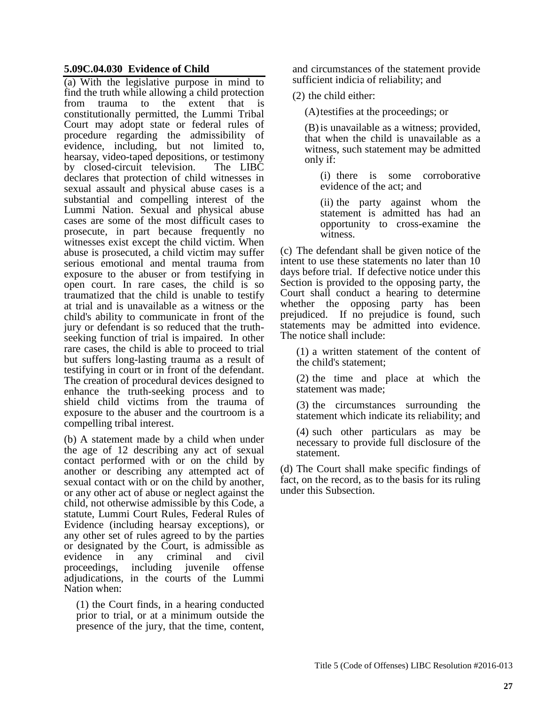### **5.09C.04.030 Evidence of Child**

(a) With the legislative purpose in mind to find the truth while allowing a child protection from trauma to the extent that is constitutionally permitted, the Lummi Tribal Court may adopt state or federal rules of procedure regarding the admissibility of evidence, including, but not limited to, hearsay, video-taped depositions, or testimony by closed-circuit television. The LIBC declares that protection of child witnesses in sexual assault and physical abuse cases is a substantial and compelling interest of the Lummi Nation. Sexual and physical abuse cases are some of the most difficult cases to prosecute, in part because frequently no witnesses exist except the child victim. When abuse is prosecuted, a child victim may suffer serious emotional and mental trauma from exposure to the abuser or from testifying in open court. In rare cases, the child is so traumatized that the child is unable to testify at trial and is unavailable as a witness or the child's ability to communicate in front of the jury or defendant is so reduced that the truthseeking function of trial is impaired. In other rare cases, the child is able to proceed to trial but suffers long-lasting trauma as a result of testifying in court or in front of the defendant. The creation of procedural devices designed to enhance the truth-seeking process and to shield child victims from the trauma of exposure to the abuser and the courtroom is a compelling tribal interest.

(b) A statement made by a child when under the age of 12 describing any act of sexual contact performed with or on the child by another or describing any attempted act of sexual contact with or on the child by another, or any other act of abuse or neglect against the child, not otherwise admissible by this Code, a statute, Lummi Court Rules, Federal Rules of Evidence (including hearsay exceptions), or any other set of rules agreed to by the parties or designated by the Court, is admissible as evidence in any criminal and civil<br>proceedings, including juvenile offense proceedings, including juvenile offense adjudications, in the courts of the Lummi Nation when:

(1) the Court finds, in a hearing conducted prior to trial, or at a minimum outside the presence of the jury, that the time, content,

and circumstances of the statement provide sufficient indicia of reliability; and

(2) the child either:

(A)testifies at the proceedings; or

(B)is unavailable as a witness; provided, that when the child is unavailable as a witness, such statement may be admitted only if:

(i) there is some corroborative evidence of the act; and

(ii) the party against whom the statement is admitted has had an opportunity to cross-examine the witness.

(c) The defendant shall be given notice of the intent to use these statements no later than 10 days before trial. If defective notice under this Section is provided to the opposing party, the Court shall conduct a hearing to determine whether the opposing party has been prejudiced. If no prejudice is found, such statements may be admitted into evidence. The notice shall include:

(1) a written statement of the content of the child's statement;

(2) the time and place at which the statement was made;

(3) the circumstances surrounding the statement which indicate its reliability; and

(4) such other particulars as may be necessary to provide full disclosure of the statement.

(d) The Court shall make specific findings of fact, on the record, as to the basis for its ruling under this Subsection.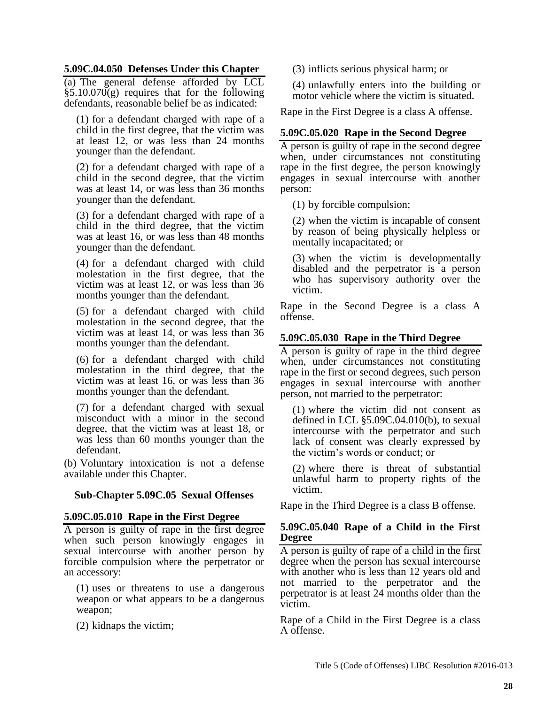# **5.09C.04.050 Defenses Under this Chapter**

(a) The general defense afforded by LCL  $§5.10.070(g)$  requires that for the following defendants, reasonable belief be as indicated:

(1) for a defendant charged with rape of a child in the first degree, that the victim was at least 12, or was less than 24 months younger than the defendant.

(2) for a defendant charged with rape of a child in the second degree, that the victim was at least 14, or was less than 36 months younger than the defendant.

(3) for a defendant charged with rape of a child in the third degree, that the victim was at least 16, or was less than 48 months younger than the defendant.

(4) for a defendant charged with child molestation in the first degree, that the victim was at least 12, or was less than 36 months younger than the defendant.

(5) for a defendant charged with child molestation in the second degree, that the victim was at least 14, or was less than 36 months younger than the defendant.

(6) for a defendant charged with child molestation in the third degree, that the victim was at least 16, or was less than 36 months younger than the defendant.

(7) for a defendant charged with sexual misconduct with a minor in the second degree, that the victim was at least 18, or was less than 60 months younger than the defendant.

(b) Voluntary intoxication is not a defense available under this Chapter.

# **Sub-Chapter 5.09C.05 Sexual Offenses**

# **5.09C.05.010 Rape in the First Degree**

A person is guilty of rape in the first degree when such person knowingly engages in sexual intercourse with another person by forcible compulsion where the perpetrator or an accessory:

(1) uses or threatens to use a dangerous weapon or what appears to be a dangerous weapon;

(2) kidnaps the victim;

(3) inflicts serious physical harm; or

(4) unlawfully enters into the building or motor vehicle where the victim is situated.

Rape in the First Degree is a class A offense.

# **5.09C.05.020 Rape in the Second Degree**

A person is guilty of rape in the second degree when, under circumstances not constituting rape in the first degree, the person knowingly engages in sexual intercourse with another person:

(1) by forcible compulsion;

(2) when the victim is incapable of consent by reason of being physically helpless or mentally incapacitated; or

(3) when the victim is developmentally disabled and the perpetrator is a person who has supervisory authority over the victim.

Rape in the Second Degree is a class A offense.

# **5.09C.05.030 Rape in the Third Degree**

A person is guilty of rape in the third degree when, under circumstances not constituting rape in the first or second degrees, such person engages in sexual intercourse with another person, not married to the perpetrator:

(1) where the victim did not consent as defined in LCL §5.09C.04.010(b), to sexual intercourse with the perpetrator and such lack of consent was clearly expressed by the victim's words or conduct; or

(2) where there is threat of substantial unlawful harm to property rights of the victim.

Rape in the Third Degree is a class B offense.

# **5.09C.05.040 Rape of a Child in the First Degree**

A person is guilty of rape of a child in the first degree when the person has sexual intercourse with another who is less than 12 years old and not married to the perpetrator and the perpetrator is at least 24 months older than the victim.

Rape of a Child in the First Degree is a class A offense.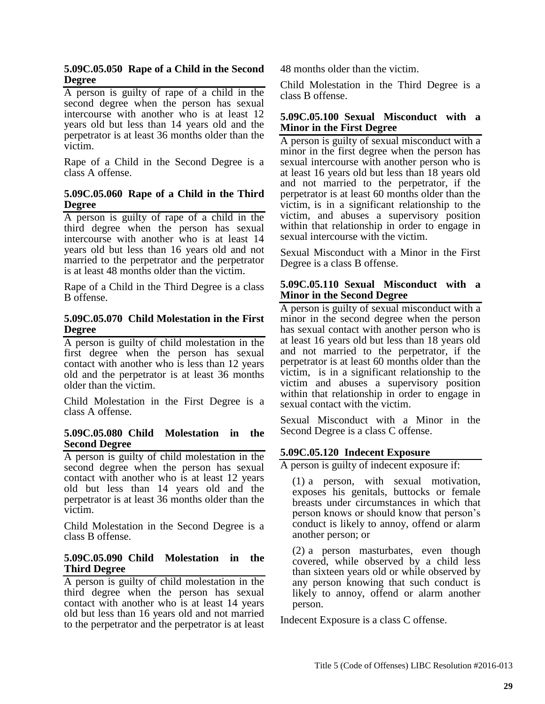#### **5.09C.05.050 Rape of a Child in the Second Degree**

A person is guilty of rape of a child in the second degree when the person has sexual intercourse with another who is at least 12 years old but less than 14 years old and the perpetrator is at least 36 months older than the victim.

Rape of a Child in the Second Degree is a class A offense.

### **5.09C.05.060 Rape of a Child in the Third Degree**

A person is guilty of rape of a child in the third degree when the person has sexual intercourse with another who is at least 14 years old but less than 16 years old and not married to the perpetrator and the perpetrator is at least 48 months older than the victim.

Rape of a Child in the Third Degree is a class B offense.

### **5.09C.05.070 Child Molestation in the First Degree**

A person is guilty of child molestation in the first degree when the person has sexual contact with another who is less than 12 years old and the perpetrator is at least 36 months older than the victim.

Child Molestation in the First Degree is a class A offense.

### **5.09C.05.080 Child Molestation in the Second Degree**

A person is guilty of child molestation in the second degree when the person has sexual contact with another who is at least 12 years old but less than 14 years old and the perpetrator is at least 36 months older than the victim.

Child Molestation in the Second Degree is a class B offense.

### **5.09C.05.090 Child Molestation in the Third Degree**

A person is guilty of child molestation in the third degree when the person has sexual contact with another who is at least 14 years old but less than 16 years old and not married to the perpetrator and the perpetrator is at least

48 months older than the victim.

Child Molestation in the Third Degree is a class B offense.

#### **5.09C.05.100 Sexual Misconduct with a Minor in the First Degree**

A person is guilty of sexual misconduct with a minor in the first degree when the person has sexual intercourse with another person who is at least 16 years old but less than 18 years old and not married to the perpetrator, if the perpetrator is at least 60 months older than the victim, is in a significant relationship to the victim, and abuses a supervisory position within that relationship in order to engage in sexual intercourse with the victim.

Sexual Misconduct with a Minor in the First Degree is a class B offense.

### **5.09C.05.110 Sexual Misconduct with a Minor in the Second Degree**

A person is guilty of sexual misconduct with a minor in the second degree when the person has sexual contact with another person who is at least 16 years old but less than 18 years old and not married to the perpetrator, if the perpetrator is at least 60 months older than the victim, is in a significant relationship to the victim and abuses a supervisory position within that relationship in order to engage in sexual contact with the victim.

Sexual Misconduct with a Minor in the Second Degree is a class C offense.

# **5.09C.05.120 Indecent Exposure**

A person is guilty of indecent exposure if:

(1) a person, with sexual motivation, exposes his genitals, buttocks or female breasts under circumstances in which that person knows or should know that person's conduct is likely to annoy, offend or alarm another person; or

(2) a person masturbates, even though covered, while observed by a child less than sixteen years old or while observed by any person knowing that such conduct is likely to annoy, offend or alarm another person.

Indecent Exposure is a class C offense.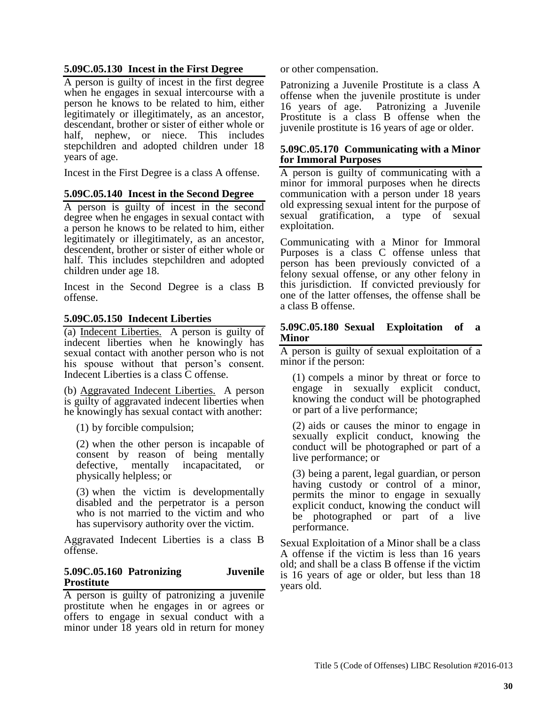# **5.09C.05.130 Incest in the First Degree**

A person is guilty of incest in the first degree when he engages in sexual intercourse with a person he knows to be related to him, either legitimately or illegitimately, as an ancestor, descendant, brother or sister of either whole or half, nephew, or niece. This includes stepchildren and adopted children under 18 years of age.

Incest in the First Degree is a class A offense.

### **5.09C.05.140 Incest in the Second Degree**

A person is guilty of incest in the second degree when he engages in sexual contact with a person he knows to be related to him, either legitimately or illegitimately, as an ancestor, descendent, brother or sister of either whole or half. This includes stepchildren and adopted children under age 18.

Incest in the Second Degree is a class B offense.

### **5.09C.05.150 Indecent Liberties**

(a) Indecent Liberties. A person is guilty of indecent liberties when he knowingly has sexual contact with another person who is not his spouse without that person's consent. Indecent Liberties is a class C offense.

(b) Aggravated Indecent Liberties. A person is guilty of aggravated indecent liberties when he knowingly has sexual contact with another:

(1) by forcible compulsion;

(2) when the other person is incapable of consent by reason of being mentally defective, mentally incapacitated, or physically helpless; or

(3) when the victim is developmentally disabled and the perpetrator is a person who is not married to the victim and who has supervisory authority over the victim.

Aggravated Indecent Liberties is a class B offense.

### **5.09C.05.160 Patronizing Juvenile Prostitute**

A person is guilty of patronizing a juvenile prostitute when he engages in or agrees or offers to engage in sexual conduct with a minor under 18 years old in return for money or other compensation.

Patronizing a Juvenile Prostitute is a class A offense when the juvenile prostitute is under 16 years of age. Patronizing a Juvenile Prostitute is a class B offense when the juvenile prostitute is 16 years of age or older.

#### **5.09C.05.170 Communicating with a Minor for Immoral Purposes**

A person is guilty of communicating with a minor for immoral purposes when he directs communication with a person under 18 years old expressing sexual intent for the purpose of sexual gratification, a type of sexual exploitation.

Communicating with a Minor for Immoral Purposes is a class C offense unless that person has been previously convicted of a felony sexual offense, or any other felony in this jurisdiction. If convicted previously for one of the latter offenses, the offense shall be a class B offense.

### **5.09C.05.180 Sexual Exploitation of a Minor**

A person is guilty of sexual exploitation of a minor if the person:

(1) compels a minor by threat or force to engage in sexually explicit conduct, knowing the conduct will be photographed or part of a live performance;

(2) aids or causes the minor to engage in sexually explicit conduct, knowing the conduct will be photographed or part of a live performance; or

(3) being a parent, legal guardian, or person having custody or control of a minor, permits the minor to engage in sexually explicit conduct, knowing the conduct will be photographed or part of a live performance.

Sexual Exploitation of a Minor shall be a class A offense if the victim is less than 16 years old; and shall be a class B offense if the victim is 16 years of age or older, but less than 18 years old.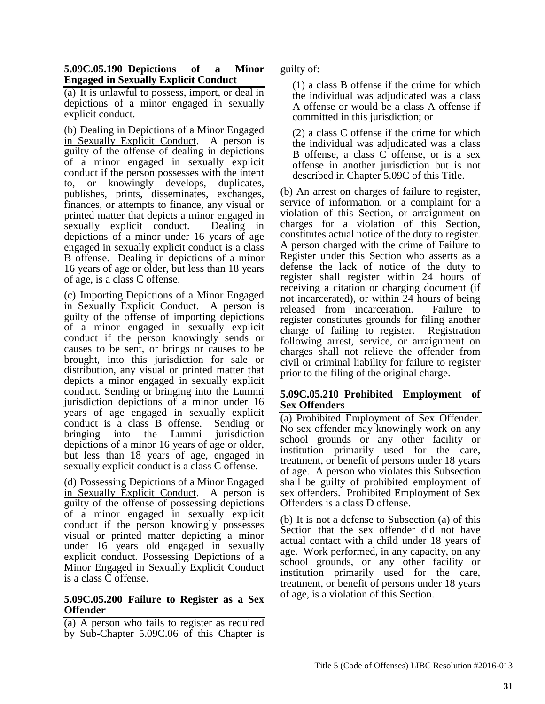#### **5.09C.05.190 Depictions of a Minor Engaged in Sexually Explicit Conduct**

(a) It is unlawful to possess, import, or deal in depictions of a minor engaged in sexually explicit conduct.

(b) Dealing in Depictions of a Minor Engaged in Sexually Explicit Conduct. A person is guilty of the offense of dealing in depictions of a minor engaged in sexually explicit conduct if the person possesses with the intent to, or knowingly develops, duplicates, publishes, prints, disseminates, exchanges, finances, or attempts to finance, any visual or printed matter that depicts a minor engaged in sexually explicit conduct. Dealing in depictions of a minor under 16 years of age engaged in sexually explicit conduct is a class B offense. Dealing in depictions of a minor 16 years of age or older, but less than 18 years of age, is a class C offense.

(c) Importing Depictions of a Minor Engaged in Sexually Explicit Conduct. A person is guilty of the offense of importing depictions of a minor engaged in sexually explicit conduct if the person knowingly sends or causes to be sent, or brings or causes to be brought, into this jurisdiction for sale or distribution, any visual or printed matter that depicts a minor engaged in sexually explicit conduct. Sending or bringing into the Lummi jurisdiction depictions of a minor under 16 years of age engaged in sexually explicit conduct is a class B offense. Sending or bringing into the Lummi jurisdiction depictions of a minor 16 years of age or older, but less than 18 years of age, engaged in sexually explicit conduct is a class C offense.

(d) Possessing Depictions of a Minor Engaged in Sexually Explicit Conduct. A person is guilty of the offense of possessing depictions of a minor engaged in sexually explicit conduct if the person knowingly possesses visual or printed matter depicting a minor under 16 years old engaged in sexually explicit conduct. Possessing Depictions of a Minor Engaged in Sexually Explicit Conduct is a class C offense.

# **5.09C.05.200 Failure to Register as a Sex Offender**

(a) A person who fails to register as required by Sub-Chapter 5.09C.06 of this Chapter is

guilty of:

(1) a class B offense if the crime for which the individual was adjudicated was a class A offense or would be a class A offense if committed in this jurisdiction; or

(2) a class C offense if the crime for which the individual was adjudicated was a class B offense, a class C offense, or is a sex offense in another jurisdiction but is not described in Chapter 5.09C of this Title.

(b) An arrest on charges of failure to register, service of information, or a complaint for a violation of this Section, or arraignment on charges for a violation of this Section, constitutes actual notice of the duty to register. A person charged with the crime of Failure to Register under this Section who asserts as a defense the lack of notice of the duty to register shall register within 24 hours of receiving a citation or charging document (if not incarcerated), or within 24 hours of being released from incarceration. Failure to register constitutes grounds for filing another charge of failing to register. Registration following arrest, service, or arraignment on charges shall not relieve the offender from civil or criminal liability for failure to register prior to the filing of the original charge.

# **5.09C.05.210 Prohibited Employment of Sex Offenders**

(a) Prohibited Employment of Sex Offender. No sex offender may knowingly work on any school grounds or any other facility or institution primarily used for the care, treatment, or benefit of persons under 18 years of age. A person who violates this Subsection shall be guilty of prohibited employment of sex offenders. Prohibited Employment of Sex Offenders is a class D offense.

(b) It is not a defense to Subsection (a) of this Section that the sex offender did not have actual contact with a child under 18 years of age. Work performed, in any capacity, on any school grounds, or any other facility or institution primarily used for the care, treatment, or benefit of persons under 18 years of age, is a violation of this Section.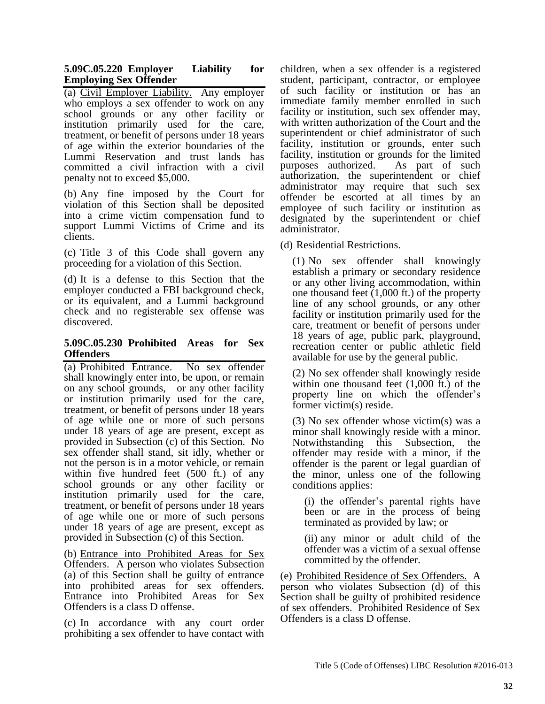### **5.09C.05.220 Employer Liability for Employing Sex Offender**

(a) Civil Employer Liability. Any employer who employs a sex offender to work on any school grounds or any other facility or institution primarily used for the care, treatment, or benefit of persons under 18 years of age within the exterior boundaries of the Lummi Reservation and trust lands has committed a civil infraction with a civil penalty not to exceed \$5,000.

(b) Any fine imposed by the Court for violation of this Section shall be deposited into a crime victim compensation fund to support Lummi Victims of Crime and its clients.

(c) Title 3 of this Code shall govern any proceeding for a violation of this Section.

(d) It is a defense to this Section that the employer conducted a FBI background check, or its equivalent, and a Lummi background check and no registerable sex offense was discovered.

# **5.09C.05.230 Prohibited Areas for Sex Offenders**

(a) Prohibited Entrance. No sex offender shall knowingly enter into, be upon, or remain on any school grounds, or any other facility or institution primarily used for the care, treatment, or benefit of persons under 18 years of age while one or more of such persons under 18 years of age are present, except as provided in Subsection (c) of this Section. No sex offender shall stand, sit idly, whether or not the person is in a motor vehicle, or remain within five hundred feet (500 ft.) of any school grounds or any other facility or institution primarily used for the care, treatment, or benefit of persons under 18 years of age while one or more of such persons under 18 years of age are present, except as provided in Subsection (c) of this Section.

(b) Entrance into Prohibited Areas for Sex Offenders. A person who violates Subsection (a) of this Section shall be guilty of entrance into prohibited areas for sex offenders. Entrance into Prohibited Areas for Sex Offenders is a class D offense.

(c) In accordance with any court order prohibiting a sex offender to have contact with children, when a sex offender is a registered student, participant, contractor, or employee of such facility or institution or has an immediate family member enrolled in such facility or institution, such sex offender may, with written authorization of the Court and the superintendent or chief administrator of such facility, institution or grounds, enter such facility, institution or grounds for the limited purposes authorized. As part of such authorization, the superintendent or chief administrator may require that such sex offender be escorted at all times by an employee of such facility or institution as designated by the superintendent or chief administrator.

(d) Residential Restrictions.

(1) No sex offender shall knowingly establish a primary or secondary residence or any other living accommodation, within one thousand feet (1,000 ft.) of the property line of any school grounds, or any other facility or institution primarily used for the care, treatment or benefit of persons under 18 years of age, public park, playground, recreation center or public athletic field available for use by the general public.

(2) No sex offender shall knowingly reside within one thousand feet (1,000 ft.) of the property line on which the offender's former victim(s) reside.

(3) No sex offender whose victim(s) was a minor shall knowingly reside with a minor. Notwithstanding this Subsection, the offender may reside with a minor, if the offender is the parent or legal guardian of the minor, unless one of the following conditions applies:

(i) the offender's parental rights have been or are in the process of being terminated as provided by law; or

(ii) any minor or adult child of the offender was a victim of a sexual offense committed by the offender.

(e) Prohibited Residence of Sex Offenders. A person who violates Subsection (d) of this Section shall be guilty of prohibited residence of sex offenders. Prohibited Residence of Sex Offenders is a class D offense.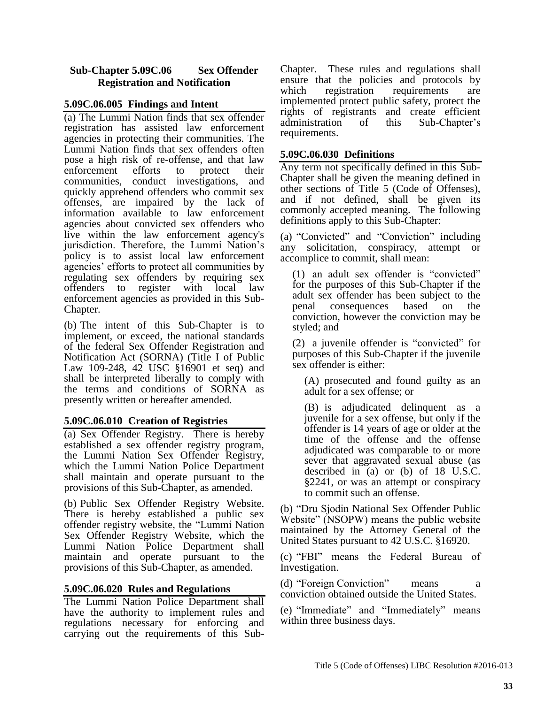# **Sub-Chapter 5.09C.06 Sex Offender Registration and Notification**

# **5.09C.06.005 Findings and Intent**

(a) The Lummi Nation finds that sex offender registration has assisted law enforcement agencies in protecting their communities. The Lummi Nation finds that sex offenders often pose a high risk of re-offense, and that law enforcement efforts to protect their communities, conduct investigations, and quickly apprehend offenders who commit sex offenses, are impaired by the lack of information available to law enforcement agencies about convicted sex offenders who live within the law enforcement agency's jurisdiction. Therefore, the Lummi Nation's policy is to assist local law enforcement agencies' efforts to protect all communities by regulating sex offenders by requiring sex offenders to register with local law enforcement agencies as provided in this Sub-Chapter.

(b) The intent of this Sub-Chapter is to implement, or exceed, the national standards of the federal Sex Offender Registration and Notification Act (SORNA) (Title I of Public Law 109-248, 42 USC §16901 et seq) and shall be interpreted liberally to comply with the terms and conditions of SORNA as presently written or hereafter amended.

# **5.09C.06.010 Creation of Registries**

(a) Sex Offender Registry. There is hereby established a sex offender registry program, the Lummi Nation Sex Offender Registry, which the Lummi Nation Police Department shall maintain and operate pursuant to the provisions of this Sub-Chapter, as amended.

(b) Public Sex Offender Registry Website. There is hereby established a public sex offender registry website, the "Lummi Nation Sex Offender Registry Website, which the Lummi Nation Police Department shall maintain and operate pursuant to the provisions of this Sub-Chapter, as amended.

# **5.09C.06.020 Rules and Regulations**

The Lummi Nation Police Department shall have the authority to implement rules and regulations necessary for enforcing and carrying out the requirements of this SubChapter. These rules and regulations shall ensure that the policies and protocols by which registration requirements are implemented protect public safety, protect the rights of registrants and create efficient administration of this Sub-Chapter's requirements.

### **5.09C.06.030 Definitions**

Any term not specifically defined in this Sub-Chapter shall be given the meaning defined in other sections of Title 5 (Code of Offenses), and if not defined, shall be given its commonly accepted meaning. The following definitions apply to this Sub-Chapter:

(a) "Convicted" and "Conviction" including any solicitation, conspiracy, attempt or accomplice to commit, shall mean:

(1) an adult sex offender is "convicted" for the purposes of this Sub-Chapter if the adult sex offender has been subject to the penal consequences based on the conviction, however the conviction may be styled; and

(2) a juvenile offender is "convicted" for purposes of this Sub-Chapter if the juvenile sex offender is either:

(A) prosecuted and found guilty as an adult for a sex offense; or

(B) is adjudicated delinquent as a juvenile for a sex offense, but only if the offender is 14 years of age or older at the time of the offense and the offense adjudicated was comparable to or more sever that aggravated sexual abuse (as described in (a) or (b) of 18 U.S.C. §2241, or was an attempt or conspiracy to commit such an offense.

(b) "Dru Sjodin National Sex Offender Public Website" (NSOPW) means the public website maintained by the Attorney General of the United States pursuant to 42 U.S.C. §16920.

(c) "FBI" means the Federal Bureau of Investigation.

(d) "Foreign Conviction" means a conviction obtained outside the United States.

(e) "Immediate" and "Immediately" means within three business days.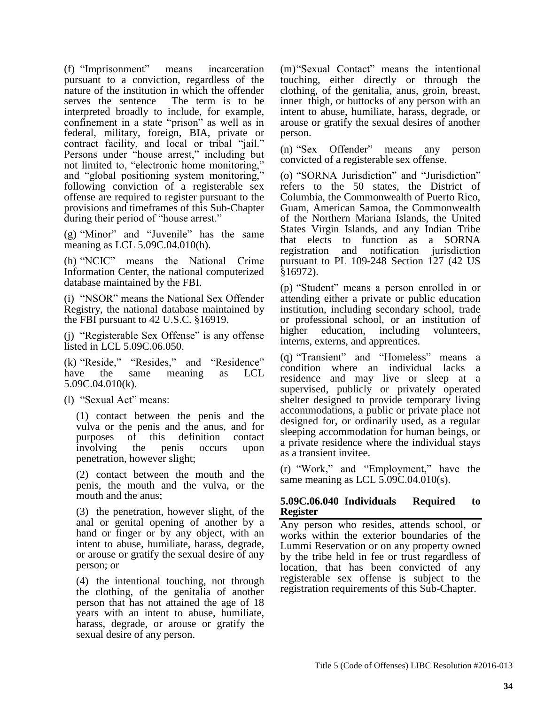(f) "Imprisonment" means incarceration pursuant to a conviction, regardless of the nature of the institution in which the offender serves the sentence The term is to be interpreted broadly to include, for example, confinement in a state "prison" as well as in federal, military, foreign, BIA, private or contract facility, and local or tribal "jail." Persons under "house arrest," including but not limited to, "electronic home monitoring," and "global positioning system monitoring," following conviction of a registerable sex offense are required to register pursuant to the provisions and timeframes of this Sub-Chapter during their period of "house arrest."

(g) "Minor" and "Juvenile" has the same meaning as LCL 5.09C.04.010(h).

(h) "NCIC" means the National Crime Information Center, the national computerized database maintained by the FBI.

(i) "NSOR" means the National Sex Offender Registry, the national database maintained by the FBI pursuant to 42 U.S.C. §16919.

(j) "Registerable Sex Offense" is any offense listed in LCL 5.09C.06.050.

(k) "Reside," "Resides," and "Residence" have the same meaning as LCL 5.09C.04.010(k).

(l) "Sexual Act" means:

(1) contact between the penis and the vulva or the penis and the anus, and for<br>purposes of this definition contact purposes of this definition involving the penis occurs upon penetration, however slight;

(2) contact between the mouth and the penis, the mouth and the vulva, or the mouth and the anus;

(3) the penetration, however slight, of the anal or genital opening of another by a hand or finger or by any object, with an intent to abuse, humiliate, harass, degrade, or arouse or gratify the sexual desire of any person; or

(4) the intentional touching, not through the clothing, of the genitalia of another person that has not attained the age of 18 years with an intent to abuse, humiliate, harass, degrade, or arouse or gratify the sexual desire of any person.

(m)"Sexual Contact" means the intentional touching, either directly or through the clothing, of the genitalia, anus, groin, breast, inner thigh, or buttocks of any person with an intent to abuse, humiliate, harass, degrade, or arouse or gratify the sexual desires of another person.

(n) "Sex Offender" means any person convicted of a registerable sex offense.

(o) "SORNA Jurisdiction" and "Jurisdiction" refers to the 50 states, the District of Columbia, the Commonwealth of Puerto Rico, Guam, American Samoa, the Commonwealth of the Northern Mariana Islands, the United States Virgin Islands, and any Indian Tribe that elects to function as a SORNA registration and notification jurisdiction pursuant to PL 109-248 Section 127 (42 US §16972).

(p) "Student" means a person enrolled in or attending either a private or public education institution, including secondary school, trade or professional school, or an institution of higher education, including volunteers, interns, externs, and apprentices.

(q) "Transient" and "Homeless" means a condition where an individual lacks a residence and may live or sleep at a supervised, publicly or privately operated shelter designed to provide temporary living accommodations, a public or private place not designed for, or ordinarily used, as a regular sleeping accommodation for human beings, or a private residence where the individual stays as a transient invitee.

(r) "Work," and "Employment," have the same meaning as LCL 5.09C.04.010(s).

### **5.09C.06.040 Individuals Required to Register**

Any person who resides, attends school, or works within the exterior boundaries of the Lummi Reservation or on any property owned by the tribe held in fee or trust regardless of location, that has been convicted of any registerable sex offense is subject to the registration requirements of this Sub-Chapter.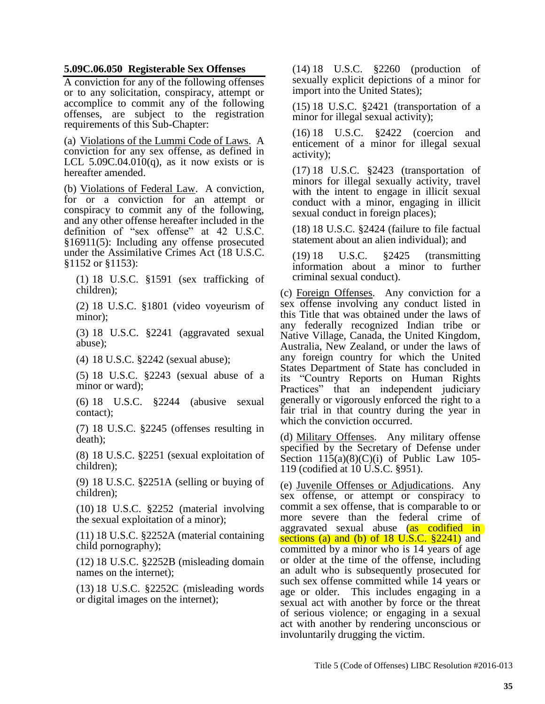#### **5.09C.06.050 Registerable Sex Offenses**

A conviction for any of the following offenses or to any solicitation, conspiracy, attempt or accomplice to commit any of the following offenses, are subject to the registration requirements of this Sub-Chapter:

(a) Violations of the Lummi Code of Laws. A conviction for any sex offense, as defined in LCL  $5.09C.04.010(q)$ , as it now exists or is hereafter amended.

(b) Violations of Federal Law. A conviction, for or a conviction for an attempt or conspiracy to commit any of the following, and any other offense hereafter included in the definition of "sex offense" at 42 U.S.C. §16911(5): Including any offense prosecuted under the Assimilative Crimes Act (18 U.S.C. §1152 or §1153):

(1) 18 U.S.C. §1591 (sex trafficking of children);

(2) 18 U.S.C. §1801 (video voyeurism of minor);

(3) 18 U.S.C. §2241 (aggravated sexual abuse);

(4) 18 U.S.C. §2242 (sexual abuse);

(5) 18 U.S.C. §2243 (sexual abuse of a minor or ward);

(6) 18 U.S.C. §2244 (abusive sexual contact);

(7) 18 U.S.C. §2245 (offenses resulting in death);

(8) 18 U.S.C. §2251 (sexual exploitation of children);

(9) 18 U.S.C. §2251A (selling or buying of children);

(10) 18 U.S.C. §2252 (material involving the sexual exploitation of a minor);

(11) 18 U.S.C. §2252A (material containing child pornography);

(12) 18 U.S.C. §2252B (misleading domain names on the internet);

(13) 18 U.S.C. §2252C (misleading words or digital images on the internet);

(14) 18 U.S.C. §2260 (production of sexually explicit depictions of a minor for import into the United States);

(15) 18 U.S.C. §2421 (transportation of a minor for illegal sexual activity);

(16) 18 U.S.C. §2422 (coercion and enticement of a minor for illegal sexual activity);

(17) 18 U.S.C. §2423 (transportation of minors for illegal sexually activity, travel with the intent to engage in illicit sexual conduct with a minor, engaging in illicit sexual conduct in foreign places);

(18) 18 U.S.C. §2424 (failure to file factual statement about an alien individual); and

(19) 18 U.S.C. §2425 (transmitting information about a minor to further criminal sexual conduct).

(c) Foreign Offenses. Any conviction for a sex offense involving any conduct listed in this Title that was obtained under the laws of any federally recognized Indian tribe or Native Village, Canada, the United Kingdom, Australia, New Zealand, or under the laws of any foreign country for which the United States Department of State has concluded in its "Country Reports on Human Rights Practices" that an independent judiciary generally or vigorously enforced the right to a fair trial in that country during the year in which the conviction occurred.

(d) Military Offenses. Any military offense specified by the Secretary of Defense under Section  $115(a)(8)(C)(i)$  of Public Law 105-119 (codified at 10 U.S.C. §951).

(e) Juvenile Offenses or Adjudications. Any sex offense, or attempt or conspiracy to commit a sex offense, that is comparable to or more severe than the federal crime of aggravated sexual abuse (as codified in sections (a) and (b) of  $18$  U.S.C.  $\S 2241$ ) and committed by a minor who is 14 years of age or older at the time of the offense, including an adult who is subsequently prosecuted for such sex offense committed while 14 years or age or older. This includes engaging in a sexual act with another by force or the threat of serious violence; or engaging in a sexual act with another by rendering unconscious or involuntarily drugging the victim.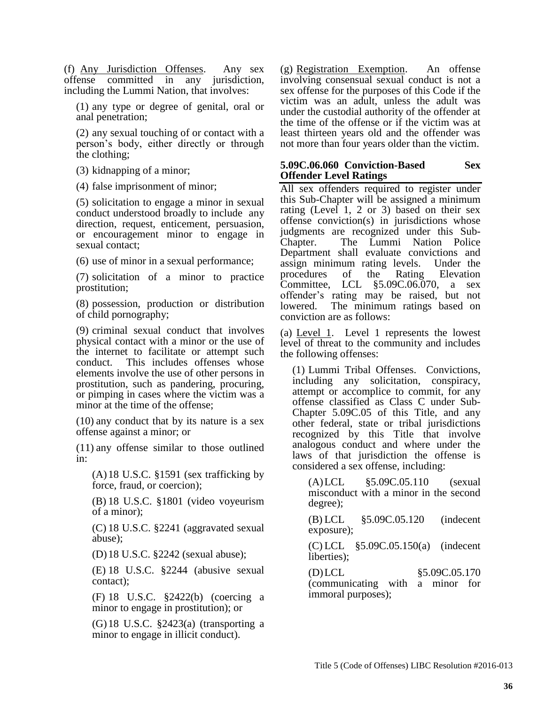(f) Any Jurisdiction Offenses. Any sex offense committed in any jurisdiction, including the Lummi Nation, that involves:

(1) any type or degree of genital, oral or anal penetration;

(2) any sexual touching of or contact with a person's body, either directly or through the clothing;

(3) kidnapping of a minor;

(4) false imprisonment of minor;

(5) solicitation to engage a minor in sexual conduct understood broadly to include any direction, request, enticement, persuasion, or encouragement minor to engage in sexual contact;

(6) use of minor in a sexual performance;

(7) solicitation of a minor to practice prostitution;

(8) possession, production or distribution of child pornography;

(9) criminal sexual conduct that involves physical contact with a minor or the use of the internet to facilitate or attempt such conduct. This includes offenses whose elements involve the use of other persons in prostitution, such as pandering, procuring, or pimping in cases where the victim was a minor at the time of the offense;

(10) any conduct that by its nature is a sex offense against a minor; or

(11) any offense similar to those outlined in:

(A)18 U.S.C. §1591 (sex trafficking by force, fraud, or coercion);

(B) 18 U.S.C. §1801 (video voyeurism of a minor);

(C) 18 U.S.C. §2241 (aggravated sexual abuse);

(D)18 U.S.C. §2242 (sexual abuse);

(E) 18 U.S.C. §2244 (abusive sexual contact);

(F) 18 U.S.C. §2422(b) (coercing a minor to engage in prostitution); or

(G)18 U.S.C. §2423(a) (transporting a minor to engage in illicit conduct).

(g) Registration Exemption. An offense involving consensual sexual conduct is not a sex offense for the purposes of this Code if the victim was an adult, unless the adult was under the custodial authority of the offender at the time of the offense or if the victim was at least thirteen years old and the offender was not more than four years older than the victim.

#### **5.09C.06.060 Conviction-Based Sex Offender Level Ratings**

All sex offenders required to register under this Sub-Chapter will be assigned a minimum rating (Level 1, 2 or 3) based on their sex offense conviction(s) in jurisdictions whose judgments are recognized under this Sub-Chapter. The Lummi Nation Police Department shall evaluate convictions and assign minimum rating levels. Under the procedures of the Rating Elevation Committee, LCL §5.09C.06.070, a sex offender's rating may be raised, but not lowered. The minimum ratings based on conviction are as follows:

(a) Level 1. Level 1 represents the lowest level of threat to the community and includes the following offenses:

(1) Lummi Tribal Offenses. Convictions, including any solicitation, conspiracy, attempt or accomplice to commit, for any offense classified as Class C under Sub-Chapter 5.09C.05 of this Title, and any other federal, state or tribal jurisdictions recognized by this Title that involve analogous conduct and where under the laws of that jurisdiction the offense is considered a sex offense, including:

(A)LCL §5.09C.05.110 (sexual misconduct with a minor in the second degree);

(B) LCL §5.09C.05.120 (indecent exposure);

(C) LCL §5.09C.05.150(a) (indecent liberties);

(D)LCL §5.09C.05.170 (communicating with a minor for immoral purposes);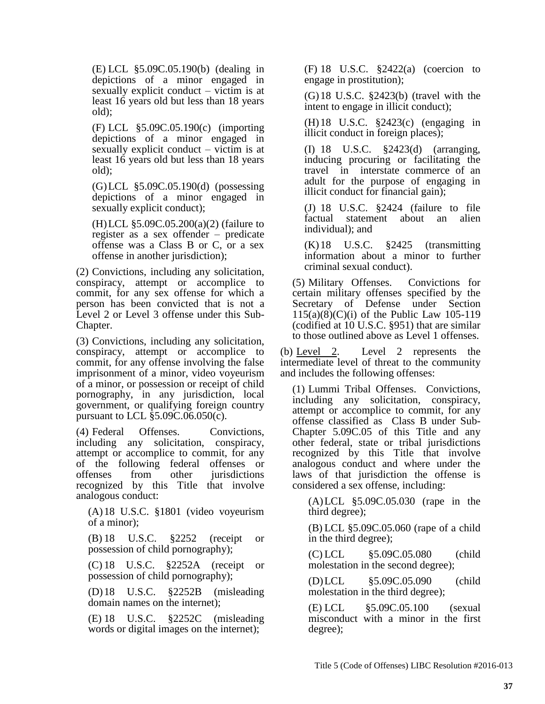(E) LCL §5.09C.05.190(b) (dealing in depictions of a minor engaged in sexually explicit conduct – victim is at least 16 years old but less than 18 years old);

(F) LCL §5.09C.05.190(c) (importing depictions of a minor engaged in sexually explicit conduct – victim is at least 16 years old but less than 18 years old);

(G)LCL §5.09C.05.190(d) (possessing depictions of a minor engaged in sexually explicit conduct);

(H)LCL §5.09C.05.200(a)(2) (failure to register as a sex offender – predicate offense was a Class B or C, or a sex offense in another jurisdiction);

(2) Convictions, including any solicitation, conspiracy, attempt or accomplice to commit, for any sex offense for which a person has been convicted that is not a Level 2 or Level 3 offense under this Sub-Chapter.

(3) Convictions, including any solicitation, conspiracy, attempt or accomplice to commit, for any offense involving the false imprisonment of a minor, video voyeurism of a minor, or possession or receipt of child pornography, in any jurisdiction, local government, or qualifying foreign country pursuant to LCL  $\S 5.09C.06.050(c)$ .

(4) Federal Offenses. Convictions, including any solicitation, conspiracy, attempt or accomplice to commit, for any of the following federal offenses or offenses from other jurisdictions recognized by this Title that involve analogous conduct:

(A)18 U.S.C. §1801 (video voyeurism of a minor);

(B) 18 U.S.C. §2252 (receipt or possession of child pornography);

(C) 18 U.S.C. §2252A (receipt or possession of child pornography);

(D)18 U.S.C. §2252B (misleading domain names on the internet);

(E) 18 U.S.C. §2252C (misleading words or digital images on the internet);

(F) 18 U.S.C. §2422(a) (coercion to engage in prostitution);

(G)18 U.S.C. §2423(b) (travel with the intent to engage in illicit conduct);

(H)18 U.S.C. §2423(c) (engaging in illicit conduct in foreign places);

(I) 18 U.S.C. §2423(d) (arranging, inducing procuring or facilitating the travel in interstate commerce of an adult for the purpose of engaging in illicit conduct for financial gain);

(J) 18 U.S.C. §2424 (failure to file factual statement about an alien individual); and

(K)18 U.S.C. §2425 (transmitting information about a minor to further criminal sexual conduct).

(5) Military Offenses. Convictions for certain military offenses specified by the Secretary of Defense under Section  $115(a)(8)(C)(i)$  of the Public Law 105-119 (codified at 10 U.S.C. §951) that are similar to those outlined above as Level 1 offenses.

(b) Level 2. Level 2 represents the intermediate level of threat to the community and includes the following offenses:

(1) Lummi Tribal Offenses. Convictions, including any solicitation, conspiracy, attempt or accomplice to commit, for any offense classified as Class B under Sub-Chapter 5.09C.05 of this Title and any other federal, state or tribal jurisdictions recognized by this Title that involve analogous conduct and where under the laws of that jurisdiction the offense is considered a sex offense, including:

(A)LCL §5.09C.05.030 (rape in the third degree);

(B) LCL §5.09C.05.060 (rape of a child in the third degree);

(C) LCL §5.09C.05.080 (child molestation in the second degree);

(D)LCL §5.09C.05.090 (child molestation in the third degree);

(E) LCL §5.09C.05.100 (sexual misconduct with a minor in the first degree);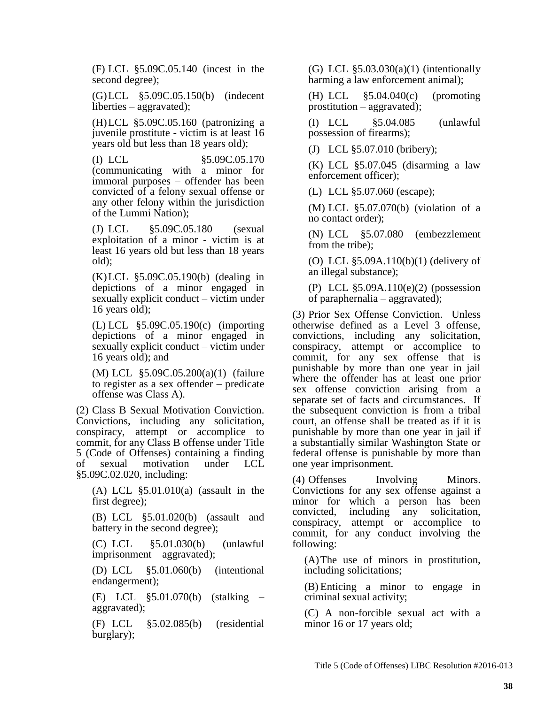(F) LCL §5.09C.05.140 (incest in the second degree);

(G)LCL §5.09C.05.150(b) (indecent liberties – aggravated);

(H)LCL §5.09C.05.160 (patronizing a juvenile prostitute - victim is at least 16 years old but less than 18 years old);

(I) LCL §5.09C.05.170 (communicating with a minor for immoral purposes – offender has been convicted of a felony sexual offense or any other felony within the jurisdiction of the Lummi Nation);

(J) LCL §5.09C.05.180 (sexual exploitation of a minor - victim is at least 16 years old but less than 18 years old);

(K)LCL §5.09C.05.190(b) (dealing in depictions of a minor engaged in sexually explicit conduct – victim under 16 years old);

(L) LCL §5.09C.05.190(c) (importing depictions of a minor engaged in sexually explicit conduct – victim under 16 years old); and

(M) LCL §5.09C.05.200(a)(1) (failure to register as a sex offender – predicate offense was Class A).

(2) Class B Sexual Motivation Conviction. Convictions, including any solicitation, conspiracy, attempt or accomplice to commit, for any Class B offense under Title 5 (Code of Offenses) containing a finding sexual motivation under LCL §5.09C.02.020, including:

 $(A)$  LCL  $\S5.01.010(a)$  (assault in the first degree);

(B) LCL §5.01.020(b) (assault and battery in the second degree);

(C) LCL §5.01.030(b) (unlawful imprisonment – aggravated);

(D) LCL §5.01.060(b) (intentional endangerment);

(E) LCL §5.01.070(b) (stalking – aggravated);

(F) LCL §5.02.085(b) (residential burglary);

(G) LCL §5.03.030(a)(1) (intentionally harming a law enforcement animal);

(H) LCL §5.04.040(c) (promoting prostitution – aggravated);

(I) LCL §5.04.085 (unlawful possession of firearms);

(J) LCL §5.07.010 (bribery);

(K) LCL §5.07.045 (disarming a law enforcement officer);

(L) LCL §5.07.060 (escape);

(M) LCL §5.07.070(b) (violation of a no contact order);

(N) LCL §5.07.080 (embezzlement from the tribe);

(O) LCL §5.09A.110(b)(1) (delivery of an illegal substance);

(P) LCL §5.09A.110(e)(2) (possession of paraphernalia – aggravated);

(3) Prior Sex Offense Conviction. Unless otherwise defined as a Level 3 offense, convictions, including any solicitation, conspiracy, attempt or accomplice to commit, for any sex offense that is punishable by more than one year in jail where the offender has at least one prior sex offense conviction arising from a separate set of facts and circumstances. If the subsequent conviction is from a tribal court, an offense shall be treated as if it is punishable by more than one year in jail if a substantially similar Washington State or federal offense is punishable by more than one year imprisonment.

(4) Offenses Involving Minors. Convictions for any sex offense against a minor for which a person has been convicted, including any solicitation, conspiracy, attempt or accomplice to commit, for any conduct involving the following:

(A)The use of minors in prostitution, including solicitations;

(B) Enticing a minor to engage in criminal sexual activity;

(C) A non-forcible sexual act with a minor 16 or 17 years old;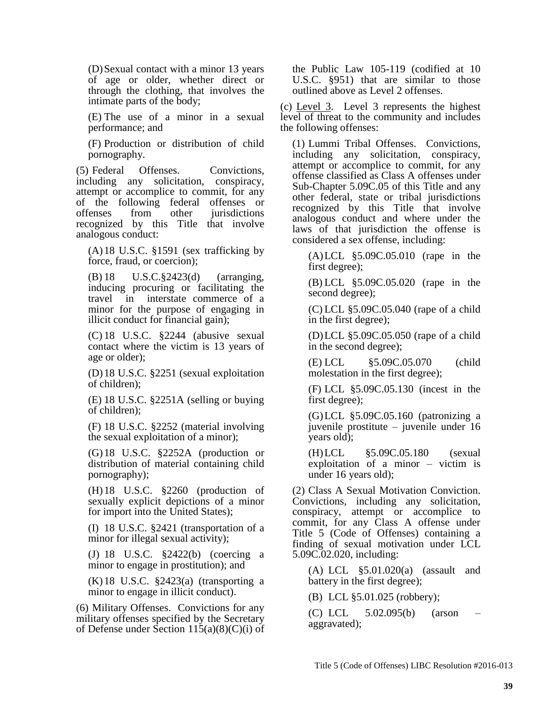(D)Sexual contact with a minor 13 years of age or older, whether direct or through the clothing, that involves the intimate parts of the body;

(E) The use of a minor in a sexual performance; and

(F) Production or distribution of child pornography.

(5) Federal Offenses. Convictions, including any solicitation, conspiracy, attempt or accomplice to commit, for any of the following federal offenses or offenses from other jurisdictions recognized by this Title that involve analogous conduct:

(A)18 U.S.C. §1591 (sex trafficking by force, fraud, or coercion);

(B) 18 U.S.C.§2423(d) (arranging, inducing procuring or facilitating the travel in interstate commerce of a minor for the purpose of engaging in illicit conduct for financial gain);

(C) 18 U.S.C. §2244 (abusive sexual contact where the victim is 13 years of age or older);

(D)18 U.S.C. §2251 (sexual exploitation of children);

(E) 18 U.S.C. §2251A (selling or buying of children);

(F) 18 U.S.C. §2252 (material involving the sexual exploitation of a minor);

(G)18 U.S.C. §2252A (production or distribution of material containing child pornography);

(H)18 U.S.C. §2260 (production of sexually explicit depictions of a minor for import into the United States);

(I) 18 U.S.C. §2421 (transportation of a minor for illegal sexual activity);

(J) 18 U.S.C. §2422(b) (coercing a minor to engage in prostitution); and

(K)18 U.S.C. §2423(a) (transporting a minor to engage in illicit conduct).

(6) Military Offenses. Convictions for any military offenses specified by the Secretary of Defense under Section 115(a)(8)(C)(i) of the Public Law 105-119 (codified at 10 U.S.C. §951) that are similar to those outlined above as Level 2 offenses.

(c) Level 3. Level 3 represents the highest level of threat to the community and includes the following offenses:

(1) Lummi Tribal Offenses. Convictions, including any solicitation, conspiracy, attempt or accomplice to commit, for any offense classified as Class A offenses under Sub-Chapter 5.09C.05 of this Title and any other federal, state or tribal jurisdictions recognized by this Title that involve analogous conduct and where under the laws of that jurisdiction the offense is considered a sex offense, including:

(A)LCL §5.09C.05.010 (rape in the first degree);

(B) LCL §5.09C.05.020 (rape in the second degree);

(C) LCL §5.09C.05.040 (rape of a child in the first degree);

(D)LCL §5.09C.05.050 (rape of a child in the second degree);

(E) LCL §5.09C.05.070 (child molestation in the first degree);

(F) LCL §5.09C.05.130 (incest in the first degree);

(G)LCL §5.09C.05.160 (patronizing a juvenile prostitute – juvenile under 16 years old);

(H)LCL §5.09C.05.180 (sexual exploitation of a minor – victim is under 16 years old);

(2) Class A Sexual Motivation Conviction. Convictions, including any solicitation, conspiracy, attempt or accomplice to commit, for any Class A offense under Title 5 (Code of Offenses) containing a finding of sexual motivation under LCL 5.09C.02.020, including:

(A) LCL §5.01.020(a) (assault and battery in the first degree);

(B) LCL §5.01.025 (robbery);

(C) LCL 5.02.095(b) (arson – aggravated);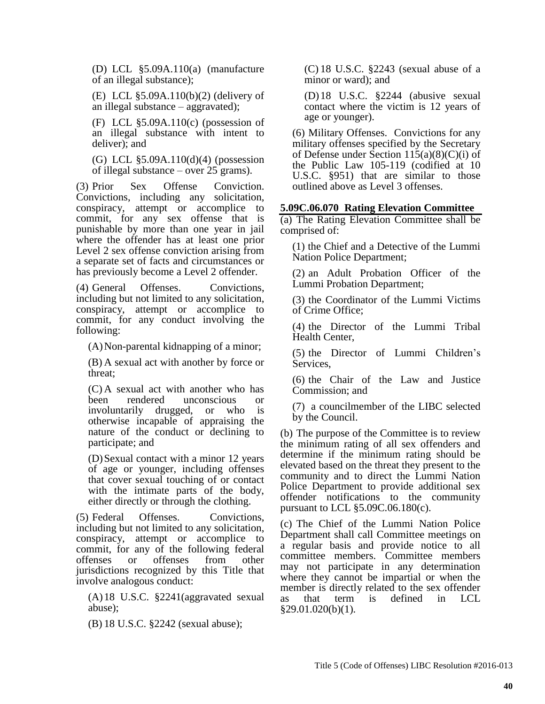(D) LCL §5.09A.110(a) (manufacture of an illegal substance);

(E) LCL §5.09A.110(b)(2) (delivery of an illegal substance – aggravated);

 $(F)$  LCL §5.09A.110 $(c)$  (possession of an illegal substance with intent to deliver); and

(G) LCL §5.09A.110(d)(4) (possession of illegal substance – over 25 grams).

(3) Prior Sex Offense Conviction. Convictions, including any solicitation, conspiracy, attempt or accomplice to commit, for any sex offense that is punishable by more than one year in jail where the offender has at least one prior Level 2 sex offense conviction arising from a separate set of facts and circumstances or has previously become a Level 2 offender.

(4) General Offenses. Convictions, including but not limited to any solicitation, conspiracy, attempt or accomplice to commit, for any conduct involving the following:

(A)Non-parental kidnapping of a minor;

(B) A sexual act with another by force or threat;

(C) A sexual act with another who has been rendered unconscious or involuntarily drugged, or who is otherwise incapable of appraising the nature of the conduct or declining to participate; and

(D)Sexual contact with a minor 12 years of age or younger, including offenses that cover sexual touching of or contact with the intimate parts of the body, either directly or through the clothing.

(5) Federal Offenses. Convictions, including but not limited to any solicitation, conspiracy, attempt or accomplice to commit, for any of the following federal offenses or offenses from other jurisdictions recognized by this Title that involve analogous conduct:

(A)18 U.S.C. §2241(aggravated sexual abuse);

(B) 18 U.S.C. §2242 (sexual abuse);

(C) 18 U.S.C. §2243 (sexual abuse of a minor or ward); and

(D)18 U.S.C. §2244 (abusive sexual contact where the victim is 12 years of age or younger).

(6) Military Offenses. Convictions for any military offenses specified by the Secretary of Defense under Section  $115(a)(8)(C)(i)$  of the Public Law 105-119 (codified at 10 U.S.C. §951) that are similar to those outlined above as Level 3 offenses.

# **5.09C.06.070 Rating Elevation Committee**

(a) The Rating Elevation Committee shall be comprised of:

(1) the Chief and a Detective of the Lummi Nation Police Department;

(2) an Adult Probation Officer of the Lummi Probation Department;

(3) the Coordinator of the Lummi Victims of Crime Office;

(4) the Director of the Lummi Tribal Health Center,

(5) the Director of Lummi Children's Services,

(6) the Chair of the Law and Justice Commission; and

(7) a councilmember of the LIBC selected by the Council.

(b) The purpose of the Committee is to review the minimum rating of all sex offenders and determine if the minimum rating should be elevated based on the threat they present to the community and to direct the Lummi Nation Police Department to provide additional sex offender notifications to the community pursuant to LCL §5.09C.06.180(c).

(c) The Chief of the Lummi Nation Police Department shall call Committee meetings on a regular basis and provide notice to all committee members. Committee members may not participate in any determination where they cannot be impartial or when the member is directly related to the sex offender as that term is defined in LCL  $§29.01.020(b)(1).$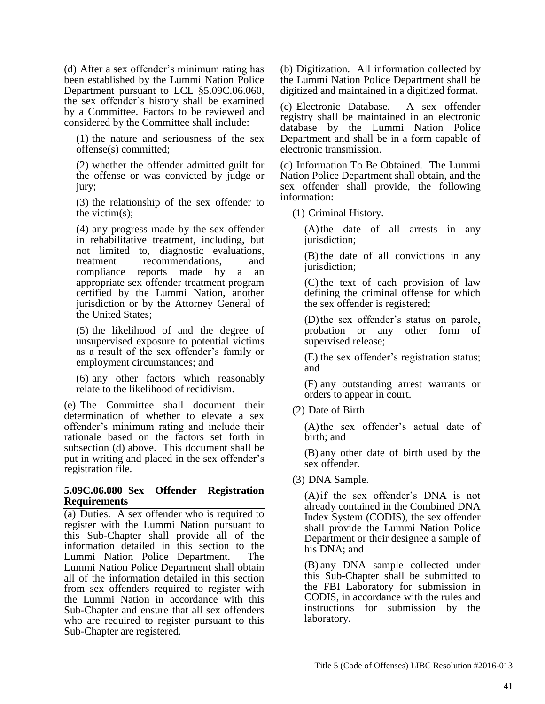(d) After a sex offender's minimum rating has been established by the Lummi Nation Police Department pursuant to LCL §5.09C.06.060, the sex offender's history shall be examined by a Committee. Factors to be reviewed and considered by the Committee shall include:

(1) the nature and seriousness of the sex offense(s) committed;

(2) whether the offender admitted guilt for the offense or was convicted by judge or jury;

(3) the relationship of the sex offender to the victim(s);

(4) any progress made by the sex offender in rehabilitative treatment, including, but not limited to, diagnostic evaluations, treatment recommendations, and compliance reports made by a an appropriate sex offender treatment program certified by the Lummi Nation, another jurisdiction or by the Attorney General of the United States;

(5) the likelihood of and the degree of unsupervised exposure to potential victims as a result of the sex offender's family or employment circumstances; and

(6) any other factors which reasonably relate to the likelihood of recidivism.

(e) The Committee shall document their determination of whether to elevate a sex offender's minimum rating and include their rationale based on the factors set forth in subsection (d) above. This document shall be put in writing and placed in the sex offender's registration file.

### **5.09C.06.080 Sex Offender Registration Requirements**

(a) Duties. A sex offender who is required to register with the Lummi Nation pursuant to this Sub-Chapter shall provide all of the information detailed in this section to the Lummi Nation Police Department. The Lummi Nation Police Department shall obtain all of the information detailed in this section from sex offenders required to register with the Lummi Nation in accordance with this Sub-Chapter and ensure that all sex offenders who are required to register pursuant to this Sub-Chapter are registered.

(b) Digitization. All information collected by the Lummi Nation Police Department shall be digitized and maintained in a digitized format.

(c) Electronic Database. A sex offender registry shall be maintained in an electronic database by the Lummi Nation Police Department and shall be in a form capable of electronic transmission.

(d) Information To Be Obtained. The Lummi Nation Police Department shall obtain, and the sex offender shall provide, the following information:

(1) Criminal History.

(A)the date of all arrests in any jurisdiction;

(B) the date of all convictions in any jurisdiction;

(C) the text of each provision of law defining the criminal offense for which the sex offender is registered;

(D)the sex offender's status on parole, probation or any other form supervised release;

(E) the sex offender's registration status; and

(F) any outstanding arrest warrants or orders to appear in court.

(2) Date of Birth.

(A)the sex offender's actual date of birth; and

(B) any other date of birth used by the sex offender.

(3) DNA Sample.

(A)if the sex offender's DNA is not already contained in the Combined DNA Index System (CODIS), the sex offender shall provide the Lummi Nation Police Department or their designee a sample of his DNA; and

(B) any DNA sample collected under this Sub-Chapter shall be submitted to the FBI Laboratory for submission in CODIS, in accordance with the rules and instructions for submission by the laboratory.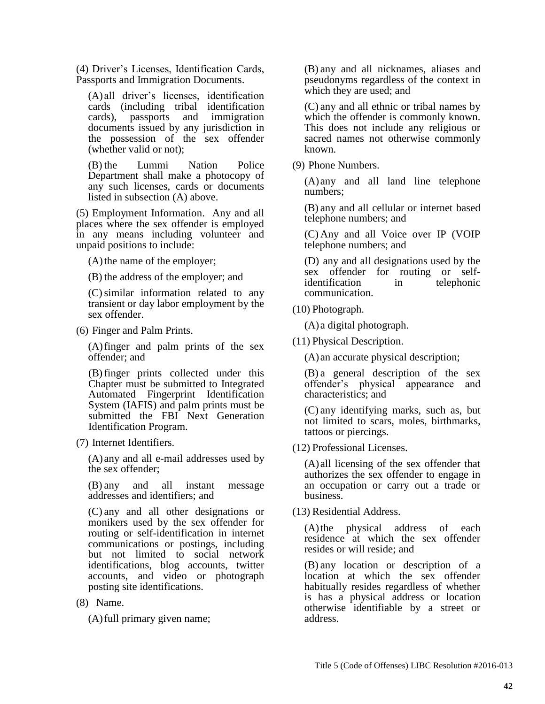(4) Driver's Licenses, Identification Cards, Passports and Immigration Documents.

(A) all driver's licenses, identification cards (including tribal identification cards), passports and immigration documents issued by any jurisdiction in the possession of the sex offender (whether valid or not);

(B) the Lummi Nation Police Department shall make a photocopy of any such licenses, cards or documents listed in subsection (A) above.

(5) Employment Information. Any and all places where the sex offender is employed in any means including volunteer and unpaid positions to include:

(A) the name of the employer;

(B) the address of the employer; and

(C)similar information related to any transient or day labor employment by the sex offender.

(6) Finger and Palm Prints.

(A)finger and palm prints of the sex offender; and

(B)finger prints collected under this Chapter must be submitted to Integrated Automated Fingerprint Identification System (IAFIS) and palm prints must be submitted the FBI Next Generation Identification Program.

(7) Internet Identifiers.

(A) any and all e-mail addresses used by the sex offender;

(B) any and all instant message addresses and identifiers; and

(C) any and all other designations or monikers used by the sex offender for routing or self-identification in internet communications or postings, including but not limited to social network identifications, blog accounts, twitter accounts, and video or photograph posting site identifications.

(8) Name.

(A)full primary given name;

(B) any and all nicknames, aliases and pseudonyms regardless of the context in which they are used; and

(C) any and all ethnic or tribal names by which the offender is commonly known. This does not include any religious or sacred names not otherwise commonly known.

(9) Phone Numbers.

(A) any and all land line telephone numbers;

(B) any and all cellular or internet based telephone numbers; and

(C) Any and all Voice over IP (VOIP telephone numbers; and

(D) any and all designations used by the sex offender for routing or selfidentification in telephonic communication.

(10) Photograph.

(A) a digital photograph.

(11) Physical Description.

(A) an accurate physical description;

(B) a general description of the sex offender's physical appearance and characteristics; and

(C) any identifying marks, such as, but not limited to scars, moles, birthmarks, tattoos or piercings.

(12) Professional Licenses.

(A) all licensing of the sex offender that authorizes the sex offender to engage in an occupation or carry out a trade or business.

(13) Residential Address.

(A)the physical address of each residence at which the sex offender resides or will reside; and

(B) any location or description of a location at which the sex offender habitually resides regardless of whether is has a physical address or location otherwise identifiable by a street or address.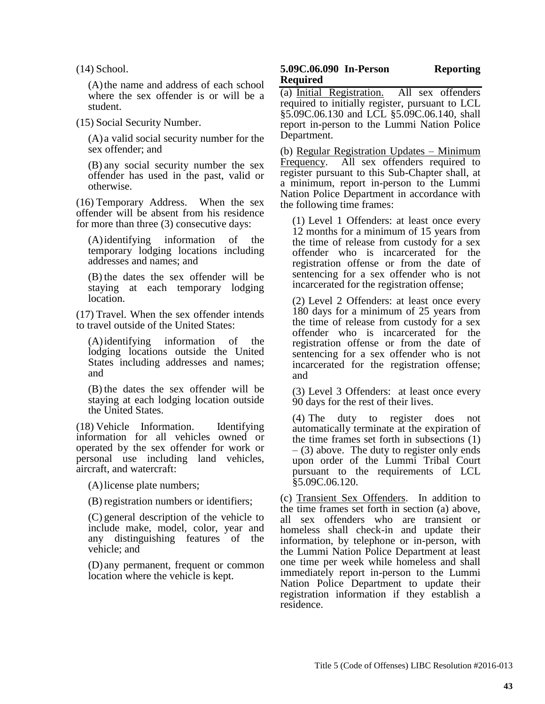(14) School.

(A) the name and address of each school where the sex offender is or will be a student.

(15) Social Security Number.

(A) a valid social security number for the sex offender; and

(B) any social security number the sex offender has used in the past, valid or otherwise.

(16) Temporary Address. When the sex offender will be absent from his residence for more than three (3) consecutive days:

(A)identifying information of the temporary lodging locations including addresses and names; and

(B) the dates the sex offender will be staying at each temporary lodging location.

(17) Travel. When the sex offender intends to travel outside of the United States:

(A)identifying information of the lodging locations outside the United States including addresses and names; and

(B) the dates the sex offender will be staying at each lodging location outside the United States.

(18) Vehicle Information. Identifying information for all vehicles owned or operated by the sex offender for work or personal use including land vehicles, aircraft, and watercraft:

(A)license plate numbers;

(B) registration numbers or identifiers;

(C) general description of the vehicle to include make, model, color, year and any distinguishing features of the vehicle; and

(D) any permanent, frequent or common location where the vehicle is kept.

# **5.09C.06.090 In-Person Reporting Required**

(a) Initial Registration. All sex offenders required to initially register, pursuant to LCL §5.09C.06.130 and LCL §5.09C.06.140, shall report in-person to the Lummi Nation Police Department.

(b) Regular Registration Updates – Minimum Frequency. All sex offenders required to register pursuant to this Sub-Chapter shall, at a minimum, report in-person to the Lummi Nation Police Department in accordance with the following time frames:

(1) Level 1 Offenders: at least once every 12 months for a minimum of 15 years from the time of release from custody for a sex offender who is incarcerated for the registration offense or from the date of sentencing for a sex offender who is not incarcerated for the registration offense;

(2) Level 2 Offenders: at least once every 180 days for a minimum of 25 years from the time of release from custody for a sex offender who is incarcerated for the registration offense or from the date of sentencing for a sex offender who is not incarcerated for the registration offense; and

(3) Level 3 Offenders: at least once every 90 days for the rest of their lives.

(4) The duty to register does not automatically terminate at the expiration of the time frames set forth in subsections (1)  $-$  (3) above. The duty to register only ends upon order of the Lummi Tribal Court pursuant to the requirements of LCL §5.09C.06.120.

(c) Transient Sex Offenders. In addition to the time frames set forth in section (a) above, all sex offenders who are transient or homeless shall check-in and update their information, by telephone or in-person, with the Lummi Nation Police Department at least one time per week while homeless and shall immediately report in-person to the Lummi Nation Police Department to update their registration information if they establish a residence.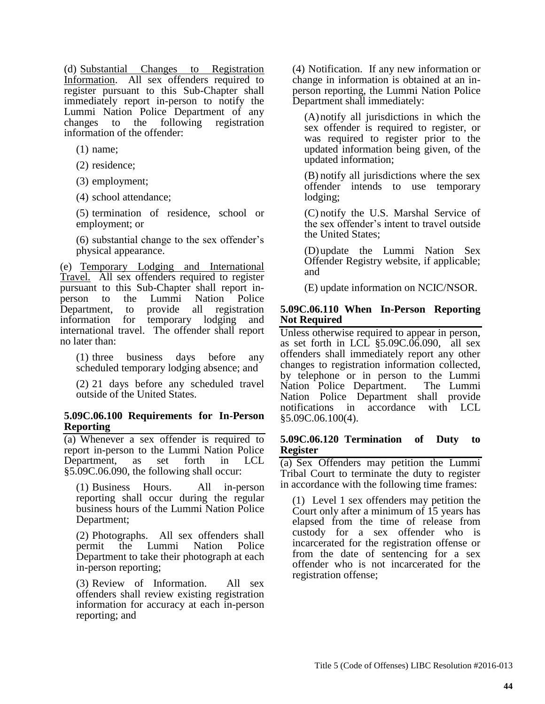(d) Substantial Changes to Registration Information. All sex offenders required to register pursuant to this Sub-Chapter shall immediately report in-person to notify the Lummi Nation Police Department of any changes to the following registration information of the offender:

(1) name;

(2) residence;

(3) employment;

(4) school attendance;

(5) termination of residence, school or employment; or

(6) substantial change to the sex offender's physical appearance.

(e) Temporary Lodging and International Travel. All sex offenders required to register pursuant to this Sub-Chapter shall report inperson to the Lummi Nation Police Department, to provide all registration information for temporary lodging and international travel. The offender shall report no later than:

(1) three business days before any scheduled temporary lodging absence; and

(2) 21 days before any scheduled travel outside of the United States.

### **5.09C.06.100 Requirements for In-Person Reporting**

(a) Whenever a sex offender is required to report in-person to the Lummi Nation Police Department, as set forth in LCL §5.09C.06.090, the following shall occur:

(1) Business Hours. All in-person reporting shall occur during the regular business hours of the Lummi Nation Police Department;

(2) Photographs. All sex offenders shall permit the Lummi Nation Police Department to take their photograph at each in-person reporting;

(3) Review of Information. All sex offenders shall review existing registration information for accuracy at each in-person reporting; and

(4) Notification. If any new information or change in information is obtained at an inperson reporting, the Lummi Nation Police Department shall immediately:

(A)notify all jurisdictions in which the sex offender is required to register, or was required to register prior to the updated information being given, of the updated information;

(B) notify all jurisdictions where the sex offender intends to use temporary lodging;

(C) notify the U.S. Marshal Service of the sex offender's intent to travel outside the United States;

(D)update the Lummi Nation Sex Offender Registry website, if applicable; and

(E) update information on NCIC/NSOR.

### **5.09C.06.110 When In-Person Reporting Not Required**

Unless otherwise required to appear in person, as set forth in LCL  $$5.09C.06.090$ , all sex offenders shall immediately report any other changes to registration information collected, by telephone or in person to the Lummi<br>Nation Police Department. The Lummi Nation Police Department. Nation Police Department shall provide notifications in accordance with LCL §5.09C.06.100(4).

#### **5.09C.06.120 Termination of Duty to Register**

(a) Sex Offenders may petition the Lummi Tribal Court to terminate the duty to register in accordance with the following time frames:

(1) Level 1 sex offenders may petition the Court only after a minimum of 15 years has elapsed from the time of release from custody for a sex offender who is incarcerated for the registration offense or from the date of sentencing for a sex offender who is not incarcerated for the registration offense;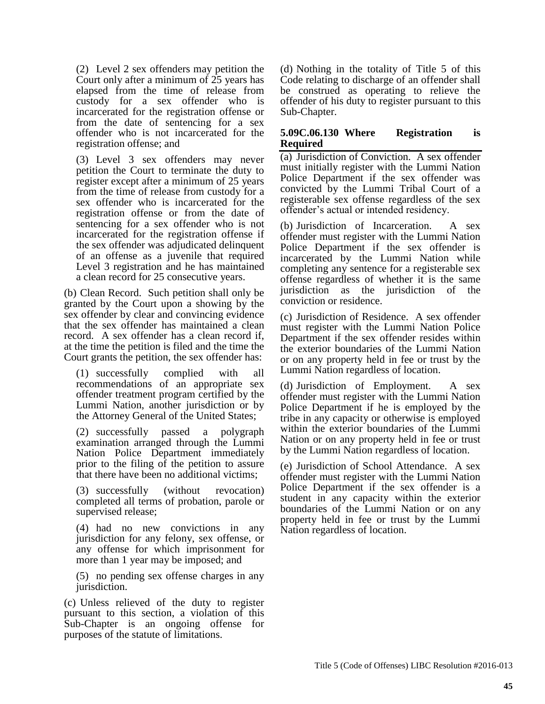(2) Level 2 sex offenders may petition the Court only after a minimum of 25 years has elapsed from the time of release from custody for a sex offender who is incarcerated for the registration offense or from the date of sentencing for a sex offender who is not incarcerated for the registration offense; and

(3) Level 3 sex offenders may never petition the Court to terminate the duty to register except after a minimum of 25 years from the time of release from custody for a sex offender who is incarcerated for the registration offense or from the date of sentencing for a sex offender who is not incarcerated for the registration offense if the sex offender was adjudicated delinquent of an offense as a juvenile that required Level 3 registration and he has maintained a clean record for 25 consecutive years.

(b) Clean Record. Such petition shall only be granted by the Court upon a showing by the sex offender by clear and convincing evidence that the sex offender has maintained a clean record. A sex offender has a clean record if, at the time the petition is filed and the time the Court grants the petition, the sex offender has:

(1) successfully complied with all recommendations of an appropriate sex offender treatment program certified by the Lummi Nation, another jurisdiction or by the Attorney General of the United States;

(2) successfully passed a polygraph examination arranged through the Lummi Nation Police Department immediately prior to the filing of the petition to assure that there have been no additional victims;

(3) successfully (without revocation) completed all terms of probation, parole or supervised release;

(4) had no new convictions in any jurisdiction for any felony, sex offense, or any offense for which imprisonment for more than 1 year may be imposed; and

(5) no pending sex offense charges in any jurisdiction.

(c) Unless relieved of the duty to register pursuant to this section, a violation of this Sub-Chapter is an ongoing offense for purposes of the statute of limitations.

(d) Nothing in the totality of Title 5 of this Code relating to discharge of an offender shall be construed as operating to relieve the offender of his duty to register pursuant to this Sub-Chapter.

# **5.09C.06.130 Where Registration is Required**

(a) Jurisdiction of Conviction. A sex offender must initially register with the Lummi Nation Police Department if the sex offender was convicted by the Lummi Tribal Court of a registerable sex offense regardless of the sex offender's actual or intended residency.

(b) Jurisdiction of Incarceration. A sex offender must register with the Lummi Nation Police Department if the sex offender is incarcerated by the Lummi Nation while completing any sentence for a registerable sex offense regardless of whether it is the same jurisdiction as the jurisdiction of the conviction or residence.

(c) Jurisdiction of Residence. A sex offender must register with the Lummi Nation Police Department if the sex offender resides within the exterior boundaries of the Lummi Nation or on any property held in fee or trust by the Lummi Nation regardless of location.

(d) Jurisdiction of Employment. A sex offender must register with the Lummi Nation Police Department if he is employed by the tribe in any capacity or otherwise is employed within the exterior boundaries of the Lummi Nation or on any property held in fee or trust by the Lummi Nation regardless of location.

(e) Jurisdiction of School Attendance. A sex offender must register with the Lummi Nation Police Department if the sex offender is a student in any capacity within the exterior boundaries of the Lummi Nation or on any property held in fee or trust by the Lummi Nation regardless of location.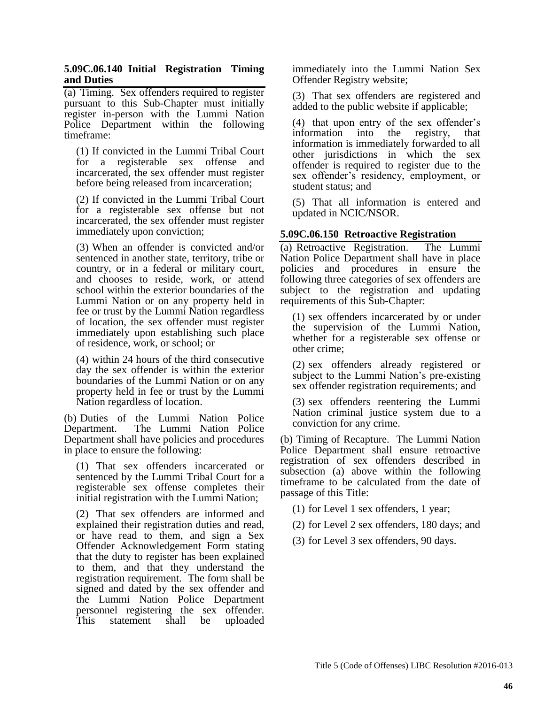#### **5.09C.06.140 Initial Registration Timing and Duties**

(a) Timing. Sex offenders required to register pursuant to this Sub-Chapter must initially register in-person with the Lummi Nation Police Department within the following timeframe:

(1) If convicted in the Lummi Tribal Court for a registerable sex offense and incarcerated, the sex offender must register before being released from incarceration;

(2) If convicted in the Lummi Tribal Court for a registerable sex offense but not incarcerated, the sex offender must register immediately upon conviction;

(3) When an offender is convicted and/or sentenced in another state, territory, tribe or country, or in a federal or military court, and chooses to reside, work, or attend school within the exterior boundaries of the Lummi Nation or on any property held in fee or trust by the Lummi Nation regardless of location, the sex offender must register immediately upon establishing such place of residence, work, or school; or

(4) within 24 hours of the third consecutive day the sex offender is within the exterior boundaries of the Lummi Nation or on any property held in fee or trust by the Lummi Nation regardless of location.

(b) Duties of the Lummi Nation Police Department. The Lummi Nation Police Department shall have policies and procedures in place to ensure the following:

(1) That sex offenders incarcerated or sentenced by the Lummi Tribal Court for a registerable sex offense completes their initial registration with the Lummi Nation;

(2) That sex offenders are informed and explained their registration duties and read, or have read to them, and sign a Sex Offender Acknowledgement Form stating that the duty to register has been explained to them, and that they understand the registration requirement. The form shall be signed and dated by the sex offender and the Lummi Nation Police Department personnel registering the sex offender.<br>This statement shall be uploaded statement shall be uploaded immediately into the Lummi Nation Sex Offender Registry website;

(3) That sex offenders are registered and added to the public website if applicable;

(4) that upon entry of the sex offender's information into the registry, that information is immediately forwarded to all other jurisdictions in which the sex offender is required to register due to the sex offender's residency, employment, or student status; and

(5) That all information is entered and updated in NCIC/NSOR.

# **5.09C.06.150 Retroactive Registration**

(a) Retroactive Registration. The Lummi Nation Police Department shall have in place policies and procedures in ensure the following three categories of sex offenders are subject to the registration and updating requirements of this Sub-Chapter:

(1) sex offenders incarcerated by or under the supervision of the Lummi Nation, whether for a registerable sex offense or other crime;

(2) sex offenders already registered or subject to the Lummi Nation's pre-existing sex offender registration requirements; and

(3) sex offenders reentering the Lummi Nation criminal justice system due to a conviction for any crime.

(b) Timing of Recapture. The Lummi Nation Police Department shall ensure retroactive registration of sex offenders described in subsection (a) above within the following timeframe to be calculated from the date of passage of this Title:

- (1) for Level 1 sex offenders, 1 year;
- (2) for Level 2 sex offenders, 180 days; and
- (3) for Level 3 sex offenders, 90 days.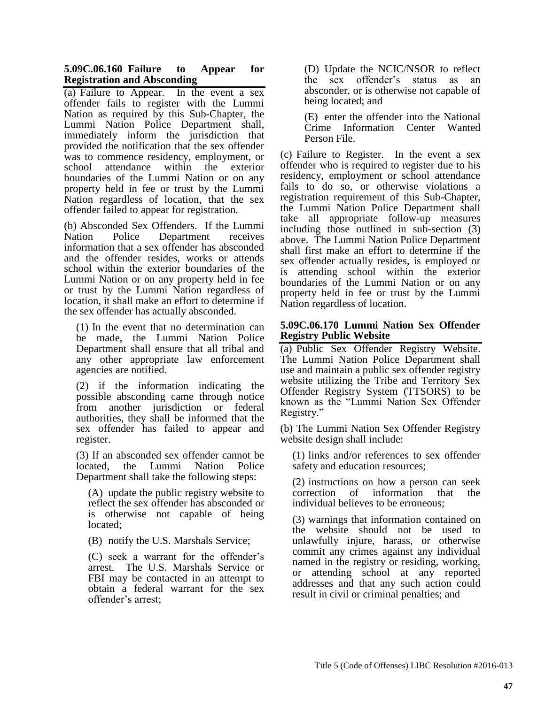#### **5.09C.06.160 Failure to Appear for Registration and Absconding**

(a) Failure to Appear. In the event a sex offender fails to register with the Lummi Nation as required by this Sub-Chapter, the Lummi Nation Police Department shall, immediately inform the jurisdiction that provided the notification that the sex offender was to commence residency, employment, or school attendance within the exterior boundaries of the Lummi Nation or on any property held in fee or trust by the Lummi Nation regardless of location, that the sex offender failed to appear for registration.

(b) Absconded Sex Offenders. If the Lummi Nation Police Department receives information that a sex offender has absconded and the offender resides, works or attends school within the exterior boundaries of the Lummi Nation or on any property held in fee or trust by the Lummi Nation regardless of location, it shall make an effort to determine if the sex offender has actually absconded.

(1) In the event that no determination can be made, the Lummi Nation Police Department shall ensure that all tribal and any other appropriate law enforcement agencies are notified.

(2) if the information indicating the possible absconding came through notice from another jurisdiction or federal authorities, they shall be informed that the sex offender has failed to appear and register.

(3) If an absconded sex offender cannot be located, the Lummi Nation Police Department shall take the following steps:

(A) update the public registry website to reflect the sex offender has absconded or is otherwise not capable of being located;

(B) notify the U.S. Marshals Service;

(C) seek a warrant for the offender's arrest. The U.S. Marshals Service or FBI may be contacted in an attempt to obtain a federal warrant for the sex offender's arrest;

(D) Update the NCIC/NSOR to reflect the sex offender's status as an absconder, or is otherwise not capable of being located; and

(E) enter the offender into the National Crime Information Center Wanted Person File.

(c) Failure to Register. In the event a sex offender who is required to register due to his residency, employment or school attendance fails to do so, or otherwise violations a registration requirement of this Sub-Chapter, the Lummi Nation Police Department shall take all appropriate follow-up measures including those outlined in sub-section (3) above. The Lummi Nation Police Department shall first make an effort to determine if the sex offender actually resides, is employed or is attending school within the exterior boundaries of the Lummi Nation or on any property held in fee or trust by the Lummi Nation regardless of location.

### **5.09C.06.170 Lummi Nation Sex Offender Registry Public Website**

(a) Public Sex Offender Registry Website. The Lummi Nation Police Department shall use and maintain a public sex offender registry website utilizing the Tribe and Territory Sex Offender Registry System (TTSORS) to be known as the "Lummi Nation Sex Offender Registry."

(b) The Lummi Nation Sex Offender Registry website design shall include:

(1) links and/or references to sex offender safety and education resources;

(2) instructions on how a person can seek correction of information that the individual believes to be erroneous;

(3) warnings that information contained on the website should not be used to unlawfully injure, harass, or otherwise commit any crimes against any individual named in the registry or residing, working, or attending school at any reported addresses and that any such action could result in civil or criminal penalties; and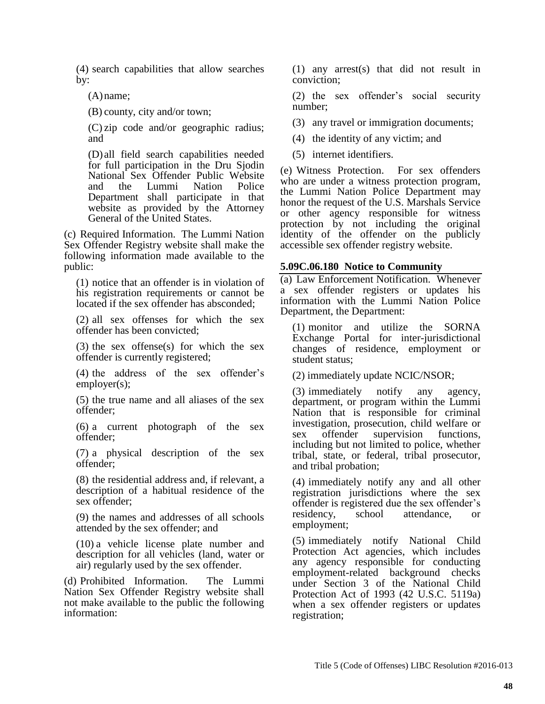(4) search capabilities that allow searches by:

 $(A)$ name;

(B) county, city and/or town;

(C) zip code and/or geographic radius; and

(D) all field search capabilities needed for full participation in the Dru Sjodin National Sex Offender Public Website and the Lummi Nation Police Department shall participate in that website as provided by the Attorney General of the United States.

(c) Required Information. The Lummi Nation Sex Offender Registry website shall make the following information made available to the public:

(1) notice that an offender is in violation of his registration requirements or cannot be located if the sex offender has absconded;

(2) all sex offenses for which the sex offender has been convicted;

(3) the sex offense(s) for which the sex offender is currently registered;

(4) the address of the sex offender's employer(s);

(5) the true name and all aliases of the sex offender;

(6) a current photograph of the sex offender;

(7) a physical description of the sex offender;

(8) the residential address and, if relevant, a description of a habitual residence of the sex offender;

(9) the names and addresses of all schools attended by the sex offender; and

(10) a vehicle license plate number and description for all vehicles (land, water or air) regularly used by the sex offender.

(d) Prohibited Information. The Lummi Nation Sex Offender Registry website shall not make available to the public the following information:

(1) any arrest(s) that did not result in conviction;

(2) the sex offender's social security number;

(3) any travel or immigration documents;

(4) the identity of any victim; and

(5) internet identifiers.

(e) Witness Protection. For sex offenders who are under a witness protection program, the Lummi Nation Police Department may honor the request of the U.S. Marshals Service or other agency responsible for witness protection by not including the original identity of the offender on the publicly accessible sex offender registry website.

### **5.09C.06.180 Notice to Community**

(a) Law Enforcement Notification. Whenever a sex offender registers or updates his information with the Lummi Nation Police Department, the Department:

(1) monitor and utilize the SORNA Exchange Portal for inter-jurisdictional changes of residence, employment or student status;

(2) immediately update NCIC/NSOR;

(3) immediately notify any agency, department, or program within the Lummi Nation that is responsible for criminal investigation, prosecution, child welfare or sex offender supervision functions, including but not limited to police, whether tribal, state, or federal, tribal prosecutor, and tribal probation;

(4) immediately notify any and all other registration jurisdictions where the sex offender is registered due the sex offender's residency, school attendance, or employment;

(5) immediately notify National Child Protection Act agencies, which includes any agency responsible for conducting employment-related background checks under Section 3 of the National Child Protection Act of 1993 (42 U.S.C. 5119a) when a sex offender registers or updates registration;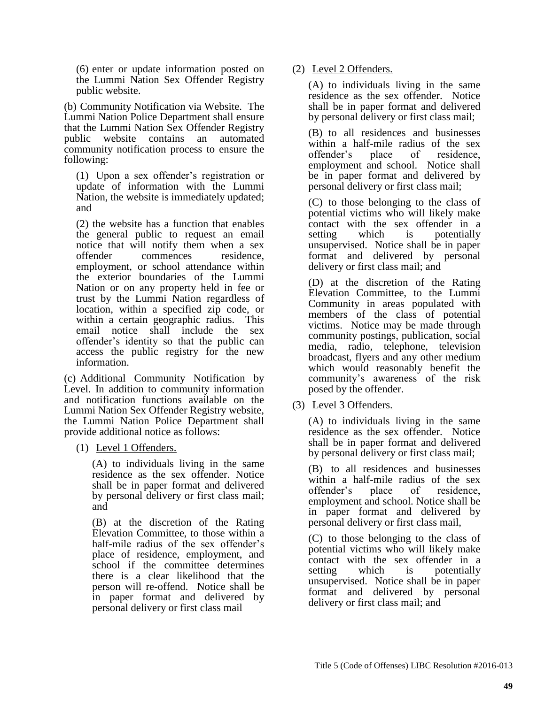(6) enter or update information posted on the Lummi Nation Sex Offender Registry public website.

(b) Community Notification via Website. The Lummi Nation Police Department shall ensure that the Lummi Nation Sex Offender Registry public website contains an automated community notification process to ensure the following:

(1) Upon a sex offender's registration or update of information with the Lummi Nation, the website is immediately updated; and

(2) the website has a function that enables the general public to request an email notice that will notify them when a sex offender commences residence, employment, or school attendance within the exterior boundaries of the Lummi Nation or on any property held in fee or trust by the Lummi Nation regardless of location, within a specified zip code, or within a certain geographic radius. This email notice shall include the sex offender's identity so that the public can access the public registry for the new information.

(c) Additional Community Notification by Level. In addition to community information and notification functions available on the Lummi Nation Sex Offender Registry website, the Lummi Nation Police Department shall provide additional notice as follows:

(1) Level 1 Offenders.

(A) to individuals living in the same residence as the sex offender. Notice shall be in paper format and delivered by personal delivery or first class mail; and

(B) at the discretion of the Rating Elevation Committee, to those within a half-mile radius of the sex offender's place of residence, employment, and school if the committee determines there is a clear likelihood that the person will re-offend. Notice shall be in paper format and delivered by personal delivery or first class mail

(2) Level 2 Offenders.

(A) to individuals living in the same residence as the sex offender. Notice shall be in paper format and delivered by personal delivery or first class mail;

(B) to all residences and businesses within a half-mile radius of the sex offender's place of residence, employment and school. Notice shall be in paper format and delivered by personal delivery or first class mail;

(C) to those belonging to the class of potential victims who will likely make contact with the sex offender in a setting which is potentially unsupervised. Notice shall be in paper format and delivered by personal delivery or first class mail; and

(D) at the discretion of the Rating Elevation Committee, to the Lummi Community in areas populated with members of the class of potential victims. Notice may be made through community postings, publication, social media, radio, telephone, television broadcast, flyers and any other medium which would reasonably benefit the community's awareness of the risk posed by the offender.

(3) Level 3 Offenders.

(A) to individuals living in the same residence as the sex offender. Notice shall be in paper format and delivered by personal delivery or first class mail;

(B) to all residences and businesses within a half-mile radius of the sex<br>offender's place of residence. offender's place of residence, employment and school. Notice shall be in paper format and delivered by personal delivery or first class mail,

(C) to those belonging to the class of potential victims who will likely make contact with the sex offender in a setting which is potentially unsupervised. Notice shall be in paper format and delivered by personal delivery or first class mail; and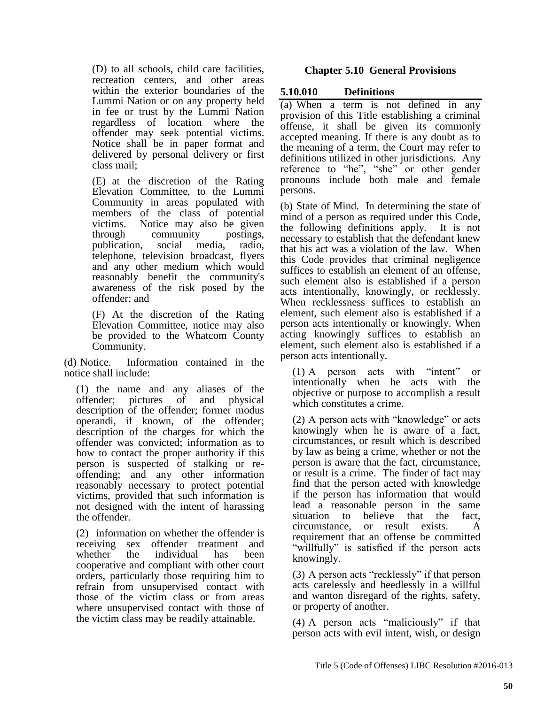(D) to all schools, child care facilities, recreation centers, and other areas within the exterior boundaries of the Lummi Nation or on any property held in fee or trust by the Lummi Nation regardless of location where the offender may seek potential victims. Notice shall be in paper format and delivered by personal delivery or first class mail;

(E) at the discretion of the Rating Elevation Committee, to the Lummi Community in areas populated with members of the class of potential victims. Notice may also be given through community postings, publication, social media, radio, telephone, television broadcast, flyers and any other medium which would reasonably benefit the community's awareness of the risk posed by the offender; and

(F) At the discretion of the Rating Elevation Committee, notice may also be provided to the Whatcom County Community.

(d) Notice. Information contained in the notice shall include:

(1) the name and any aliases of the offender; pictures of and physical description of the offender; former modus operandi, if known, of the offender; description of the charges for which the offender was convicted; information as to how to contact the proper authority if this person is suspected of stalking or reoffending; and any other information reasonably necessary to protect potential victims, provided that such information is not designed with the intent of harassing the offender.

(2) information on whether the offender is receiving sex offender treatment and whether the individual has been cooperative and compliant with other court orders, particularly those requiring him to refrain from unsupervised contact with those of the victim class or from areas where unsupervised contact with those of the victim class may be readily attainable.

# **Chapter 5.10 General Provisions**

# **5.10.010 Definitions**

(a) When a term is not defined in any provision of this Title establishing a criminal offense, it shall be given its commonly accepted meaning. If there is any doubt as to the meaning of a term, the Court may refer to definitions utilized in other jurisdictions. Any reference to "he", "she" or other gender pronouns include both male and female persons.

(b) State of Mind. In determining the state of mind of a person as required under this Code, the following definitions apply. It is not necessary to establish that the defendant knew that his act was a violation of the law. When this Code provides that criminal negligence suffices to establish an element of an offense, such element also is established if a person acts intentionally, knowingly, or recklessly. When recklessness suffices to establish an element, such element also is established if a person acts intentionally or knowingly. When acting knowingly suffices to establish an element, such element also is established if a person acts intentionally.

(1) A person acts with "intent" or intentionally when he acts with the objective or purpose to accomplish a result which constitutes a crime.

(2) A person acts with "knowledge" or acts knowingly when he is aware of a fact, circumstances, or result which is described by law as being a crime, whether or not the person is aware that the fact, circumstance, or result is a crime. The finder of fact may find that the person acted with knowledge if the person has information that would lead a reasonable person in the same situation to believe that the fact, circumstance, or result exists. A requirement that an offense be committed "willfully" is satisfied if the person acts knowingly.

(3) A person acts "recklessly" if that person acts carelessly and heedlessly in a willful and wanton disregard of the rights, safety, or property of another.

(4) A person acts "maliciously" if that person acts with evil intent, wish, or design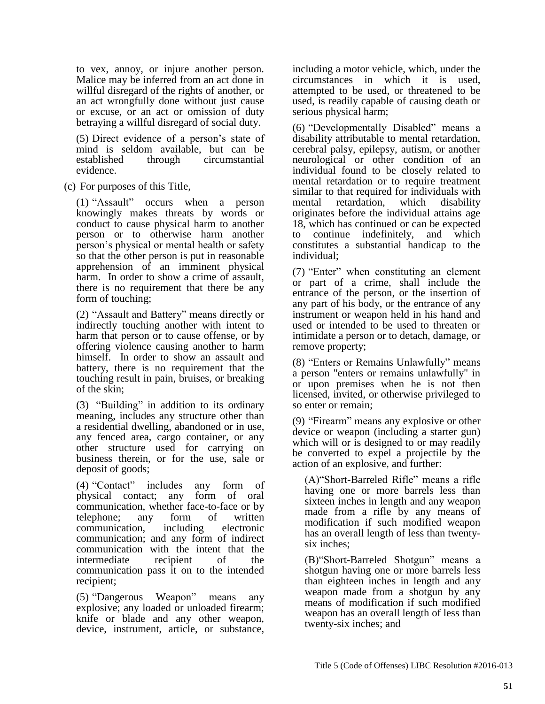to vex, annoy, or injure another person. Malice may be inferred from an act done in willful disregard of the rights of another, or an act wrongfully done without just cause or excuse, or an act or omission of duty betraying a willful disregard of social duty.

(5) Direct evidence of a person's state of mind is seldom available, but can be established through circumstantial evidence.

(c) For purposes of this Title,

(1) "Assault" occurs when a person knowingly makes threats by words or conduct to cause physical harm to another person or to otherwise harm another person's physical or mental health or safety so that the other person is put in reasonable apprehension of an imminent physical harm. In order to show a crime of assault, there is no requirement that there be any form of touching;

(2) "Assault and Battery" means directly or indirectly touching another with intent to harm that person or to cause offense, or by offering violence causing another to harm himself. In order to show an assault and battery, there is no requirement that the touching result in pain, bruises, or breaking of the skin;

(3) "Building" in addition to its ordinary meaning, includes any structure other than a residential dwelling, abandoned or in use, any fenced area, cargo container, or any other structure used for carrying on business therein, or for the use, sale or deposit of goods;

(4) "Contact" includes any form of physical contact; any form of oral communication, whether face-to-face or by telephone; any form of written communication, including electronic communication; and any form of indirect communication with the intent that the intermediate recipient of the communication pass it on to the intended recipient;

(5) "Dangerous Weapon" means any explosive; any loaded or unloaded firearm; knife or blade and any other weapon, device, instrument, article, or substance,

including a motor vehicle, which, under the circumstances in which it is used, attempted to be used, or threatened to be used, is readily capable of causing death or serious physical harm;

(6) "Developmentally Disabled" means a disability attributable to mental retardation, cerebral palsy, epilepsy, autism, or another neurological or other condition of an individual found to be closely related to mental retardation or to require treatment similar to that required for individuals with mental retardation, which disability originates before the individual attains age 18, which has continued or can be expected to continue indefinitely, and which constitutes a substantial handicap to the individual;

(7) "Enter" when constituting an element or part of a crime, shall include the entrance of the person, or the insertion of any part of his body, or the entrance of any instrument or weapon held in his hand and used or intended to be used to threaten or intimidate a person or to detach, damage, or remove property;

(8) "Enters or Remains Unlawfully" means a person "enters or remains unlawfully" in or upon premises when he is not then licensed, invited, or otherwise privileged to so enter or remain;

(9) "Firearm" means any explosive or other device or weapon (including a starter gun) which will or is designed to or may readily be converted to expel a projectile by the action of an explosive, and further:

(A)"Short-Barreled Rifle" means a rifle having one or more barrels less than sixteen inches in length and any weapon made from a rifle by any means of modification if such modified weapon has an overall length of less than twentysix inches;

(B)"Short-Barreled Shotgun" means a shotgun having one or more barrels less than eighteen inches in length and any weapon made from a shotgun by any means of modification if such modified weapon has an overall length of less than twenty-six inches; and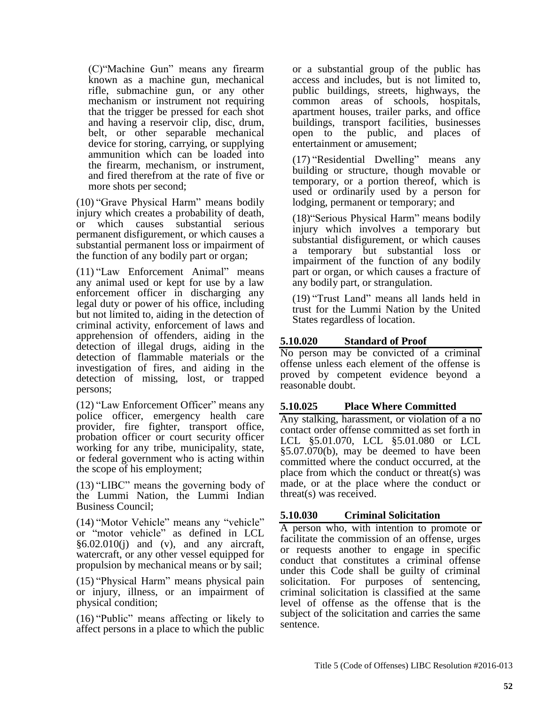(C)"Machine Gun" means any firearm known as a machine gun, mechanical rifle, submachine gun, or any other mechanism or instrument not requiring that the trigger be pressed for each shot and having a reservoir clip, disc, drum, belt, or other separable mechanical device for storing, carrying, or supplying ammunition which can be loaded into the firearm, mechanism, or instrument, and fired therefrom at the rate of five or more shots per second;

(10) "Grave Physical Harm" means bodily injury which creates a probability of death, or which causes substantial serious permanent disfigurement, or which causes a substantial permanent loss or impairment of the function of any bodily part or organ;

(11) "Law Enforcement Animal" means any animal used or kept for use by a law enforcement officer in discharging any legal duty or power of his office, including but not limited to, aiding in the detection of criminal activity, enforcement of laws and apprehension of offenders, aiding in the detection of illegal drugs, aiding in the detection of flammable materials or the investigation of fires, and aiding in the detection of missing, lost, or trapped persons;

(12) "Law Enforcement Officer" means any police officer, emergency health care provider, fire fighter, transport office, probation officer or court security officer working for any tribe, municipality, state, or federal government who is acting within the scope of his employment;

(13) "LIBC" means the governing body of the Lummi Nation, the Lummi Indian Business Council;

(14) "Motor Vehicle" means any "vehicle" or "motor vehicle" as defined in LCL  $§6.02.010(i)$  and (v), and any aircraft, watercraft, or any other vessel equipped for propulsion by mechanical means or by sail;

(15) "Physical Harm" means physical pain or injury, illness, or an impairment of physical condition;

(16) "Public" means affecting or likely to affect persons in a place to which the public or a substantial group of the public has access and includes, but is not limited to, public buildings, streets, highways, the common areas of schools, hospitals, apartment houses, trailer parks, and office buildings, transport facilities, businesses open to the public, and places of entertainment or amusement;

(17) "Residential Dwelling" means any building or structure, though movable or temporary, or a portion thereof, which is used or ordinarily used by a person for lodging, permanent or temporary; and

(18)"Serious Physical Harm" means bodily injury which involves a temporary but substantial disfigurement, or which causes a temporary but substantial loss or impairment of the function of any bodily part or organ, or which causes a fracture of any bodily part, or strangulation.

(19) "Trust Land" means all lands held in trust for the Lummi Nation by the United States regardless of location.

# **5.10.020 Standard of Proof**

No person may be convicted of a criminal offense unless each element of the offense is proved by competent evidence beyond a reasonable doubt.

# **5.10.025 Place Where Committed**

Any stalking, harassment, or violation of a no contact order offense committed as set forth in LCL §5.01.070, LCL §5.01.080 or LCL §5.07.070(b), may be deemed to have been committed where the conduct occurred, at the place from which the conduct or threat(s) was made, or at the place where the conduct or threat(s) was received.

# **5.10.030 Criminal Solicitation**

A person who, with intention to promote or facilitate the commission of an offense, urges or requests another to engage in specific conduct that constitutes a criminal offense under this Code shall be guilty of criminal solicitation. For purposes of sentencing, criminal solicitation is classified at the same level of offense as the offense that is the subject of the solicitation and carries the same sentence.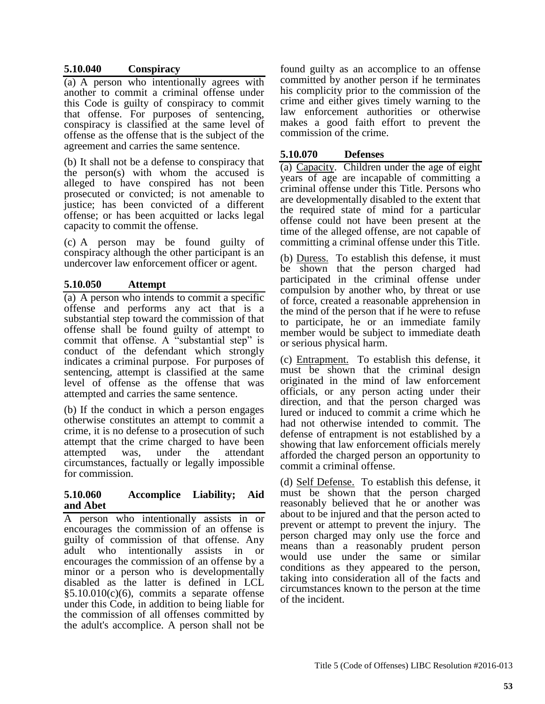# **5.10.040 Conspiracy**

(a) A person who intentionally agrees with another to commit a criminal offense under this Code is guilty of conspiracy to commit that offense. For purposes of sentencing, conspiracy is classified at the same level of offense as the offense that is the subject of the agreement and carries the same sentence.

(b) It shall not be a defense to conspiracy that the person(s) with whom the accused is alleged to have conspired has not been prosecuted or convicted; is not amenable to justice; has been convicted of a different offense; or has been acquitted or lacks legal capacity to commit the offense.

(c) A person may be found guilty of conspiracy although the other participant is an undercover law enforcement officer or agent.

# **5.10.050 Attempt**

(a) A person who intends to commit a specific offense and performs any act that is a substantial step toward the commission of that offense shall be found guilty of attempt to commit that offense. A "substantial step" is conduct of the defendant which strongly indicates a criminal purpose. For purposes of sentencing, attempt is classified at the same level of offense as the offense that was attempted and carries the same sentence.

(b) If the conduct in which a person engages otherwise constitutes an attempt to commit a crime, it is no defense to a prosecution of such attempt that the crime charged to have been attempted was, under the attendant circumstances, factually or legally impossible for commission.

#### **5.10.060 Accomplice Liability; Aid and Abet**

A person who intentionally assists in or encourages the commission of an offense is guilty of commission of that offense. Any adult who intentionally assists in or encourages the commission of an offense by a minor or a person who is developmentally disabled as the latter is defined in LCL  $\S5.10.010(c)(6)$ , commits a separate offense under this Code, in addition to being liable for the commission of all offenses committed by the adult's accomplice. A person shall not be

found guilty as an accomplice to an offense committed by another person if he terminates his complicity prior to the commission of the crime and either gives timely warning to the law enforcement authorities or otherwise makes a good faith effort to prevent the commission of the crime.

### **5.10.070 Defenses**

(a) Capacity. Children under the age of eight years of age are incapable of committing a criminal offense under this Title. Persons who are developmentally disabled to the extent that the required state of mind for a particular offense could not have been present at the time of the alleged offense, are not capable of committing a criminal offense under this Title.

(b) Duress. To establish this defense, it must be shown that the person charged had participated in the criminal offense under compulsion by another who, by threat or use of force, created a reasonable apprehension in the mind of the person that if he were to refuse to participate, he or an immediate family member would be subject to immediate death or serious physical harm.

(c) Entrapment. To establish this defense, it must be shown that the criminal design originated in the mind of law enforcement officials, or any person acting under their direction, and that the person charged was lured or induced to commit a crime which he had not otherwise intended to commit. The defense of entrapment is not established by a showing that law enforcement officials merely afforded the charged person an opportunity to commit a criminal offense.

(d) Self Defense. To establish this defense, it must be shown that the person charged reasonably believed that he or another was about to be injured and that the person acted to prevent or attempt to prevent the injury. The person charged may only use the force and means than a reasonably prudent person would use under the same or similar conditions as they appeared to the person, taking into consideration all of the facts and circumstances known to the person at the time of the incident.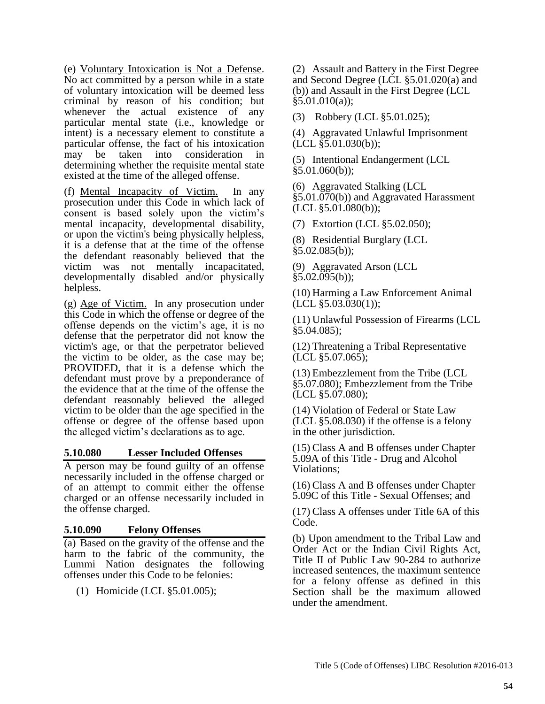(e) Voluntary Intoxication is Not a Defense. No act committed by a person while in a state of voluntary intoxication will be deemed less criminal by reason of his condition; but whenever the actual existence of any particular mental state (i.e., knowledge or intent) is a necessary element to constitute a particular offense, the fact of his intoxication may be taken into consideration in determining whether the requisite mental state existed at the time of the alleged offense.

(f) Mental Incapacity of Victim. In any prosecution under this Code in which lack of consent is based solely upon the victim's mental incapacity, developmental disability, or upon the victim's being physically helpless, it is a defense that at the time of the offense the defendant reasonably believed that the victim was not mentally incapacitated, developmentally disabled and/or physically helpless.

(g) Age of Victim. In any prosecution under this Code in which the offense or degree of the offense depends on the victim's age, it is no defense that the perpetrator did not know the victim's age, or that the perpetrator believed the victim to be older, as the case may be; PROVIDED, that it is a defense which the defendant must prove by a preponderance of the evidence that at the time of the offense the defendant reasonably believed the alleged victim to be older than the age specified in the offense or degree of the offense based upon the alleged victim's declarations as to age.

# **5.10.080 Lesser Included Offenses**

A person may be found guilty of an offense necessarily included in the offense charged or of an attempt to commit either the offense charged or an offense necessarily included in the offense charged.

# **5.10.090 Felony Offenses**

(a) Based on the gravity of the offense and the harm to the fabric of the community, the Lummi Nation designates the following offenses under this Code to be felonies:

(1) Homicide (LCL §5.01.005);

(2) Assault and Battery in the First Degree and Second Degree (LCL §5.01.020(a) and (b)) and Assault in the First Degree (LCL §5.01.010(a));

(3) Robbery (LCL §5.01.025);

(4) Aggravated Unlawful Imprisonment  $( LCL \$ §5.01.030(b));

(5) Intentional Endangerment (LCL  $§5.01.060(b)$ ;

(6) Aggravated Stalking (LCL §5.01.070(b)) and Aggravated Harassment  $( LCL \$ §5.01.080(b));

(7) Extortion (LCL §5.02.050);

(8) Residential Burglary (LCL  $§5.02.085(b)$ ;

(9) Aggravated Arson (LCL  $§5.02.095(b)$ ;

(10) Harming a Law Enforcement Animal  $( LCL \$ §5.03.030 $(1)$ ;

(11) Unlawful Possession of Firearms (LCL §5.04.085);

(12) Threatening a Tribal Representative  $( LCL \$ §5.07.065);

(13) Embezzlement from the Tribe (LCL §5.07.080); Embezzlement from the Tribe (LCL §5.07.080);

(14) Violation of Federal or State Law (LCL §5.08.030) if the offense is a felony in the other jurisdiction.

(15) Class A and B offenses under Chapter 5.09A of this Title - Drug and Alcohol Violations;

(16) Class A and B offenses under Chapter 5.09C of this Title - Sexual Offenses; and

(17) Class A offenses under Title 6A of this Code.

(b) Upon amendment to the Tribal Law and Order Act or the Indian Civil Rights Act, Title II of Public Law 90-284 to authorize increased sentences, the maximum sentence for a felony offense as defined in this Section shall be the maximum allowed under the amendment.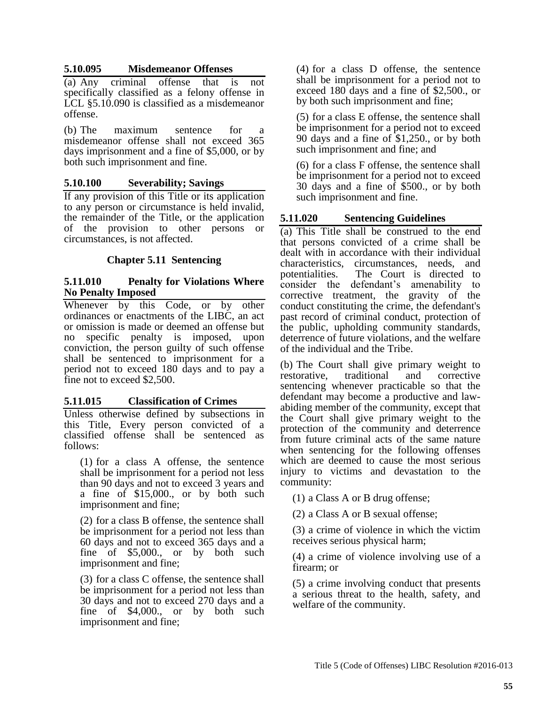# **5.10.095 Misdemeanor Offenses**

(a) Any criminal offense that is not specifically classified as a felony offense in LCL §5.10.090 is classified as a misdemeanor offense.

(b) The maximum sentence for a misdemeanor offense shall not exceed 365 days imprisonment and a fine of \$5,000, or by both such imprisonment and fine.

# **5.10.100 Severability; Savings**

If any provision of this Title or its application to any person or circumstance is held invalid, the remainder of the Title, or the application of the provision to other persons or circumstances, is not affected.

### **Chapter 5.11 Sentencing**

#### **5.11.010 Penalty for Violations Where No Penalty Imposed**

Whenever by this Code, or by other ordinances or enactments of the LIBC, an act or omission is made or deemed an offense but no specific penalty is imposed, upon conviction, the person guilty of such offense shall be sentenced to imprisonment for a period not to exceed 180 days and to pay a fine not to exceed \$2,500.

# **5.11.015 Classification of Crimes**

Unless otherwise defined by subsections in this Title, Every person convicted of a classified offense shall be sentenced as follows:

(1) for a class A offense, the sentence shall be imprisonment for a period not less than 90 days and not to exceed 3 years and a fine of \$15,000., or by both such imprisonment and fine;

(2) for a class B offense, the sentence shall be imprisonment for a period not less than 60 days and not to exceed 365 days and a fine of \$5,000., or by both such imprisonment and fine;

(3) for a class C offense, the sentence shall be imprisonment for a period not less than 30 days and not to exceed 270 days and a fine of \$4,000., or by both such imprisonment and fine;

(4) for a class D offense, the sentence shall be imprisonment for a period not to exceed 180 days and a fine of \$2,500., or by both such imprisonment and fine;

(5) for a class E offense, the sentence shall be imprisonment for a period not to exceed 90 days and a fine of \$1,250., or by both such imprisonment and fine; and

(6) for a class F offense, the sentence shall be imprisonment for a period not to exceed 30 days and a fine of \$500., or by both such imprisonment and fine.

# **5.11.020 Sentencing Guidelines**

(a) This Title shall be construed to the end that persons convicted of a crime shall be dealt with in accordance with their individual characteristics, circumstances, needs, and potentialities. The Court is directed to consider the defendant's amenability to corrective treatment, the gravity of the conduct constituting the crime, the defendant's past record of criminal conduct, protection of the public, upholding community standards, deterrence of future violations, and the welfare of the individual and the Tribe.

(b) The Court shall give primary weight to restorative, traditional and corrective sentencing whenever practicable so that the defendant may become a productive and lawabiding member of the community, except that the Court shall give primary weight to the protection of the community and deterrence from future criminal acts of the same nature when sentencing for the following offenses which are deemed to cause the most serious injury to victims and devastation to the community:

(1) a Class A or B drug offense;

(2) a Class A or B sexual offense;

(3) a crime of violence in which the victim receives serious physical harm;

(4) a crime of violence involving use of a firearm; or

(5) a crime involving conduct that presents a serious threat to the health, safety, and welfare of the community.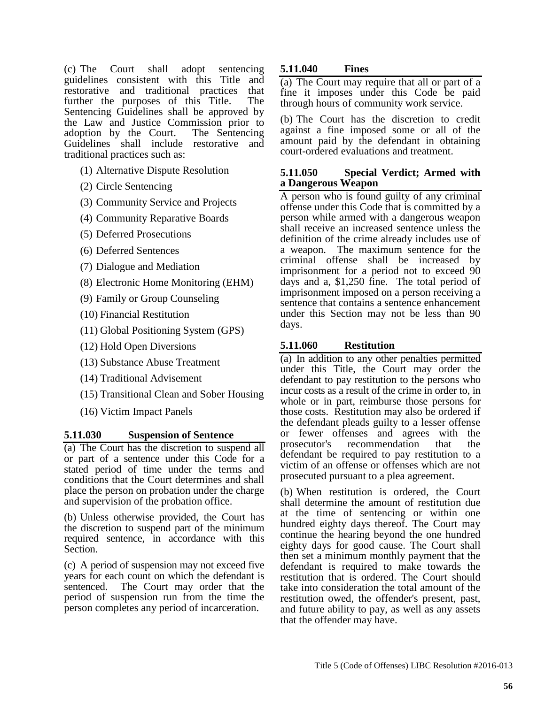(c) The Court shall adopt sentencing guidelines consistent with this Title and restorative and traditional practices that further the purposes of this Title. The Sentencing Guidelines shall be approved by the Law and Justice Commission prior to adoption by the Court. The Sentencing Guidelines shall include restorative and traditional practices such as:

- (1) Alternative Dispute Resolution
- (2) Circle Sentencing
- (3) Community Service and Projects
- (4) Community Reparative Boards
- (5) Deferred Prosecutions
- (6) Deferred Sentences
- (7) Dialogue and Mediation
- (8) Electronic Home Monitoring (EHM)
- (9) Family or Group Counseling
- (10) Financial Restitution
- (11) Global Positioning System (GPS)
- (12) Hold Open Diversions
- (13) Substance Abuse Treatment
- (14) Traditional Advisement
- (15) Transitional Clean and Sober Housing
- (16) Victim Impact Panels

#### **5.11.030 Suspension of Sentence**

(a) The Court has the discretion to suspend all or part of a sentence under this Code for a stated period of time under the terms and conditions that the Court determines and shall place the person on probation under the charge and supervision of the probation office.

(b) Unless otherwise provided, the Court has the discretion to suspend part of the minimum required sentence, in accordance with this Section.

(c) A period of suspension may not exceed five years for each count on which the defendant is sentenced. The Court may order that the period of suspension run from the time the person completes any period of incarceration.

### **5.11.040 Fines**

(a) The Court may require that all or part of a fine it imposes under this Code be paid through hours of community work service.

(b) The Court has the discretion to credit against a fine imposed some or all of the amount paid by the defendant in obtaining court-ordered evaluations and treatment.

#### **5.11.050 Special Verdict; Armed with a Dangerous Weapon**

A person who is found guilty of any criminal offense under this Code that is committed by a person while armed with a dangerous weapon shall receive an increased sentence unless the definition of the crime already includes use of a weapon. The maximum sentence for the criminal offense shall be increased by imprisonment for a period not to exceed 90 days and a, \$1,250 fine. The total period of imprisonment imposed on a person receiving a sentence that contains a sentence enhancement under this Section may not be less than 90 days.

# **5.11.060 Restitution**

(a) In addition to any other penalties permitted under this Title, the Court may order the defendant to pay restitution to the persons who incur costs as a result of the crime in order to, in whole or in part, reimburse those persons for those costs. Restitution may also be ordered if the defendant pleads guilty to a lesser offense or fewer offenses and agrees with the prosecutor's recommendation that the defendant be required to pay restitution to a victim of an offense or offenses which are not prosecuted pursuant to a plea agreement.

(b) When restitution is ordered, the Court shall determine the amount of restitution due at the time of sentencing or within one hundred eighty days thereof. The Court may continue the hearing beyond the one hundred eighty days for good cause. The Court shall then set a minimum monthly payment that the defendant is required to make towards the restitution that is ordered. The Court should take into consideration the total amount of the restitution owed, the offender's present, past, and future ability to pay, as well as any assets that the offender may have.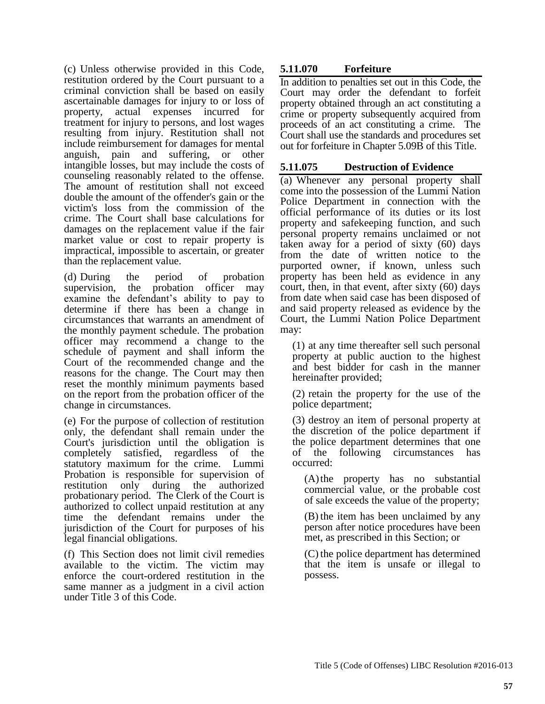(c) Unless otherwise provided in this Code, restitution ordered by the Court pursuant to a criminal conviction shall be based on easily ascertainable damages for injury to or loss of property, actual expenses incurred for treatment for injury to persons, and lost wages resulting from injury. Restitution shall not include reimbursement for damages for mental anguish, pain and suffering, or other intangible losses, but may include the costs of counseling reasonably related to the offense. The amount of restitution shall not exceed double the amount of the offender's gain or the victim's loss from the commission of the crime. The Court shall base calculations for damages on the replacement value if the fair market value or cost to repair property is impractical, impossible to ascertain, or greater than the replacement value.

(d) During the period of probation supervision, the probation officer may examine the defendant's ability to pay to determine if there has been a change in circumstances that warrants an amendment of the monthly payment schedule. The probation officer may recommend a change to the schedule of payment and shall inform the Court of the recommended change and the reasons for the change. The Court may then reset the monthly minimum payments based on the report from the probation officer of the change in circumstances.

(e) For the purpose of collection of restitution only, the defendant shall remain under the Court's jurisdiction until the obligation is completely satisfied, regardless of the statutory maximum for the crime. Lummi Probation is responsible for supervision of restitution only during the authorized probationary period. The Clerk of the Court is authorized to collect unpaid restitution at any time the defendant remains under the jurisdiction of the Court for purposes of his legal financial obligations.

(f) This Section does not limit civil remedies available to the victim. The victim may enforce the court-ordered restitution in the same manner as a judgment in a civil action under Title 3 of this Code.

# **5.11.070 Forfeiture**

In addition to penalties set out in this Code, the Court may order the defendant to forfeit property obtained through an act constituting a crime or property subsequently acquired from proceeds of an act constituting a crime. The Court shall use the standards and procedures set out for forfeiture in Chapter 5.09B of this Title.

# **5.11.075 Destruction of Evidence**

(a) Whenever any personal property shall come into the possession of the Lummi Nation Police Department in connection with the official performance of its duties or its lost property and safekeeping function, and such personal property remains unclaimed or not taken away for a period of sixty (60) days from the date of written notice to the purported owner, if known, unless such property has been held as evidence in any court, then, in that event, after sixty (60) days from date when said case has been disposed of and said property released as evidence by the Court, the Lummi Nation Police Department may:

(1) at any time thereafter sell such personal property at public auction to the highest and best bidder for cash in the manner hereinafter provided;

(2) retain the property for the use of the police department;

(3) destroy an item of personal property at the discretion of the police department if the police department determines that one of the following circumstances has occurred:

(A)the property has no substantial commercial value, or the probable cost of sale exceeds the value of the property;

(B) the item has been unclaimed by any person after notice procedures have been met, as prescribed in this Section; or

(C) the police department has determined that the item is unsafe or illegal to possess.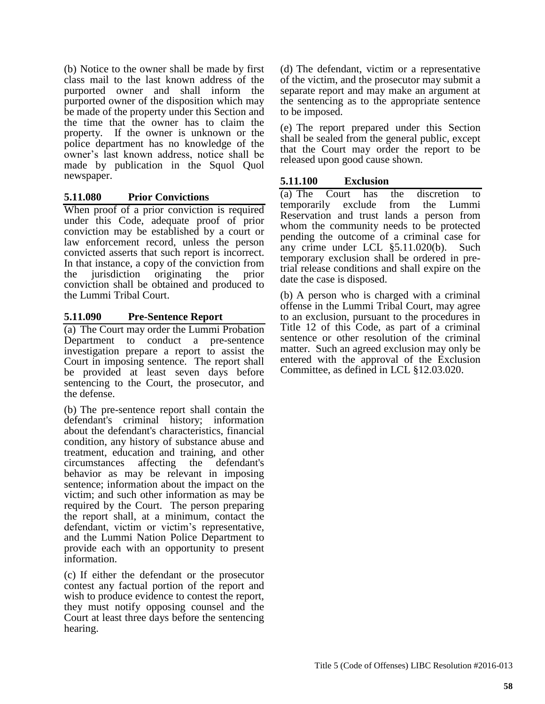(b) Notice to the owner shall be made by first class mail to the last known address of the purported owner and shall inform the purported owner of the disposition which may be made of the property under this Section and the time that the owner has to claim the property. If the owner is unknown or the police department has no knowledge of the owner's last known address, notice shall be made by publication in the Squol Quol newspaper.

# **5.11.080 Prior Convictions**

When proof of a prior conviction is required under this Code, adequate proof of prior conviction may be established by a court or law enforcement record, unless the person convicted asserts that such report is incorrect. In that instance, a copy of the conviction from the jurisdiction originating the prior conviction shall be obtained and produced to the Lummi Tribal Court.

# **5.11.090 Pre-Sentence Report**

(a) The Court may order the Lummi Probation Department to conduct a pre-sentence investigation prepare a report to assist the Court in imposing sentence. The report shall be provided at least seven days before sentencing to the Court, the prosecutor, and the defense.

(b) The pre-sentence report shall contain the defendant's criminal history; information about the defendant's characteristics, financial condition, any history of substance abuse and treatment, education and training, and other circumstances affecting the defendant's behavior as may be relevant in imposing sentence; information about the impact on the victim; and such other information as may be required by the Court. The person preparing the report shall, at a minimum, contact the defendant, victim or victim's representative, and the Lummi Nation Police Department to provide each with an opportunity to present information.

(c) If either the defendant or the prosecutor contest any factual portion of the report and wish to produce evidence to contest the report, they must notify opposing counsel and the Court at least three days before the sentencing hearing.

(d) The defendant, victim or a representative of the victim, and the prosecutor may submit a separate report and may make an argument at the sentencing as to the appropriate sentence to be imposed.

(e) The report prepared under this Section shall be sealed from the general public, except that the Court may order the report to be released upon good cause shown.

# **5.11.100 Exclusion**

(a) The Court has the discretion to temporarily exclude from the Lummi Reservation and trust lands a person from whom the community needs to be protected pending the outcome of a criminal case for any crime under LCL §5.11.020(b). Such temporary exclusion shall be ordered in pretrial release conditions and shall expire on the date the case is disposed.

(b) A person who is charged with a criminal offense in the Lummi Tribal Court, may agree to an exclusion, pursuant to the procedures in Title 12 of this Code, as part of a criminal sentence or other resolution of the criminal matter. Such an agreed exclusion may only be entered with the approval of the Exclusion Committee, as defined in LCL §12.03.020.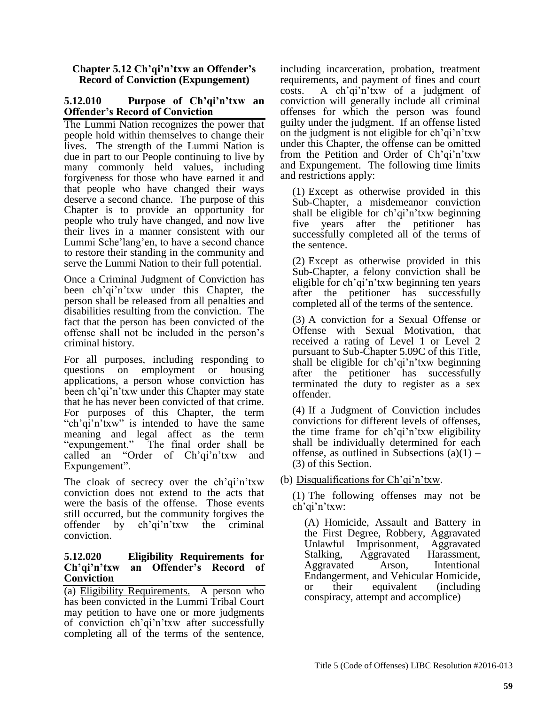#### **Chapter 5.12 Ch'qi'n'txw an Offender's Record of Conviction (Expungement)**

### **5.12.010 Purpose of Ch'qi'n'txw an Offender's Record of Conviction**

The Lummi Nation recognizes the power that people hold within themselves to change their lives. The strength of the Lummi Nation is due in part to our People continuing to live by many commonly held values, including forgiveness for those who have earned it and that people who have changed their ways deserve a second chance. The purpose of this Chapter is to provide an opportunity for people who truly have changed, and now live their lives in a manner consistent with our Lummi Sche'lang'en, to have a second chance to restore their standing in the community and serve the Lummi Nation to their full potential.

Once a Criminal Judgment of Conviction has been ch'qi'n'txw under this Chapter, the person shall be released from all penalties and disabilities resulting from the conviction. The fact that the person has been convicted of the offense shall not be included in the person's criminal history.

For all purposes, including responding to questions on employment or housing applications, a person whose conviction has been ch'qi'n'txw under this Chapter may state that he has never been convicted of that crime. For purposes of this Chapter, the term "ch'qi'n'txw" is intended to have the same meaning and legal affect as the term "expungement." The final order shall be called an "Order of Ch'qi'n'txw and Expungement".

The cloak of secrecy over the ch'qi'n'txw conviction does not extend to the acts that were the basis of the offense. Those events still occurred, but the community forgives the offender by ch'qi'n'txw the criminal conviction.

### **5.12.020 Eligibility Requirements for Ch'qi'n'txw an Offender's Record of Conviction**

(a) Eligibility Requirements. A person who has been convicted in the Lummi Tribal Court may petition to have one or more judgments of conviction ch'qi'n'txw after successfully completing all of the terms of the sentence,

including incarceration, probation, treatment requirements, and payment of fines and court costs. A ch'qi'n'txw of a judgment of conviction will generally include all criminal offenses for which the person was found guilty under the judgment. If an offense listed on the judgment is not eligible for ch'qi'n'txw under this Chapter, the offense can be omitted from the Petition and Order of Ch'qi'n'txw and Expungement. The following time limits and restrictions apply:

(1) Except as otherwise provided in this Sub-Chapter, a misdemeanor conviction shall be eligible for ch'qi'n'txw beginning five years after the petitioner has successfully completed all of the terms of the sentence.

(2) Except as otherwise provided in this Sub-Chapter, a felony conviction shall be eligible for ch'qi'n'txw beginning ten years after the petitioner has successfully completed all of the terms of the sentence.

(3) A conviction for a Sexual Offense or Offense with Sexual Motivation, that received a rating of Level 1 or Level 2 pursuant to Sub-Chapter 5.09C of this Title, shall be eligible for ch'qi'n'txw beginning after the petitioner has successfully terminated the duty to register as a sex offender.

(4) If a Judgment of Conviction includes convictions for different levels of offenses, the time frame for ch'qi'n'txw eligibility shall be individually determined for each offense, as outlined in Subsections  $(a)(1)$  – (3) of this Section.

(b) Disqualifications for Ch'qi'n'txw.

(1) The following offenses may not be ch'qi'n'txw:

(A) Homicide, Assault and Battery in the First Degree, Robbery, Aggravated Unlawful Imprisonment, Aggravated Stalking, Aggravated Harassment, Aggravated Arson, Intentional Endangerment, and Vehicular Homicide, or their equivalent (including conspiracy, attempt and accomplice)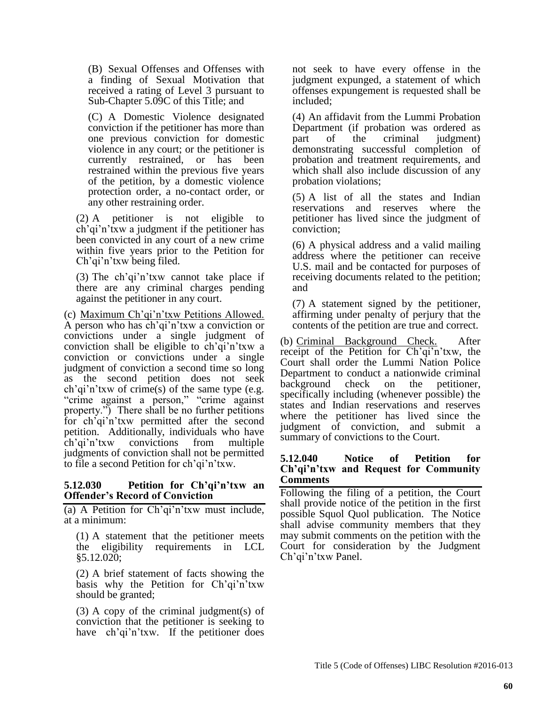(B) Sexual Offenses and Offenses with a finding of Sexual Motivation that received a rating of Level 3 pursuant to Sub-Chapter 5.09C of this Title; and

(C) A Domestic Violence designated conviction if the petitioner has more than one previous conviction for domestic violence in any court; or the petitioner is currently restrained, or has been restrained within the previous five years of the petition, by a domestic violence protection order, a no-contact order, or any other restraining order.

(2) A petitioner is not eligible to ch'qi'n'txw a judgment if the petitioner has been convicted in any court of a new crime within five years prior to the Petition for Ch'qi'n'txw being filed.

(3) The ch'qi'n'txw cannot take place if there are any criminal charges pending against the petitioner in any court.

(c) Maximum Ch'qi'n'txw Petitions Allowed. A person who has ch'qi'n'txw a conviction or convictions under a single judgment of conviction shall be eligible to ch'qi'n'txw a conviction or convictions under a single judgment of conviction a second time so long as the second petition does not seek ch'qi'n'txw of crime(s) of the same type (e.g. "crime against a person," "crime against property.") There shall be no further petitions for ch'qi'n'txw permitted after the second petition. Additionally, individuals who have ch'qi'n'txw convictions from multiple judgments of conviction shall not be permitted to file a second Petition for ch'qi'n'txw.

#### **5.12.030 Petition for Ch'qi'n'txw an Offender's Record of Conviction**

(a) A Petition for Ch'qi'n'txw must include, at a minimum:

(1) A statement that the petitioner meets the eligibility requirements in LCL §5.12.020;

(2) A brief statement of facts showing the basis why the Petition for Ch'qi'n'txw should be granted;

(3) A copy of the criminal judgment(s) of conviction that the petitioner is seeking to have ch'qi'n'txw. If the petitioner does

not seek to have every offense in the judgment expunged, a statement of which offenses expungement is requested shall be included;

(4) An affidavit from the Lummi Probation Department (if probation was ordered as part of the criminal judgment) demonstrating successful completion of probation and treatment requirements, and which shall also include discussion of any probation violations;

(5) A list of all the states and Indian reservations and reserves where the petitioner has lived since the judgment of conviction;

(6) A physical address and a valid mailing address where the petitioner can receive U.S. mail and be contacted for purposes of receiving documents related to the petition; and

(7) A statement signed by the petitioner, affirming under penalty of perjury that the contents of the petition are true and correct.

(b) Criminal Background Check. After receipt of the Petition for Ch'qi'n'txw, the Court shall order the Lummi Nation Police Department to conduct a nationwide criminal background check on the petitioner, specifically including (whenever possible) the states and Indian reservations and reserves where the petitioner has lived since the judgment of conviction, and submit a summary of convictions to the Court.

#### **5.12.040 Notice of Petition for Ch'qi'n'txw and Request for Community Comments**

Following the filing of a petition, the Court shall provide notice of the petition in the first possible Squol Quol publication. The Notice shall advise community members that they may submit comments on the petition with the Court for consideration by the Judgment Ch'qi'n'txw Panel.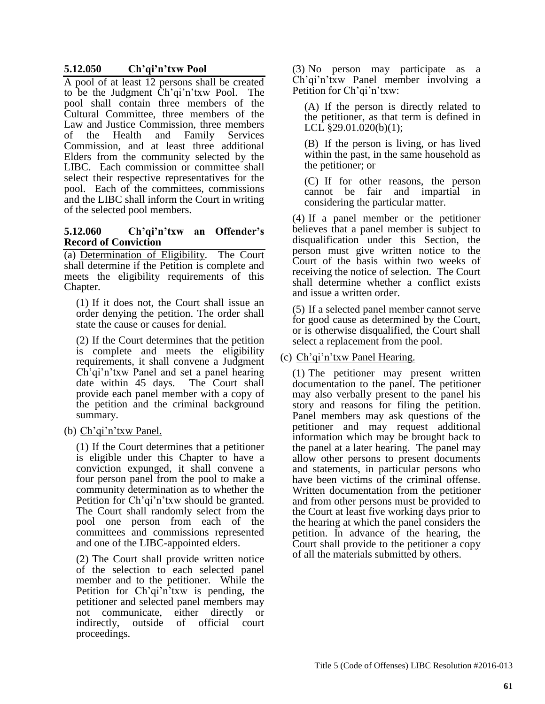# **5.12.050 Ch'qi'n'txw Pool**

A pool of at least 12 persons shall be created to be the Judgment Ch'qi'n'txw Pool. The pool shall contain three members of the Cultural Committee, three members of the Law and Justice Commission, three members of the Health and Family Services Commission, and at least three additional Elders from the community selected by the LIBC. Each commission or committee shall select their respective representatives for the pool. Each of the committees, commissions and the LIBC shall inform the Court in writing of the selected pool members.

### **5.12.060 Ch'qi'n'txw an Offender's Record of Conviction**

(a) Determination of Eligibility. The Court shall determine if the Petition is complete and meets the eligibility requirements of this Chapter.

(1) If it does not, the Court shall issue an order denying the petition. The order shall state the cause or causes for denial.

(2) If the Court determines that the petition is complete and meets the eligibility requirements, it shall convene a Judgment Ch'qi'n'txw Panel and set a panel hearing date within 45 days. The Court shall provide each panel member with a copy of the petition and the criminal background summary.

(b) Ch'qi'n'txw Panel.

(1) If the Court determines that a petitioner is eligible under this Chapter to have a conviction expunged, it shall convene a four person panel from the pool to make a community determination as to whether the Petition for Ch'qi'n'txw should be granted. The Court shall randomly select from the pool one person from each of the committees and commissions represented and one of the LIBC-appointed elders.

(2) The Court shall provide written notice of the selection to each selected panel member and to the petitioner. While the Petition for Ch'qi'n'txw is pending, the petitioner and selected panel members may not communicate, either directly or indirectly, outside of official court proceedings.

(3) No person may participate as a Ch'qi'n'txw Panel member involving a Petition for Ch'qi'n'txw:

(A) If the person is directly related to the petitioner, as that term is defined in LCL  $\S 29.01.020(b)(1)$ ;

(B) If the person is living, or has lived within the past, in the same household as the petitioner; or

(C) If for other reasons, the person cannot be fair and impartial in considering the particular matter.

(4) If a panel member or the petitioner believes that a panel member is subject to disqualification under this Section, the person must give written notice to the Court of the basis within two weeks of receiving the notice of selection. The Court shall determine whether a conflict exists and issue a written order.

(5) If a selected panel member cannot serve for good cause as determined by the Court, or is otherwise disqualified, the Court shall select a replacement from the pool.

(c) Ch'qi'n'txw Panel Hearing.

(1) The petitioner may present written documentation to the panel. The petitioner may also verbally present to the panel his story and reasons for filing the petition. Panel members may ask questions of the petitioner and may request additional information which may be brought back to the panel at a later hearing. The panel may allow other persons to present documents and statements, in particular persons who have been victims of the criminal offense. Written documentation from the petitioner and from other persons must be provided to the Court at least five working days prior to the hearing at which the panel considers the petition. In advance of the hearing, the Court shall provide to the petitioner a copy of all the materials submitted by others.